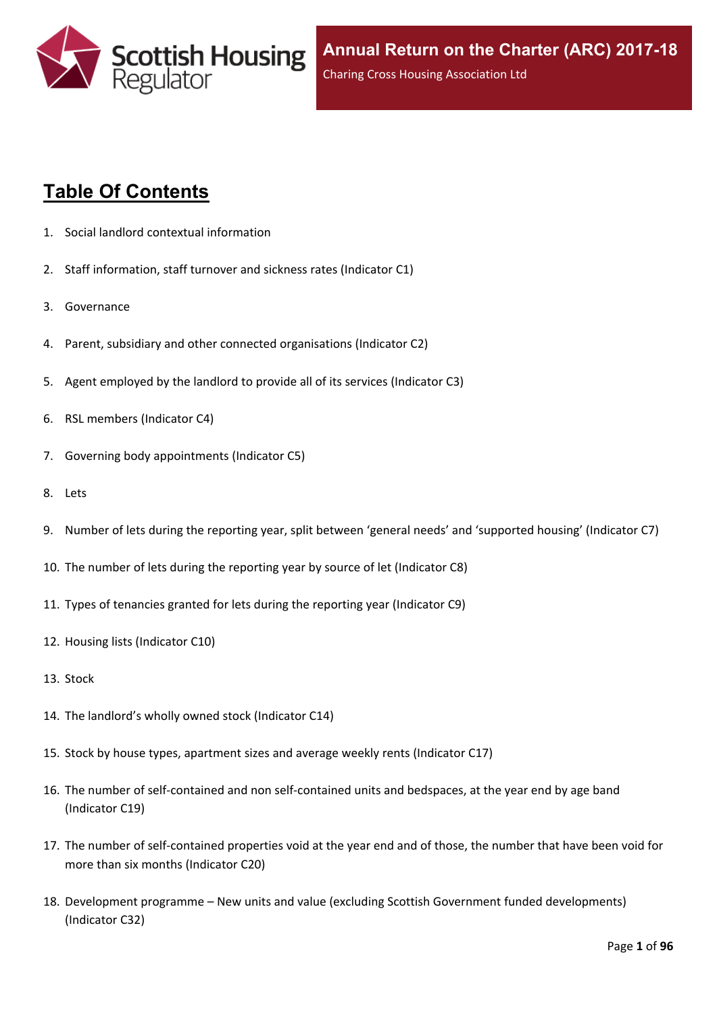

# **Table Of Contents**

- 1. Social landlord contextual [information](#page-5-0)
- 2. Staff [information,](#page-6-0) staff turnover and sickness rates (Indicator C1)
- 3. [Governance](#page-8-0)
- 4. Parent, subsidiary and other connected [organisations](#page-9-0) (Indicator C2)
- 5. Agent [employed](#page-10-0) by the landlord to provide all of its services (Indicator C3)
- 6. RSL members [\(Indicator](#page-11-0) C4)
- 7. Governing body [appointments](#page-12-0) (Indicator C5)
- 8. [Lets](#page-13-0)
- 9. Number of lets during the reporting year, split between 'general needs' and ['supported](#page-14-0) housing' (Indicator C7)
- 10. The number of lets during the reporting year by source of let [\(Indicator](#page-15-0) C8)
- 11. Types of tenancies granted for lets during the reporting year [\(Indicator](#page-16-0) C9)
- 12. Housing lists [\(Indicator](#page-17-0) C10)
- 13. [Stock](#page-18-0)
- 14. The [landlord's](#page-19-0) wholly owned stock (Indicator C14)
- 15. Stock by house types, [apartment](#page-20-0) sizes and average weekly rents (Indicator C17)
- 16. The number of self-contained and non [self-contained](#page-21-0) units and bedspaces, at the year end by age band [\(Indicator](#page-21-0) C19)
- 17. The number of [self-contained](#page-22-0) properties void at the year end and of those, the number that have been void for more than six months [\(Indicator](#page-22-0) C20)
- 18. [Development](#page-23-0) programme [–](#page-23-0) New units and value (excluding Scottish Government funded [developments\)](#page-23-0) [\(Indicator](#page-23-0) C32)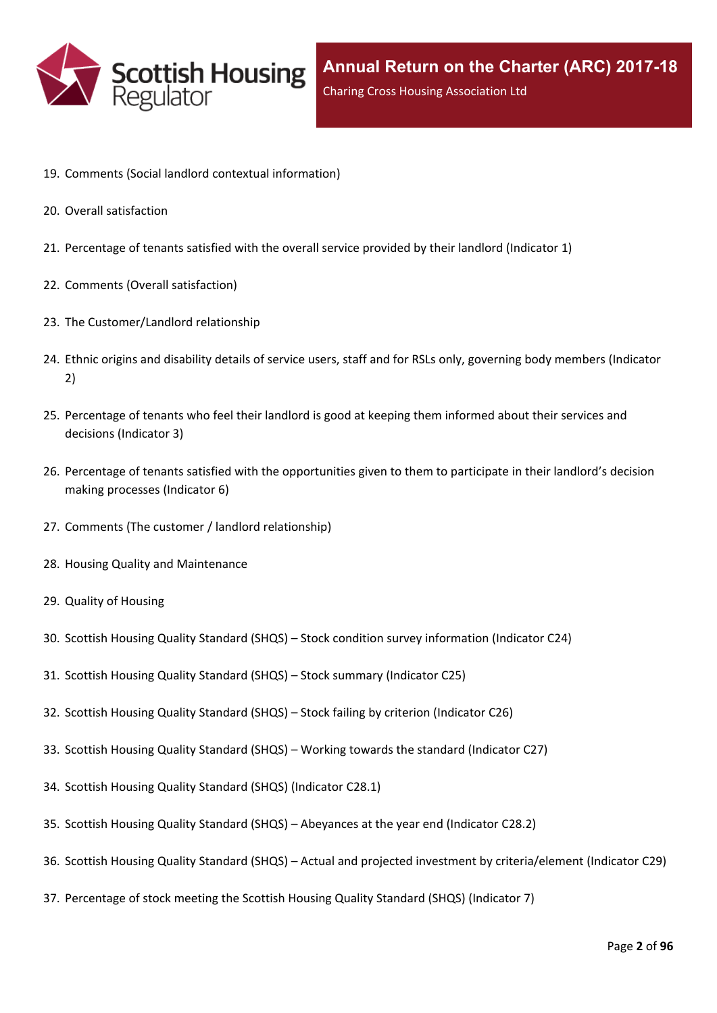

- 19. Comments (Social landlord contextual [information\)](#page-25-0)
- 20. Overall [satisfaction](#page-26-0)
- 21. [Percentage](#page-27-0) of tenants satisfied with the overall service provided by their landlord (Indicator 1)
- 22. Comments (Overall [satisfaction\)](#page-29-0)
- 23. The [Customer/Landlord](#page-30-0) relationship
- 24. Ethnic origins and disability details of service users, staff and for RSLs only, [governing](#page-31-0) body members (Indicator [2\)](#page-31-0)
- 25. [Percentage](#page-33-0) of tenants who feel their landlord is good at keeping them informed about their services and [decisions](#page-33-0) [\(Indicator](#page-33-0) 3)
- 26. Percentage of tenants satisfied with the [opportunities](#page-34-0) given to them to participate in their landlord's decision making [processes](#page-34-0) (Indicator 6)
- 27. Comments (The customer / landlord [relationship\)](#page-35-0)
- 28. Housing Quality and [Maintenance](#page-36-0)
- 29. Quality of [Housing](#page-37-0)
- 30. Scottish Housing Quality [Standard](#page-38-0) (SHQS) [–](#page-38-0) Stock condition survey [information](#page-38-0) (Indicator C24)
- 31. Scottish Housing Quality [Standard](#page-39-0) (SHQS) [–](#page-39-0) Stock summary [\(Indicator](#page-39-0) C25)
- 32. Scottish Housing Quality [Standard](#page-41-0) (SHQS) [–](#page-41-0) Stock failing by criterion [\(Indicator](#page-41-0) C26)
- 33. Scottish Housing Quality [Standard](#page-42-0) (SHQS) [–](#page-42-0) Working towards the standard [\(Indicator](#page-42-0) C27)
- 34. Scottish Housing Quality Standard (SHQS) [\(Indicator](#page-43-0) C28.1)
- 35. Scottish Housing Quality [Standard](#page-44-0) (SHQS) [–](#page-44-0) [Abeyances](#page-44-0) at the year end (Indicator C28.2)
- 36. Scottish Housing Quality [Standard](#page-45-0) (SHQS) [–](#page-45-0) Actual and projected investment by [criteria/element](#page-45-0) (Indicator C29)
- 37. [Percentage](#page-46-0) of stock meeting the Scottish Housing Quality Standard (SHQS) (Indicator 7)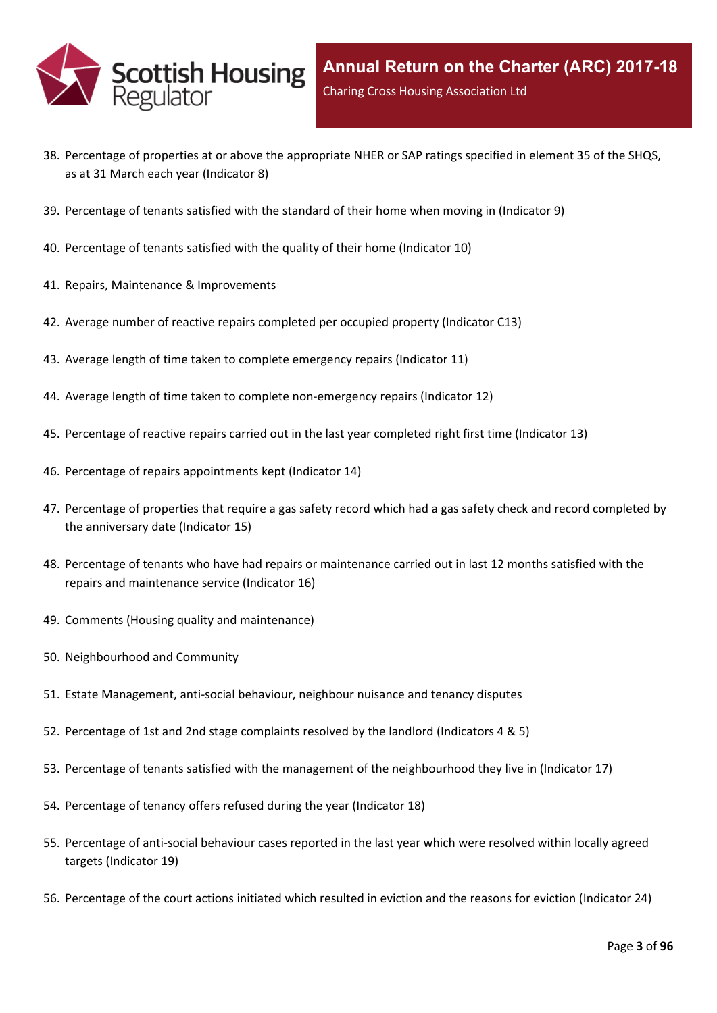

- 38. Percentage of properties at or above the [appropriate](#page-47-0) NHER or SAP ratings specified in element 35 of the SHQS, as at 31 March each year [\(Indicator](#page-47-0) 8)
- 39. [Percentage](#page-48-0) of tenants satisfied with the standard of their home when moving in (Indicator 9)
- 40. [Percentage](#page-49-0) of tenants satisfied with the quality of their home (Indicator 10)
- 41. Repairs, Maintenance & [Improvements](#page-50-0)
- 42. Average number of reactive repairs [completed](#page-51-0) per occupied property (Indicator C13)
- 43. Average length of time taken to complete [emergency](#page-52-0) repairs (Indicator 11)
- 44. Average length of time taken to complete [non-emergency](#page-53-0) repairs (Indicator 12)
- 45. [Percentage](#page-54-0) of reactive repairs carried out in the last year completed right first time (Indicator 13)
- 46. Percentage of repairs [appointments](#page-55-0) kept (Indicator 14)
- 47. [Percentage](#page-56-0) of properties that require a gas safety record which had a gas safety check and record completed by the [anniversary](#page-56-0) date (Indicator 15)
- 48. Percentage of tenants who have had repairs or [maintenance](#page-57-0) carried out in last 12 months satisfied with the repairs and [maintenance](#page-57-0) service (Indicator 16)
- 49. Comments (Housing quality and [maintenance\)](#page-58-0)
- 50. [Neighbourhood](#page-59-0) and Community
- 51. Estate [Management,](#page-60-0) anti-social behaviour, neighbour nuisance and tenancy disputes
- 52. [Percentage](#page-61-0) of 1st and 2nd stage complaints resolved by the landlord (Indicators 4 & 5)
- 53. Percentage of tenants satisfied with the management of the [neighbourhood](#page-64-0) they live in (Indicator 17)
- 54. [Percentage](#page-65-0) of tenancy offers refused during the year (Indicator 18)
- 55. [Percentage](#page-66-0) of anti-social behaviour cases reported in the last year which were resolved within locally agreed targets [\(Indicator](#page-66-0) 19)
- 56. [Percentage](#page-67-0) of the court actions initiated which resulted in eviction and the reasons for eviction (Indicator 24)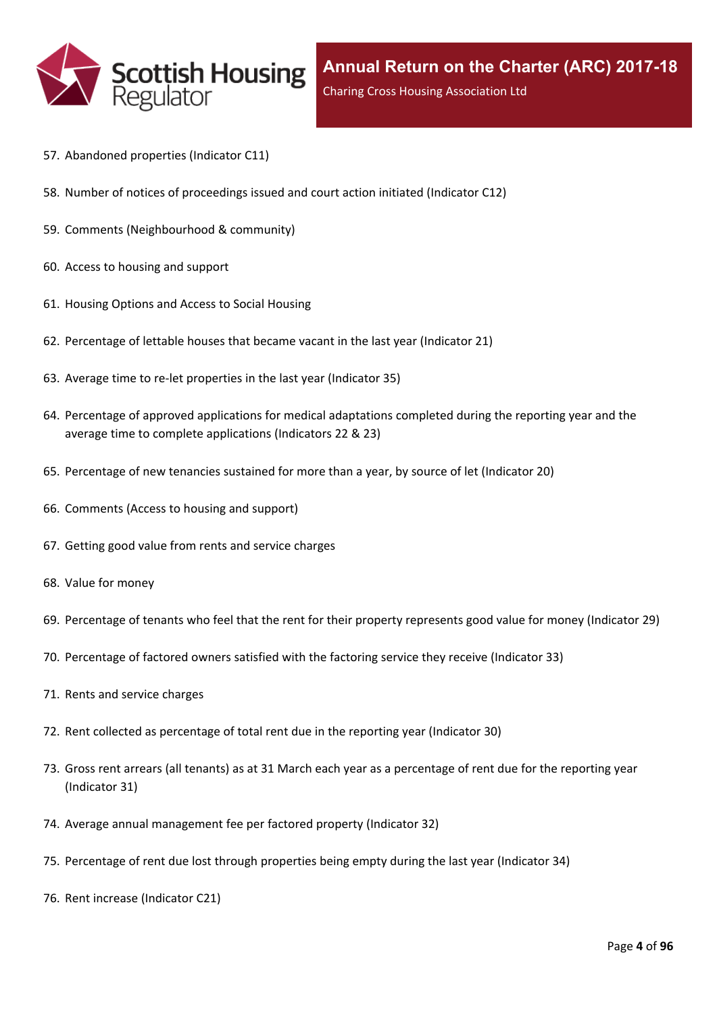

- 57. [Abandoned](#page-68-0) properties (Indicator C11)
- 58. Number of notices of [proceedings](#page-69-0) issued and court action initiated (Indicator C12)
- 59. Comments [\(Neighbourhood](#page-70-0) & community)
- 60. Access to [housing](#page-71-0) and support
- 61. [Housing](#page-72-0) Options and Access to Social Housing
- 62. [Percentage](#page-73-0) of lettable houses that became vacant in the last year (Indicator 21)
- 63. Average time to re-let [properties](#page-74-0) in the last year (Indicator 35)
- 64. Percentage of approved [applications](#page-75-0) for medical adaptations completed during the reporting year and the average time to complete [applications](#page-75-0) (Indicators 22 & 23)
- 65. [Percentage](#page-76-0) of new tenancies sustained for more than a year, by source of let (Indicator 20)
- 66. [Comments](#page-78-0) (Access to housing and support)
- 67. Getting good value from rents and service [charges](#page-79-0)
- 68. Value for [money](#page-80-0)
- 69. [Percentage](#page-81-0) of tenants who feel that the rent for their property represents good value for money (Indicator 29)
- 70. [Percentage](#page-82-0) of factored owners satisfied with the factoring service they receive (Indicator 33)
- 71. Rents and service [charges](#page-83-0)
- 72. Rent collected as [percentage](#page-84-0) of total rent due in the reporting year (Indicator 30)
- 73. Gross rent arrears (all tenants) as at 31 March each year as a [percentage](#page-85-0) of rent due for the reporting year [\(Indicator](#page-85-0) 31)
- 74. Average annual [management](#page-86-0) fee per factored property (Indicator 32)
- 75. [Percentage](#page-87-0) of rent due lost through properties being empty during the last year (Indicator 34)
- 76. Rent increase [\(Indicator](#page-88-0) C21)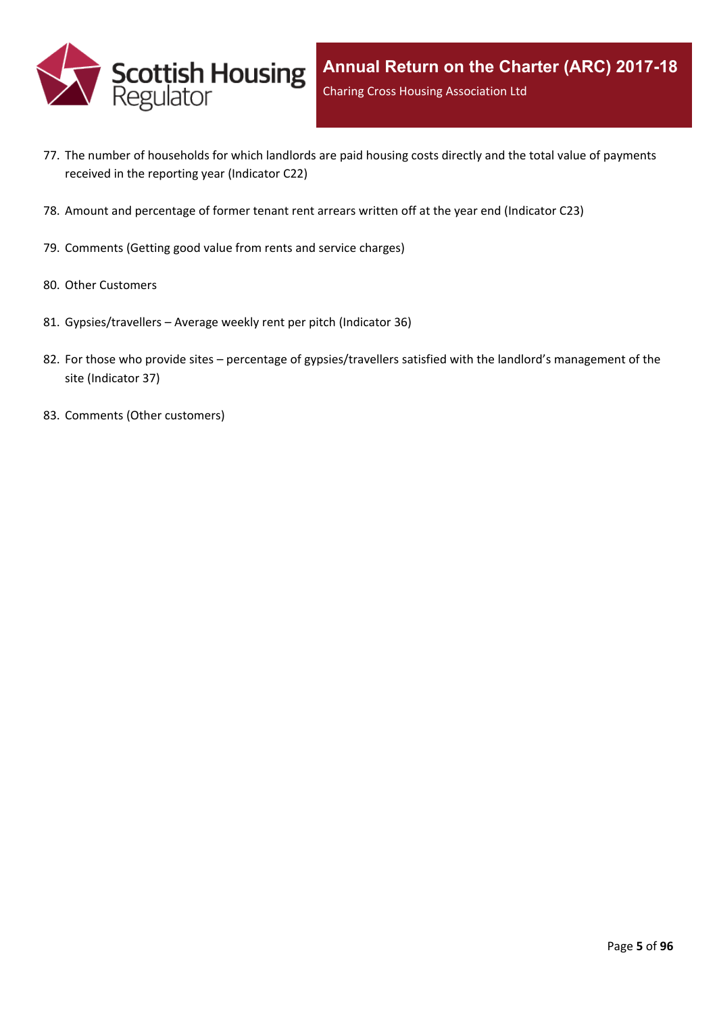

- 77. The number of [households](#page-89-0) for which landlords are paid housing costs directly and the total value of payments received in the reporting year [\(Indicator](#page-89-0) C22)
- 78. Amount and [percentage](#page-90-0) of former tenant rent arrears written off at the year end (Indicator C23)
- 79. [Comments](#page-91-0) (Getting good value from rents and service charges)
- 80. Other [Customers](#page-92-0)
- 81. [Gypsies/travellers](#page-93-0) [–](#page-93-0) Average weekly rent per pitch [\(Indicator](#page-93-0) 36)
- 82. For those who [provide](#page-94-0) sites [–](#page-94-0) percentage of [gypsies/travellers](#page-94-0) satisfied with the landlord's management of the site [\(Indicator](#page-94-0) 37)
- 83. Comments (Other [customers\)](#page-95-0)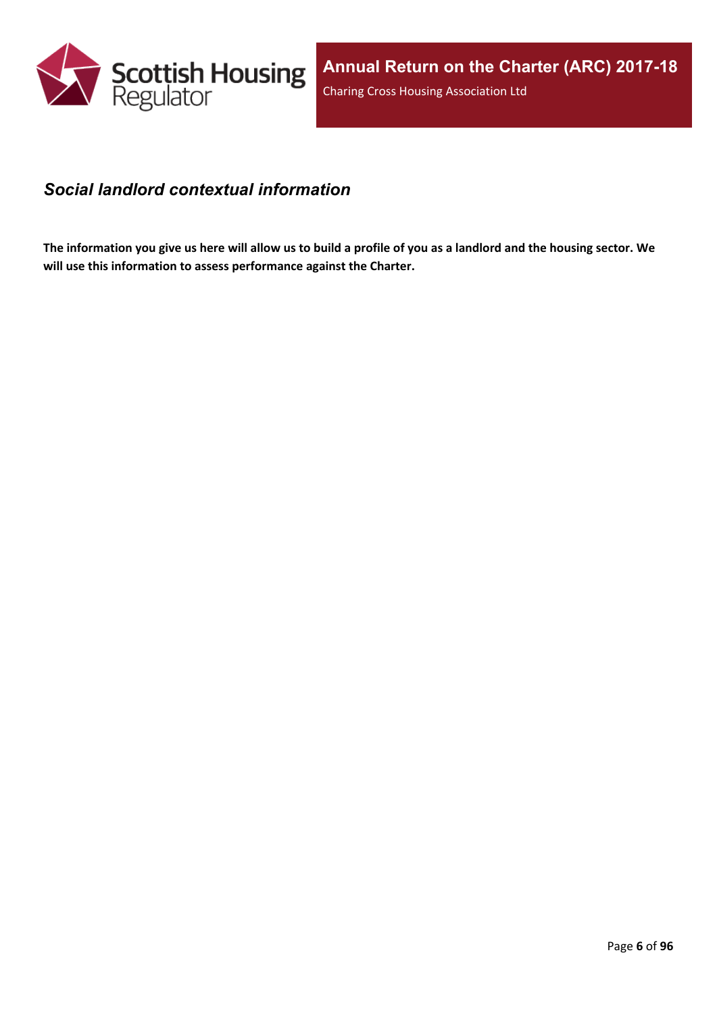

#### <span id="page-5-0"></span>*Social landlord contextual information*

The information you give us here will allow us to build a profile of you as a landlord and the housing sector. We **will use this information to assess performance against the Charter.**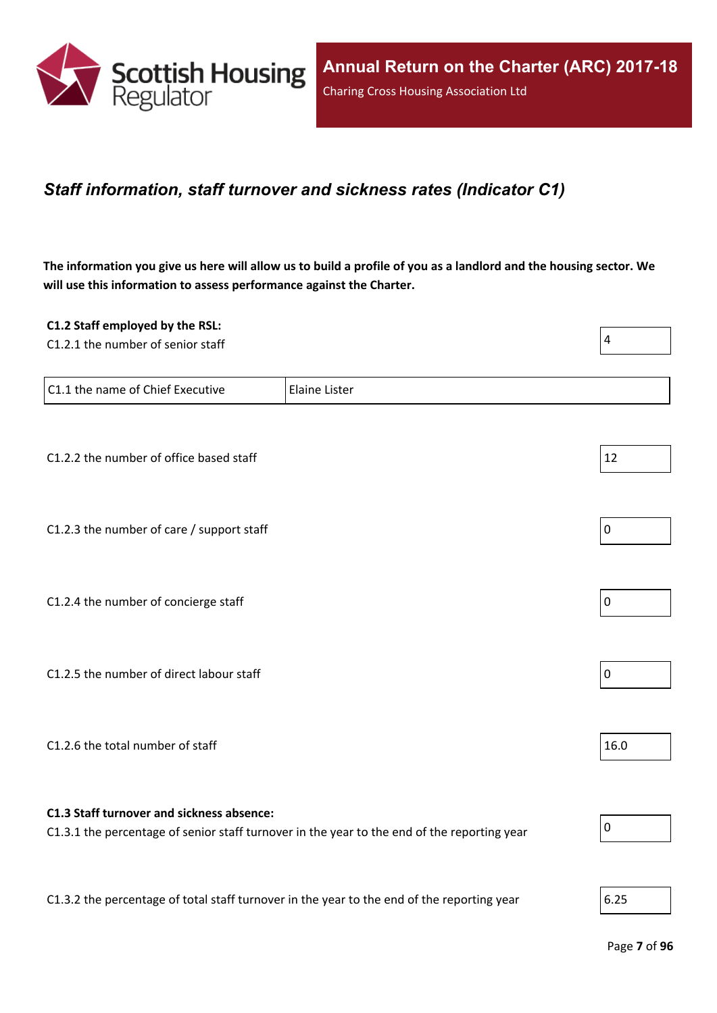

#### <span id="page-6-0"></span>*Staff information, staff turnover and sickness rates (Indicator C1)*

The information you give us here will allow us to build a profile of you as a landlord and the housing sector. We **will use this information to assess performance against the Charter.**

| C1.2 Staff employed by the RSL:                                                            |                                                                                             |                |
|--------------------------------------------------------------------------------------------|---------------------------------------------------------------------------------------------|----------------|
| C1.2.1 the number of senior staff                                                          |                                                                                             | $\overline{4}$ |
|                                                                                            |                                                                                             |                |
| C1.1 the name of Chief Executive                                                           | <b>Elaine Lister</b>                                                                        |                |
|                                                                                            |                                                                                             |                |
|                                                                                            |                                                                                             |                |
| C1.2.2 the number of office based staff                                                    |                                                                                             | 12             |
|                                                                                            |                                                                                             |                |
|                                                                                            |                                                                                             |                |
| C1.2.3 the number of care / support staff                                                  |                                                                                             | $\pmb{0}$      |
|                                                                                            |                                                                                             |                |
|                                                                                            |                                                                                             |                |
| C1.2.4 the number of concierge staff                                                       |                                                                                             | $\mathbf 0$    |
|                                                                                            |                                                                                             |                |
|                                                                                            |                                                                                             |                |
| C1.2.5 the number of direct labour staff                                                   |                                                                                             | $\pmb{0}$      |
|                                                                                            |                                                                                             |                |
|                                                                                            |                                                                                             |                |
| C1.2.6 the total number of staff                                                           |                                                                                             | 16.0           |
|                                                                                            |                                                                                             |                |
|                                                                                            |                                                                                             |                |
| C1.3 Staff turnover and sickness absence:                                                  |                                                                                             |                |
|                                                                                            | C1.3.1 the percentage of senior staff turnover in the year to the end of the reporting year | $\mathbf 0$    |
|                                                                                            |                                                                                             |                |
|                                                                                            |                                                                                             |                |
| C1.3.2 the percentage of total staff turnover in the year to the end of the reporting year |                                                                                             | 6.25           |
|                                                                                            |                                                                                             |                |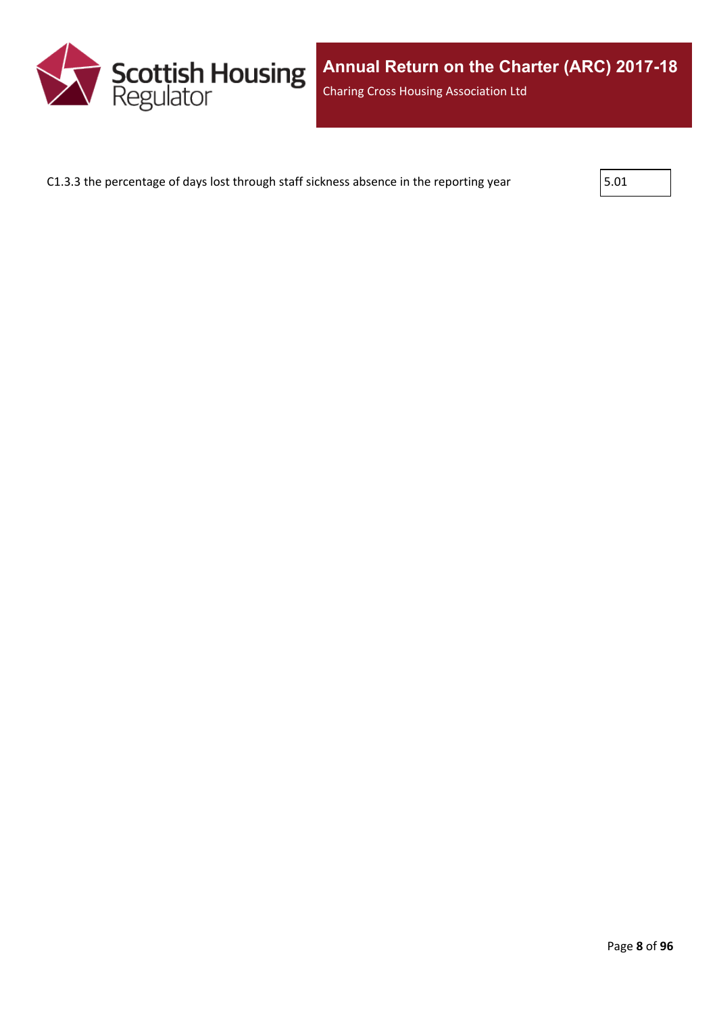

C1.3.3 the percentage of days lost through staff sickness absence in the reporting year  $\vert$  5.01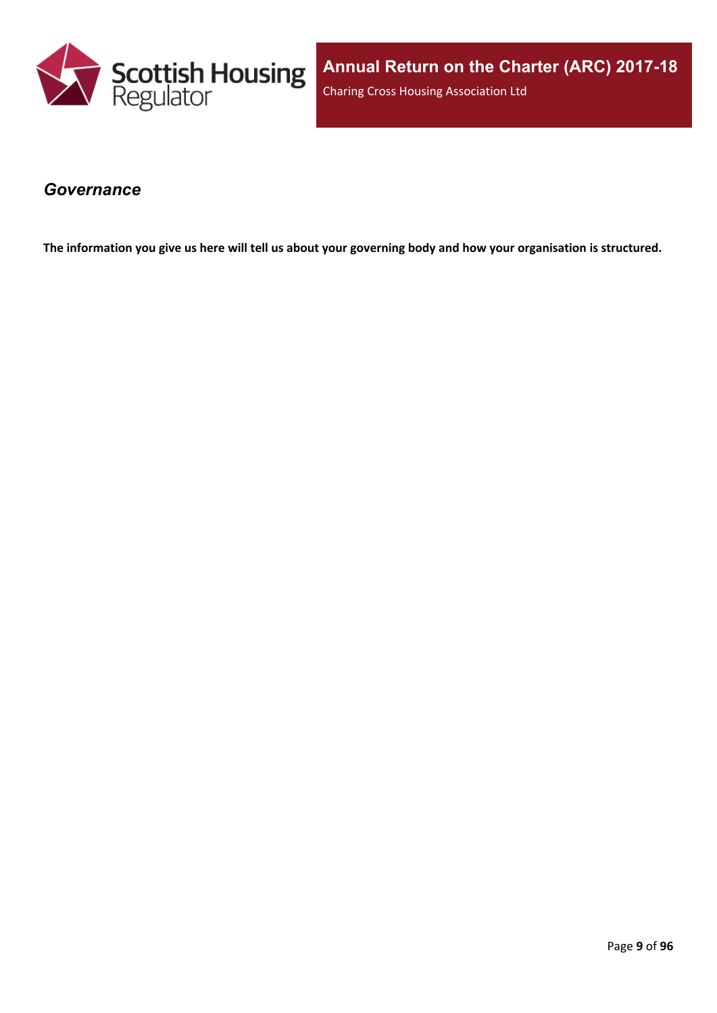

#### <span id="page-8-0"></span>*Governance*

The information you give us here will tell us about your governing body and how your organisation is structured.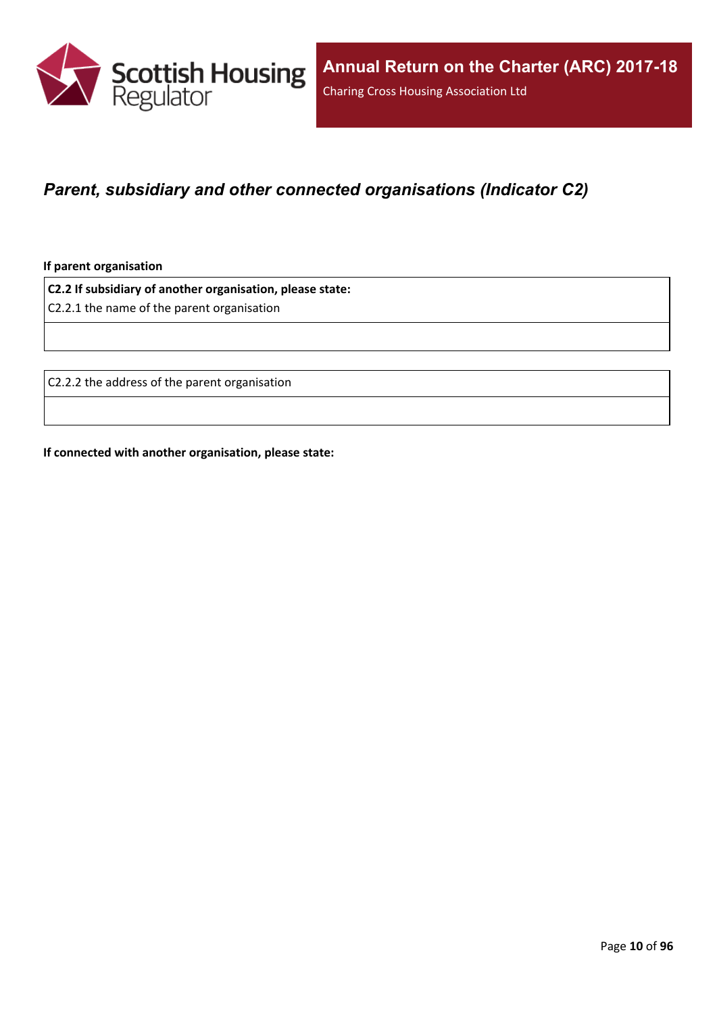

### <span id="page-9-0"></span>*Parent, subsidiary and other connected organisations (Indicator C2)*

**If parent organisation**

**C2.2 If subsidiary of another organisation, please state:**

C2.2.1 the name of the parent organisation

C2.2.2 the address of the parent organisation

**If connected with another organisation, please state:**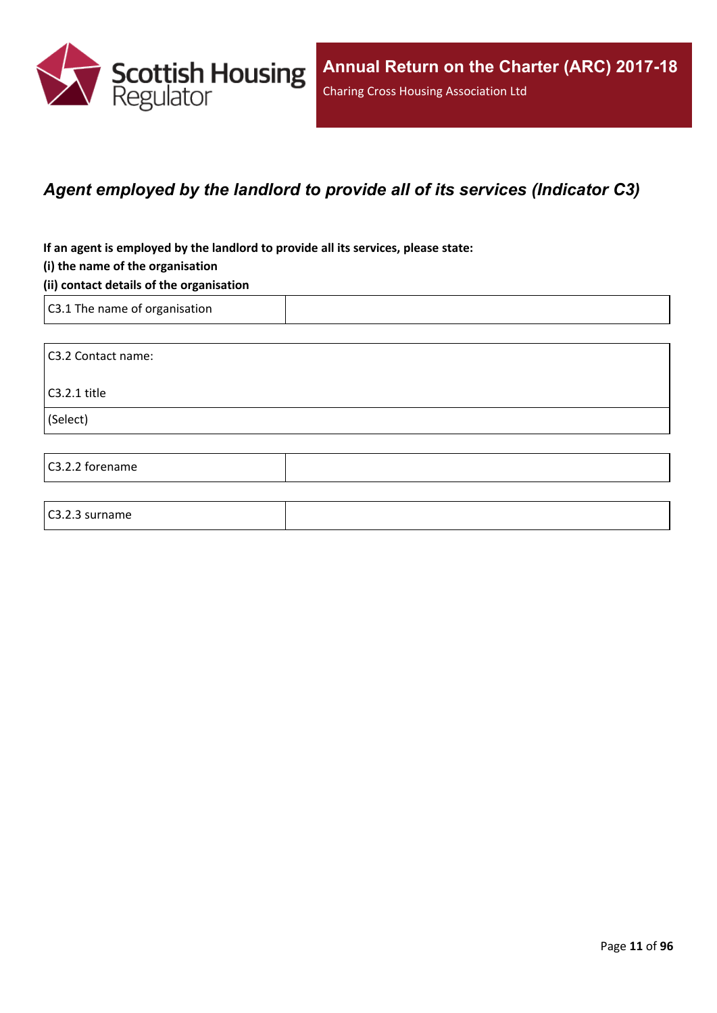

### <span id="page-10-0"></span>*Agent employed by the landlord to provide all of its services (Indicator C3)*

**If an agent is employed by the landlord to provide all its services, please state:**

#### **(i) the name of the organisation**

#### **(ii) contact details of the organisation**

C3.1 The name of organisation

C3.2.3 surname

C3.2 Contact name: C3.2.1 title (Select) C3.2.2 forename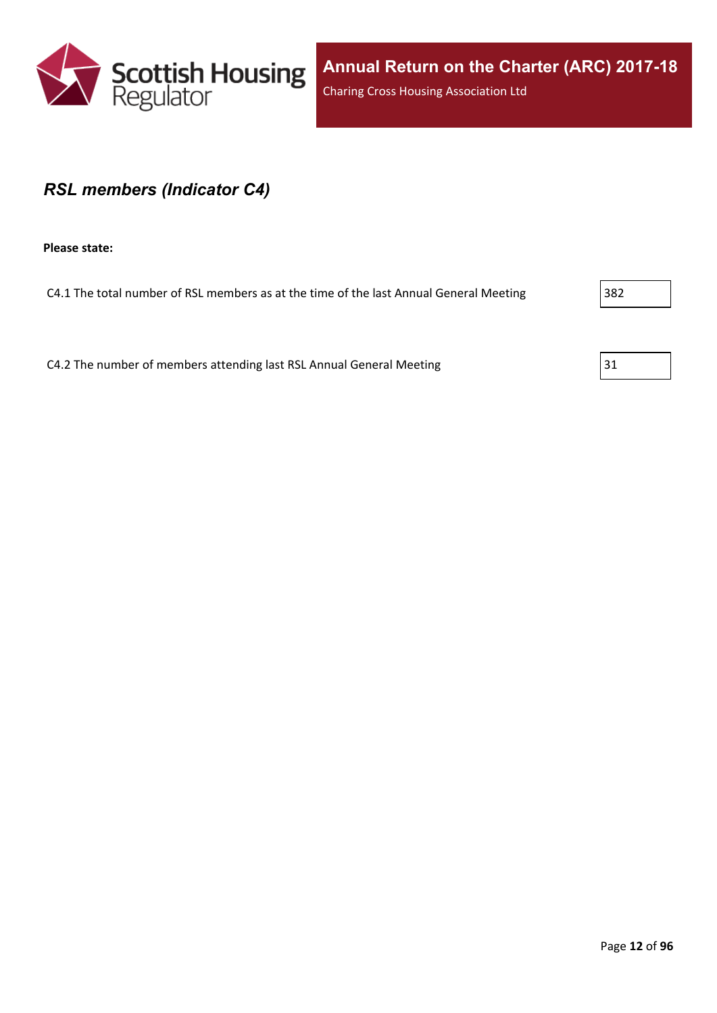

#### <span id="page-11-0"></span>*RSL members (Indicator C4)*

**Please state:**

C4.1 The total number of RSL members as at the time of the last Annual General Meeting 382

C4.2 The number of members attending last RSL Annual General Meeting  $31$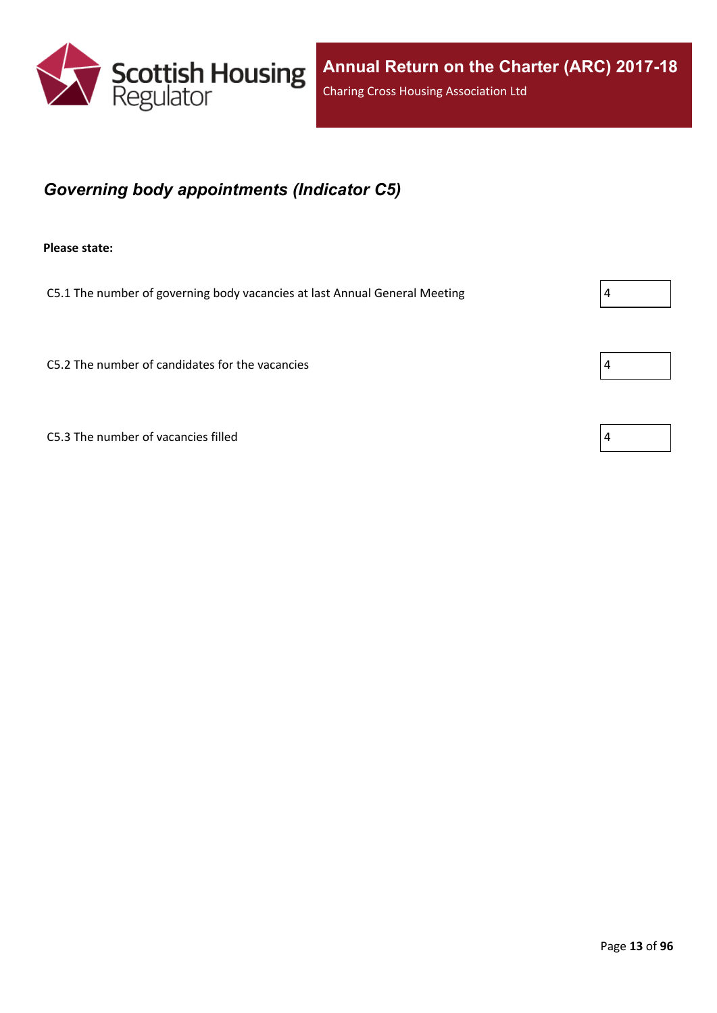

## <span id="page-12-0"></span>*Governing body appointments (Indicator C5)*

**Please state:**

C5.1 The number of governing body vacancies at last Annual General Meeting  $\vert 4 \vert$ 

 $C$ 5.2 The number of candidates for the vacancies  $\vert 4 \vert$ 

C5.3 The number of vacancies filled  $\vert 4 \vert$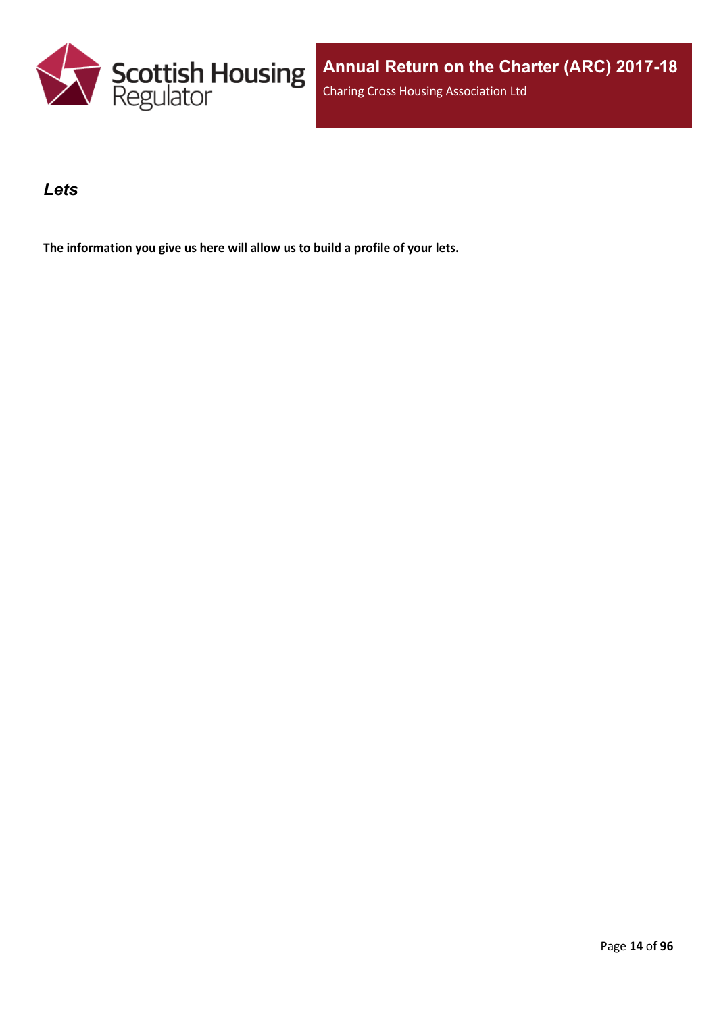

#### <span id="page-13-0"></span>*Lets*

**The information you give us here will allow us to build a profile of your lets.**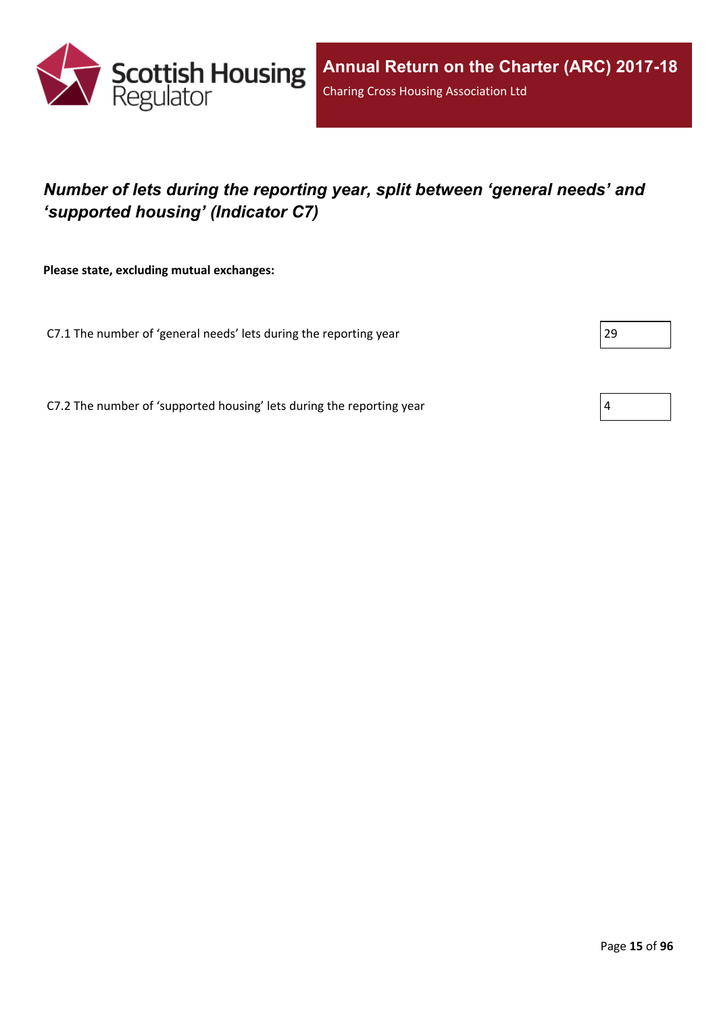

## <span id="page-14-0"></span>*Number of lets during the reporting year, split between 'general needs' and 'supported housing' (Indicator C7)*

**Please state, excluding mutual exchanges:**

C7.1 The number of 'general needs' lets during the reporting year 29

C7.2 The number of 'supported housing' lets during the reporting year  $4 \frac{4}{3}$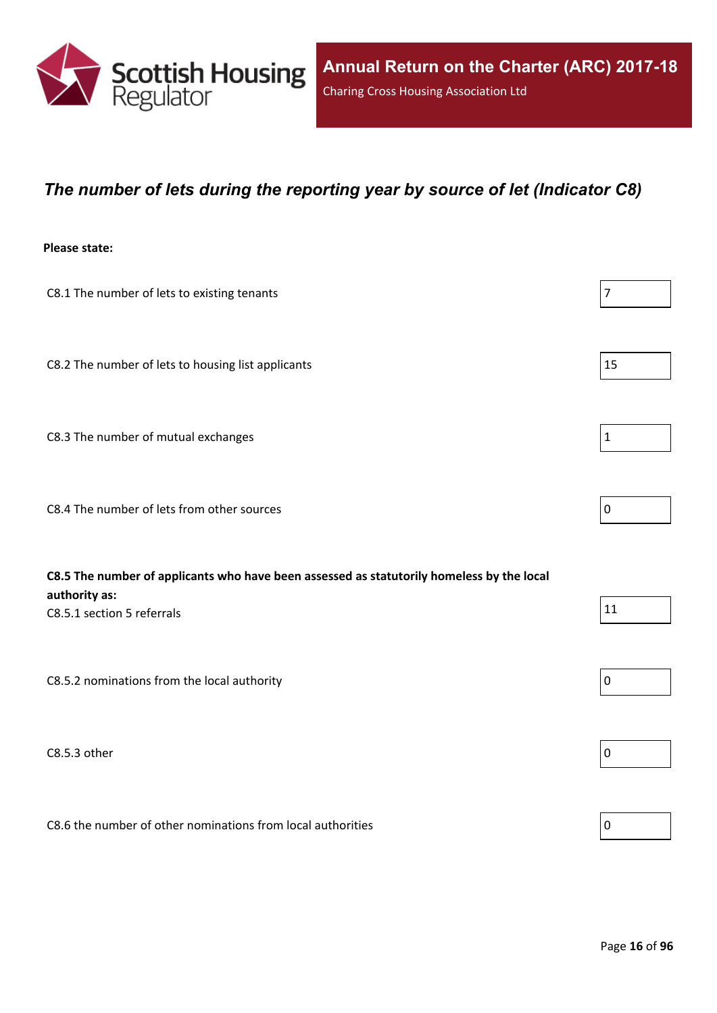

#### <span id="page-15-0"></span>*The number of lets during the reporting year by source of let (Indicator C8)*

#### **Please state:**

| C8.1 The number of lets to existing tenants                                               | $\overline{7}$ |
|-------------------------------------------------------------------------------------------|----------------|
|                                                                                           |                |
|                                                                                           |                |
| C8.2 The number of lets to housing list applicants                                        | 15             |
|                                                                                           |                |
| C8.3 The number of mutual exchanges                                                       | $\mathbf{1}$   |
|                                                                                           |                |
|                                                                                           |                |
| C8.4 The number of lets from other sources                                                | $\mathbf 0$    |
|                                                                                           |                |
| C8.5 The number of applicants who have been assessed as statutorily homeless by the local |                |
| authority as:                                                                             |                |
| C8.5.1 section 5 referrals                                                                | 11             |
|                                                                                           |                |
| C8.5.2 nominations from the local authority                                               | $\mathbf 0$    |
|                                                                                           |                |
|                                                                                           |                |
| C8.5.3 other                                                                              | $\mathbf 0$    |

C8.6 the number of other nominations from local authorities  $\vert_0$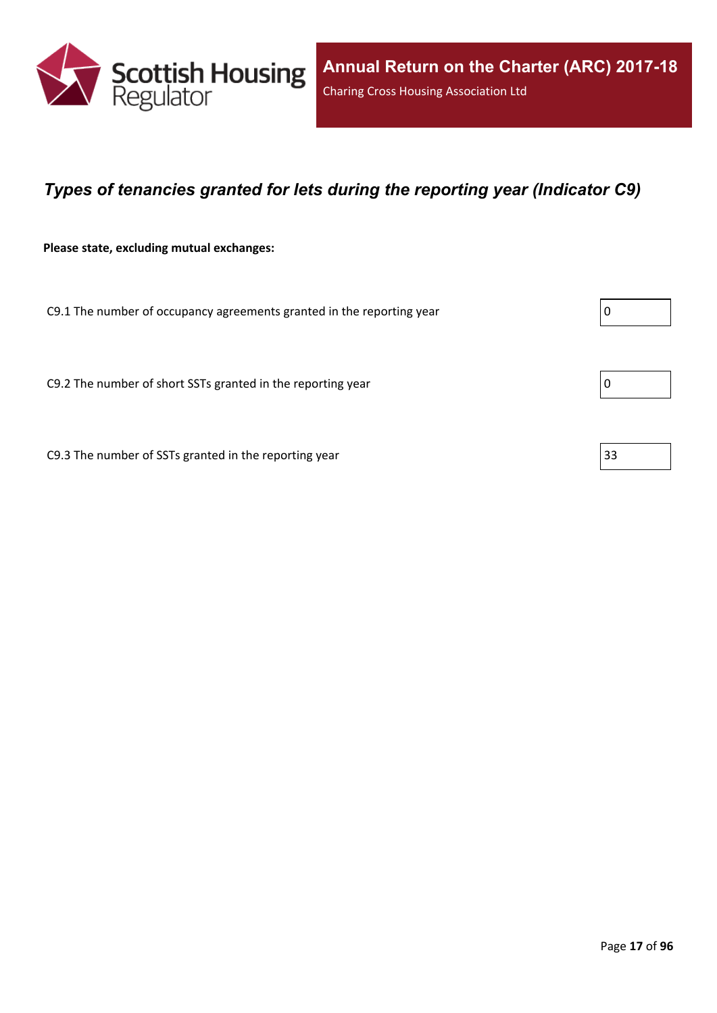

### <span id="page-16-0"></span>*Types of tenancies granted for lets during the reporting year (Indicator C9)*

**Please state, excluding mutual exchanges:**

C9.1 The number of occupancy agreements granted in the reporting year  $\vert 0 \rangle$ 

C9.2 The number of short SSTs granted in the reporting year  $\vert$  0

C9.3 The number of SSTs granted in the reporting year  $\vert$  33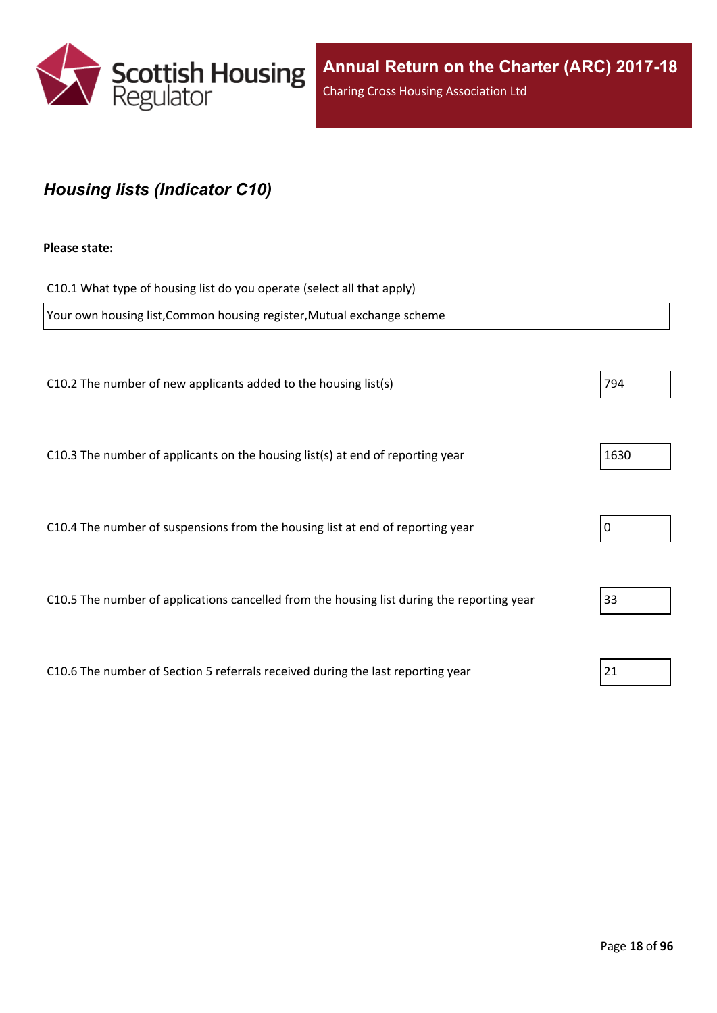

### <span id="page-17-0"></span>*Housing lists (Indicator C10)*

#### **Please state:**

C10.1 What type of housing list do you operate (select all that apply) Your own housing list,Common housing register,Mutual exchange scheme C10.2 The number of new applicants added to the housing list(s)  $|794|$ C10.3 The number of applicants on the housing list(s) at end of reporting year  $|1630|$ C10.4 The number of suspensions from the housing list at end of reporting year  $\vert$  0 C10.5 The number of applications cancelled from the housing list during the reporting year  $\vert$ 33 C10.6 The number of Section 5 referrals received during the last reporting year 21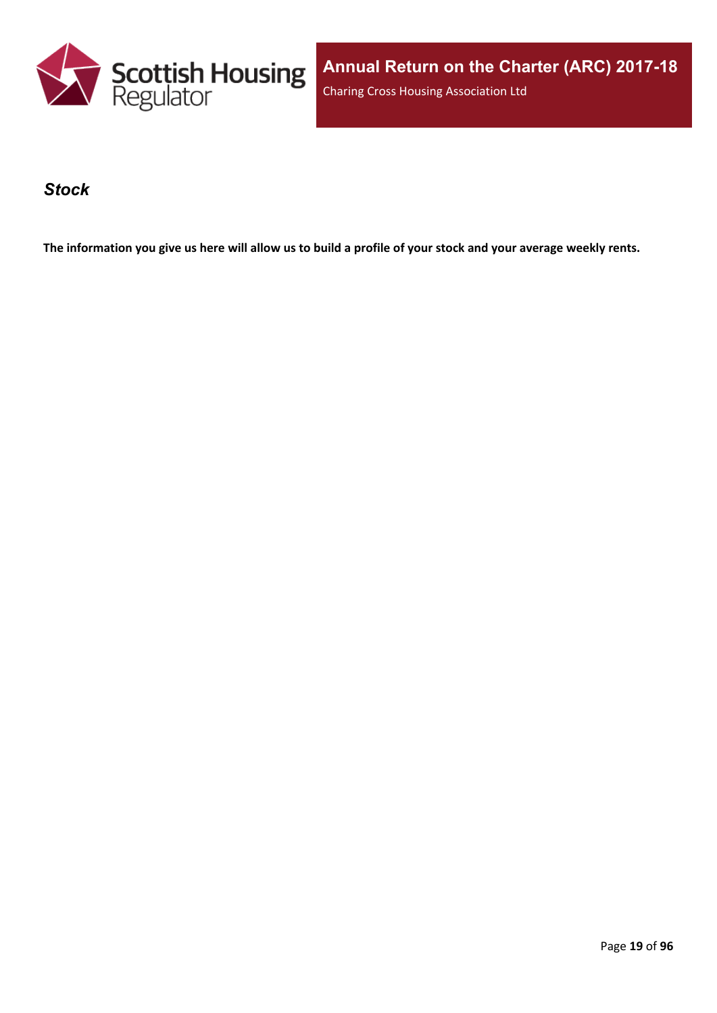

#### <span id="page-18-0"></span>*Stock*

The information you give us here will allow us to build a profile of your stock and your average weekly rents.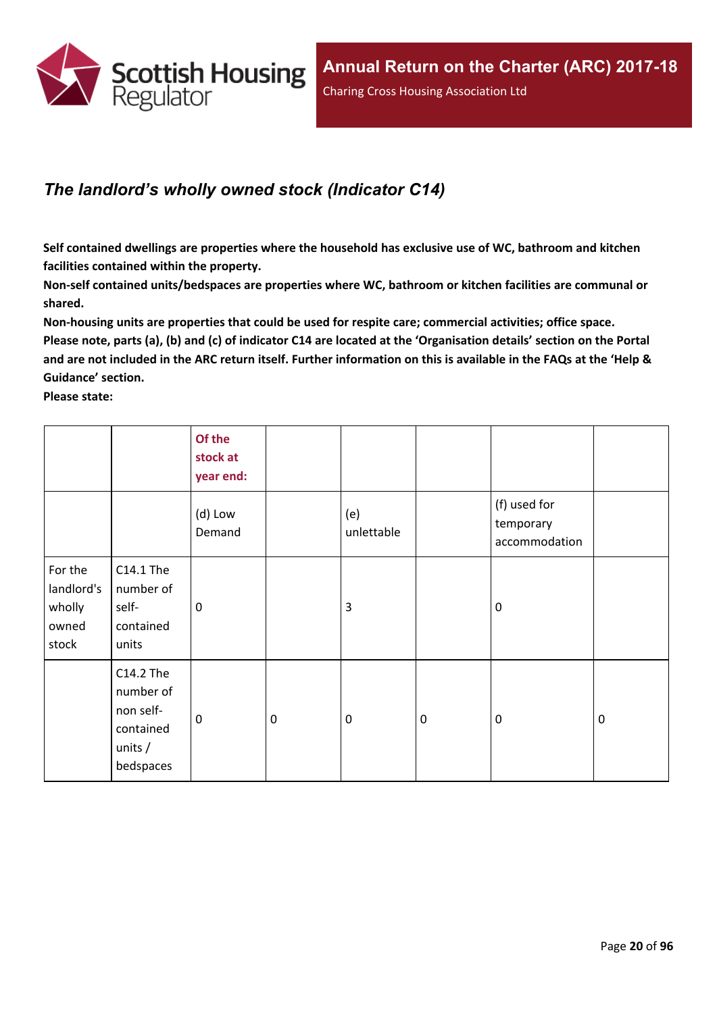

## <span id="page-19-0"></span>*The landlord's wholly owned stock (Indicator C14)*

**Self contained dwellings are properties where the household has exclusive use of WC, bathroom and kitchen facilities contained within the property.**

**Non-self contained units/bedspaces are properties where WC, bathroom or kitchen facilities are communal or shared.**

**Non-housing units are properties that could be used for respite care; commercial activities; office space.** Please note, parts (a), (b) and (c) of indicator C14 are located at the 'Organisation details' section on the Portal and are not included in the ARC return itself. Further information on this is available in the FAQs at the 'Help & **Guidance' section.**

**Please state:**

|                                                   |                                                                            | Of the<br>stock at<br>year end: |                  |                   |           |                                            |             |
|---------------------------------------------------|----------------------------------------------------------------------------|---------------------------------|------------------|-------------------|-----------|--------------------------------------------|-------------|
|                                                   |                                                                            | (d) Low<br>Demand               |                  | (e)<br>unlettable |           | (f) used for<br>temporary<br>accommodation |             |
| For the<br>landlord's<br>wholly<br>owned<br>stock | C14.1 The<br>number of<br>self-<br>contained<br>units                      | $\mathbf 0$                     |                  | $\overline{3}$    |           | $\mathbf 0$                                |             |
|                                                   | C14.2 The<br>number of<br>non self-<br>contained<br>units $/$<br>bedspaces | $\mathbf 0$                     | $\boldsymbol{0}$ | $\mathbf 0$       | $\pmb{0}$ | $\mathbf 0$                                | $\mathbf 0$ |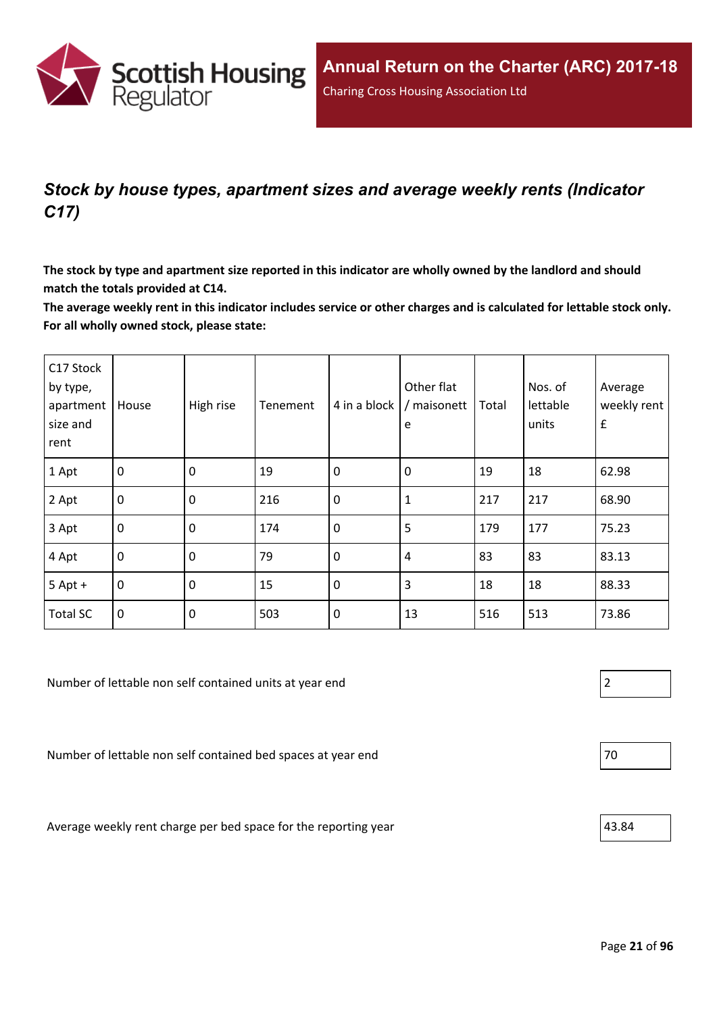

## <span id="page-20-0"></span>*Stock by house types, apartment sizes and average weekly rents (Indicator C17)*

The stock by type and apartment size reported in this indicator are wholly owned by the landlord and should **match the totals provided at C14.**

The average weekly rent in this indicator includes service or other charges and is calculated for lettable stock only. **For all wholly owned stock, please state:**

| C17 Stock<br>by type,<br>apartment<br>size and<br>rent | House          | High rise   | Tenement | 4 in a block | Other flat<br>/ maisonett<br>e | Total | Nos. of<br>lettable<br>units | Average<br>weekly rent<br>$\pmb{\mathsf{f}}$ |
|--------------------------------------------------------|----------------|-------------|----------|--------------|--------------------------------|-------|------------------------------|----------------------------------------------|
| 1 Apt                                                  | $\overline{0}$ | $\mathbf 0$ | 19       | $\mathbf 0$  | 0                              | 19    | 18                           | 62.98                                        |
| 2 Apt                                                  | $\overline{0}$ | $\mathbf 0$ | 216      | $\mathbf 0$  | 1                              | 217   | 217                          | 68.90                                        |
| 3 Apt                                                  | $\mathbf{0}$   | $\mathbf 0$ | 174      | $\mathbf 0$  | 5                              | 179   | 177                          | 75.23                                        |
| 4 Apt                                                  | $\overline{0}$ | $\mathbf 0$ | 79       | $\mathbf 0$  | 4                              | 83    | 83                           | 83.13                                        |
| $5$ Apt +                                              | $\overline{0}$ | $\mathbf 0$ | 15       | $\mathbf 0$  | 3                              | 18    | 18                           | 88.33                                        |
| <b>Total SC</b>                                        | $\overline{0}$ | $\mathbf 0$ | 503      | $\mathbf 0$  | 13                             | 516   | 513                          | 73.86                                        |

Number of lettable non self contained units at year end 2

Number of lettable non self contained bed spaces at year end  $|70 \rangle$ 

Average weekly rent charge per bed space for the reporting year  $|43.84\rangle$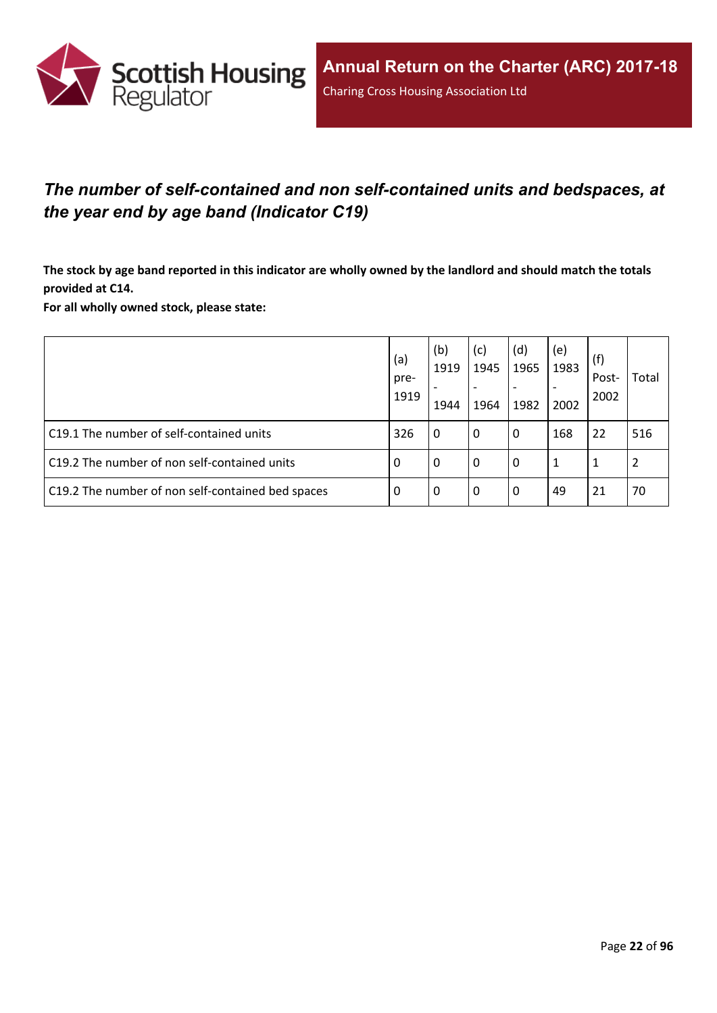

## <span id="page-21-0"></span>*The number of self-contained and non self-contained units and bedspaces, at the year end by age band (Indicator C19)*

The stock by age band reported in this indicator are wholly owned by the landlord and should match the totals **provided at C14.**

**For all wholly owned stock, please state:**

|                                                   | (a)<br>pre-<br>1919 | (b)<br>1919<br>1944 | (c)<br>1945<br>1964 | (d)<br>1965<br>1982 | (e)<br>1983<br>2002 | (f)<br>Post-<br>2002 | Total |
|---------------------------------------------------|---------------------|---------------------|---------------------|---------------------|---------------------|----------------------|-------|
| C19.1 The number of self-contained units          | 326                 | 0                   | 0                   | 0                   | 168                 | 22                   | 516   |
| C19.2 The number of non self-contained units      | 0                   | 0                   | 0                   | 0                   | 1                   |                      |       |
| C19.2 The number of non self-contained bed spaces | 0                   | 0                   | 0                   | 0                   | 49                  | 21                   | 70    |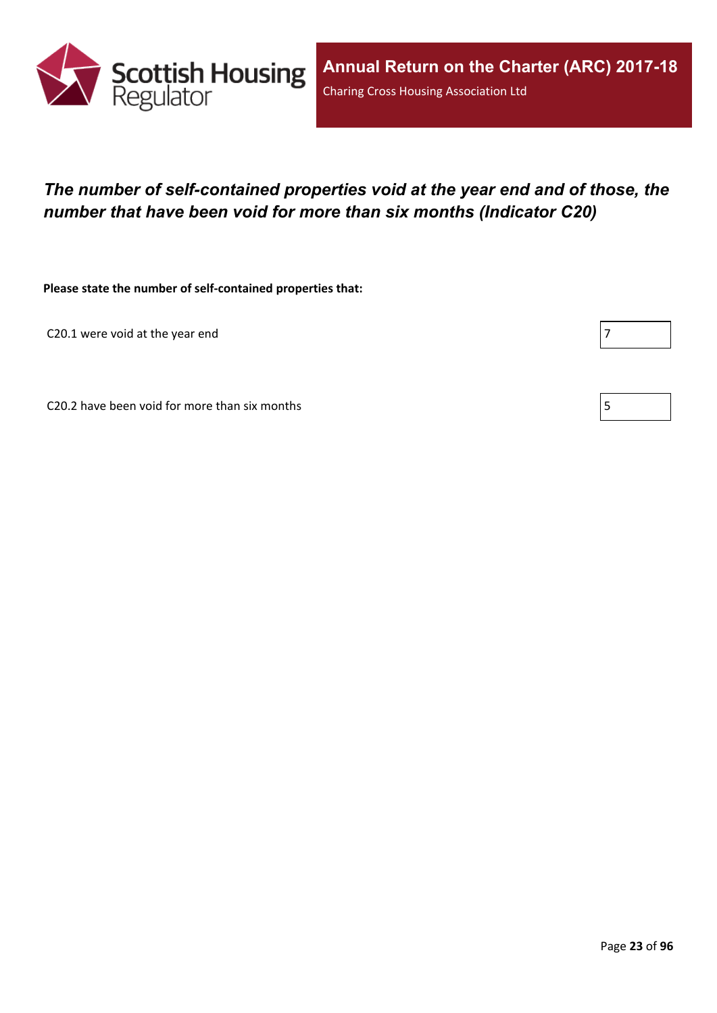

## <span id="page-22-0"></span>*The number of self-contained properties void at the year end and of those, the number that have been void for more than six months (Indicator C20)*

**Please state the number of self-contained properties that:**

C20.1 were void at the year end

Г

C20.2 have been void for more than six months  $\vert 5 \vert$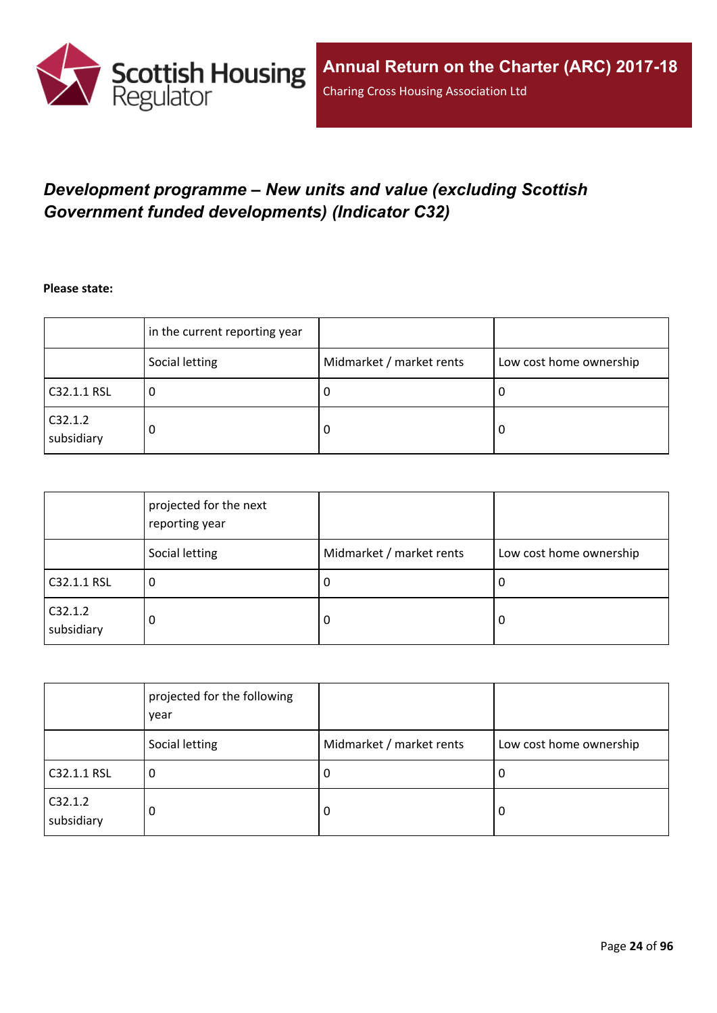

## <span id="page-23-0"></span>*Development programme – New units and value (excluding Scottish Government funded developments) (Indicator C32)*

**Please state:**

|                       | in the current reporting year |                          |                         |
|-----------------------|-------------------------------|--------------------------|-------------------------|
|                       | Social letting                | Midmarket / market rents | Low cost home ownership |
| C32.1.1 RSL           | u                             | υ                        | ∣U                      |
| C32.1.2<br>subsidiary | 0                             | υ                        | O                       |

|                       | projected for the next<br>reporting year |                          |                         |
|-----------------------|------------------------------------------|--------------------------|-------------------------|
|                       | Social letting                           | Midmarket / market rents | Low cost home ownership |
| C32.1.1 RSL           | 0                                        | -U                       | 0                       |
| C32.1.2<br>subsidiary | 0                                        | -0                       | 0                       |

|                       | projected for the following<br>year |                          |                         |
|-----------------------|-------------------------------------|--------------------------|-------------------------|
|                       | Social letting                      | Midmarket / market rents | Low cost home ownership |
| C32.1.1 RSL           | 0                                   | -U                       | 0                       |
| C32.1.2<br>subsidiary | 0                                   | -0                       | 0                       |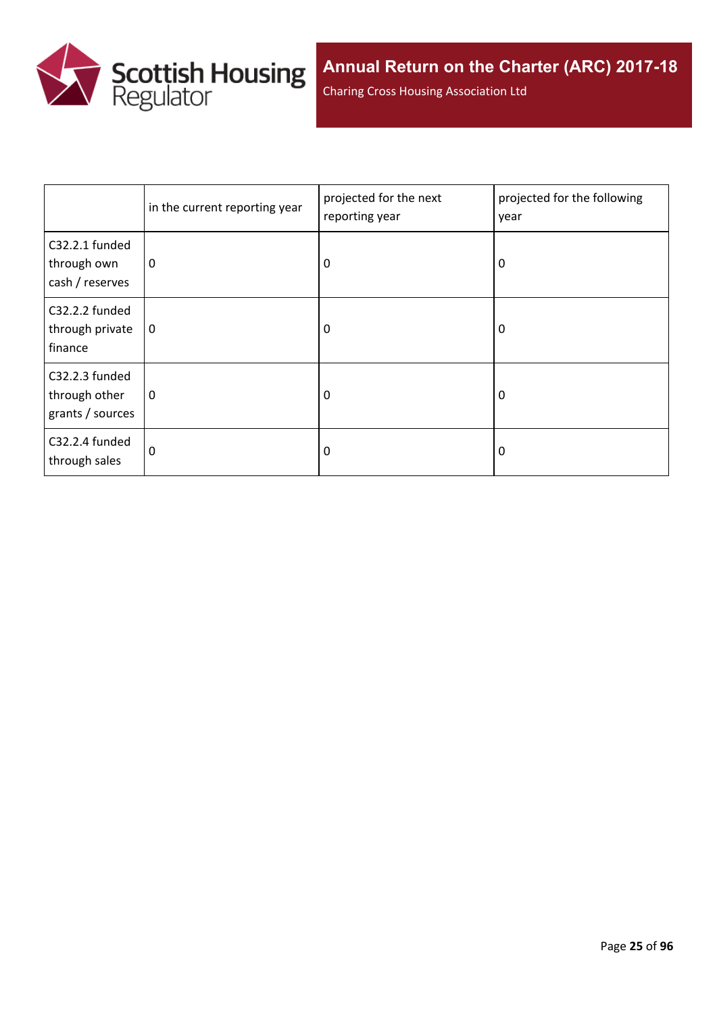

Charing Cross Housing Association Ltd

|                                                     | in the current reporting year | projected for the next<br>reporting year | projected for the following<br>year |
|-----------------------------------------------------|-------------------------------|------------------------------------------|-------------------------------------|
| C32.2.1 funded<br>through own<br>cash / reserves    | 0                             | 0<br>0                                   |                                     |
| C32.2.2 funded<br>through private<br>finance        | $\mathbf 0$                   | 0                                        | 0                                   |
| C32.2.3 funded<br>through other<br>grants / sources | 0                             | 0                                        | 0                                   |
| C32.2.4 funded<br>through sales                     | 0                             | 0                                        | 0                                   |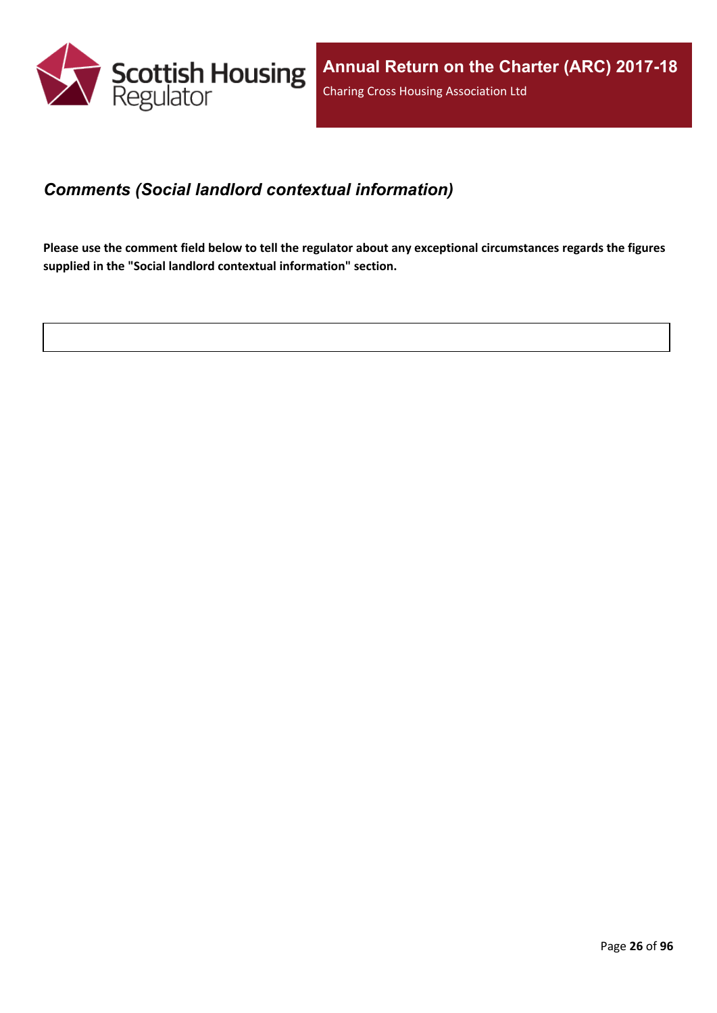

#### <span id="page-25-0"></span>*Comments (Social landlord contextual information)*

Please use the comment field below to tell the regulator about any exceptional circumstances regards the figures **supplied in the "Social landlord contextual information" section.**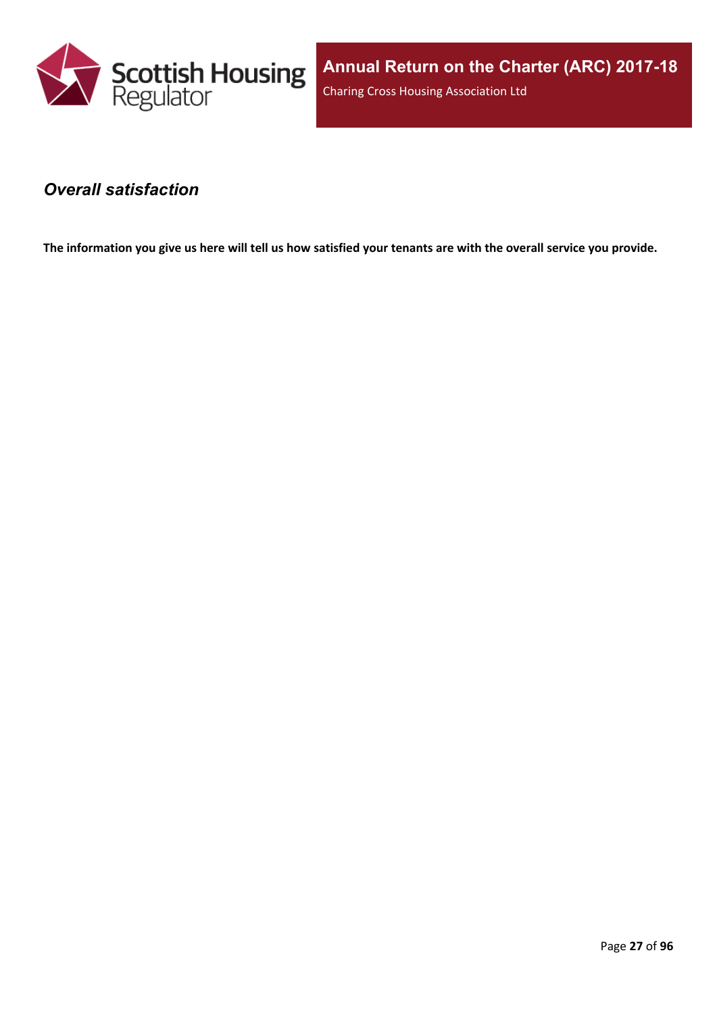

#### <span id="page-26-0"></span>*Overall satisfaction*

The information you give us here will tell us how satisfied your tenants are with the overall service you provide.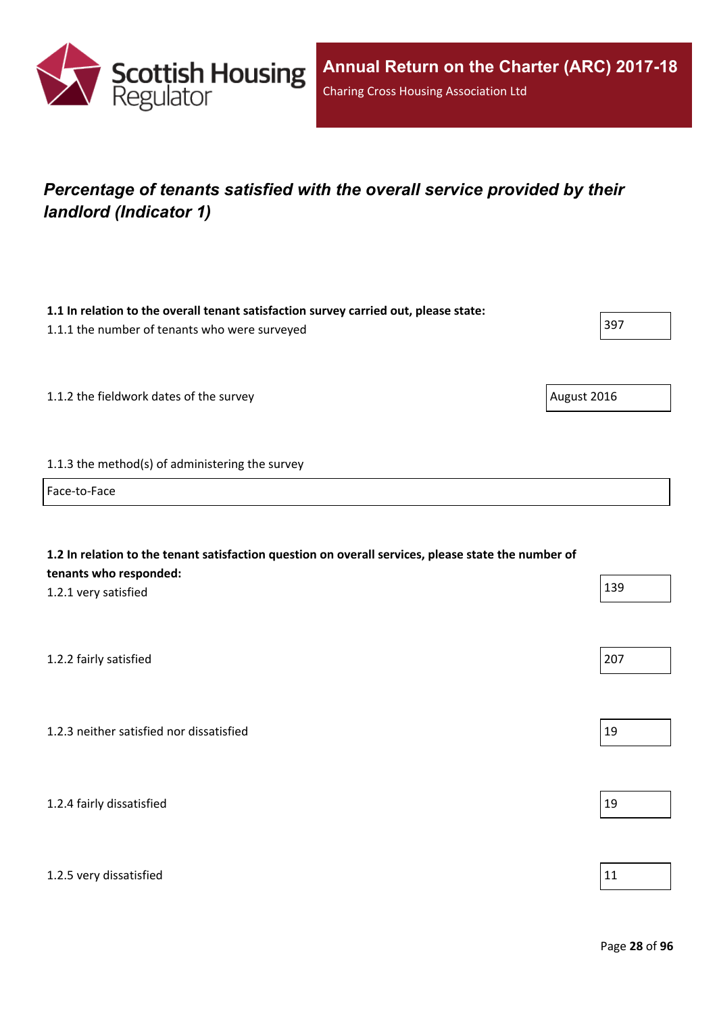

## <span id="page-27-0"></span>*Percentage of tenants satisfied with the overall service provided by their landlord (Indicator 1)*

| 1.1 In relation to the overall tenant satisfaction survey carried out, please state:<br>1.1.1 the number of tenants who were surveyed                 | 397         |
|-------------------------------------------------------------------------------------------------------------------------------------------------------|-------------|
| 1.1.2 the fieldwork dates of the survey                                                                                                               | August 2016 |
|                                                                                                                                                       |             |
| 1.1.3 the method(s) of administering the survey                                                                                                       |             |
| Face-to-Face                                                                                                                                          |             |
| 1.2 In relation to the tenant satisfaction question on overall services, please state the number of<br>tenants who responded:<br>1.2.1 very satisfied | 139         |
| 1.2.2 fairly satisfied                                                                                                                                | 207         |
| 1.2.3 neither satisfied nor dissatisfied                                                                                                              | 19          |
| 1.2.4 fairly dissatisfied                                                                                                                             | 19          |
| 1.2.5 very dissatisfied                                                                                                                               | 11          |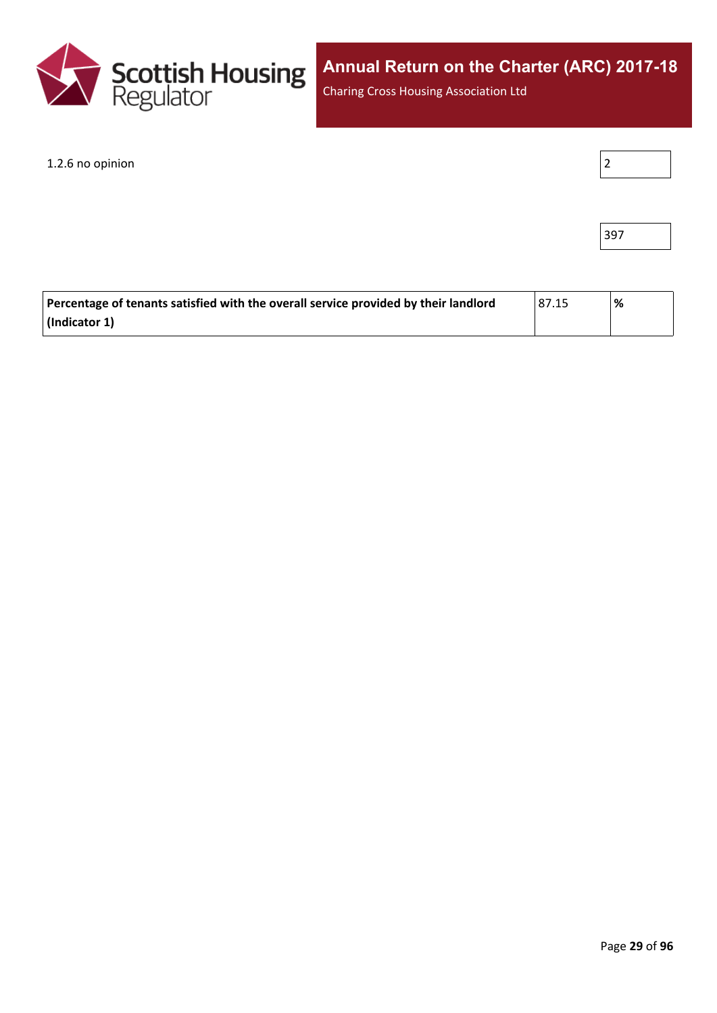

Charing Cross Housing Association Ltd

1.2.6 no opinion

|--|

| ۰.<br>×<br>×<br>۰, |  |
|--------------------|--|
|--------------------|--|

| Percentage of tenants satisfied with the overall service provided by their landlord | 87.15 | '% |
|-------------------------------------------------------------------------------------|-------|----|
| $\vert$ (Indicator 1)                                                               |       |    |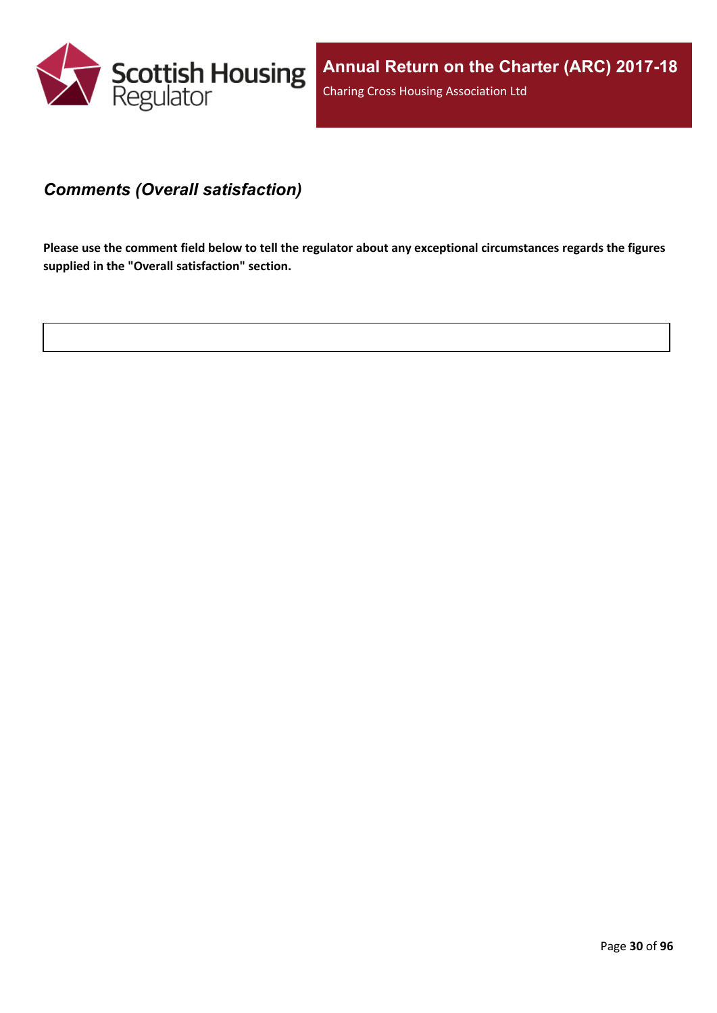

#### <span id="page-29-0"></span>*Comments (Overall satisfaction)*

Please use the comment field below to tell the regulator about any exceptional circumstances regards the figures **supplied in the "Overall satisfaction" section.**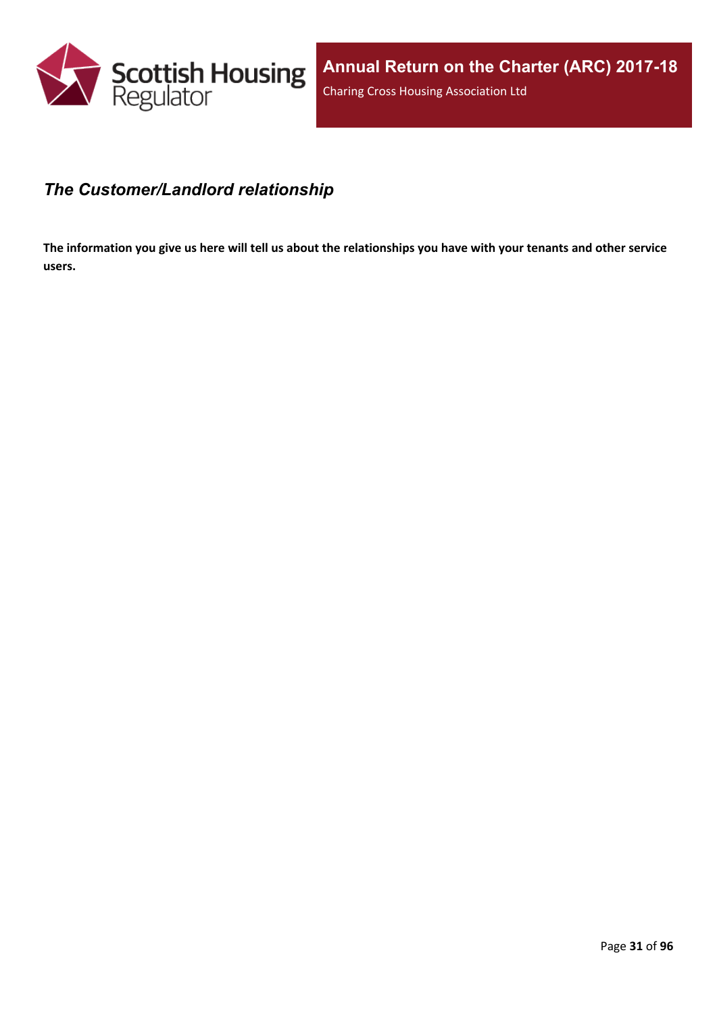

#### <span id="page-30-0"></span>*The Customer/Landlord relationship*

The information you give us here will tell us about the relationships you have with your tenants and other service **users.**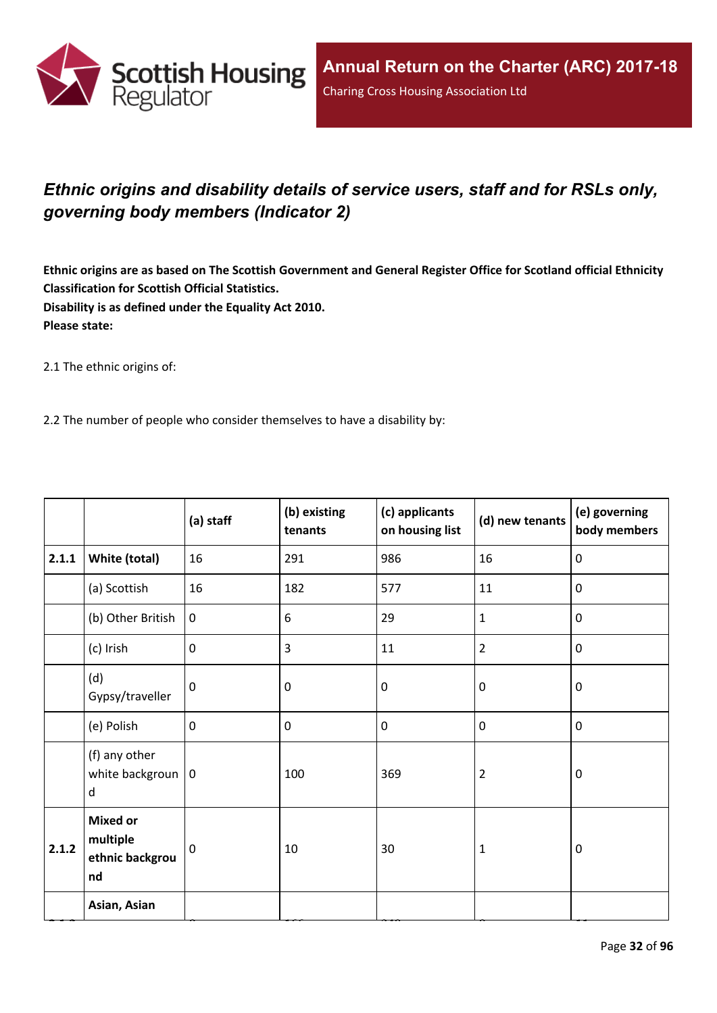

## <span id="page-31-0"></span>*Ethnic origins and disability details of service users, staff and for RSLs only, governing body members (Indicator 2)*

Ethnic origins are as based on The Scottish Government and General Register Office for Scotland official Ethnicity **Classification for Scottish Official Statistics. Disability is as defined under the Equality Act 2010. Please state:**

2.1 The ethnic origins of:

2.2 The number of people who consider themselves to have a disability by:

|       |                                                      | (a) staff   | (b) existing<br>tenants | (c) applicants<br>on housing list | (d) new tenants | (e) governing<br>body members |
|-------|------------------------------------------------------|-------------|-------------------------|-----------------------------------|-----------------|-------------------------------|
| 2.1.1 | White (total)                                        | 16          | 291                     | 986                               | 16              | $\mathbf 0$                   |
|       | (a) Scottish                                         | 16          | 182                     | 577                               | 11              | $\mathbf 0$                   |
|       | (b) Other British                                    | $\mathbf 0$ | 6                       | 29                                | $\mathbf{1}$    | $\mathbf 0$                   |
|       | (c) Irish                                            | $\mathbf 0$ | 3                       | 11                                | $\overline{2}$  | $\mathbf 0$                   |
|       | (d)<br>Gypsy/traveller                               | $\mathbf 0$ | 0                       | $\mathbf 0$                       | $\mathbf 0$     | $\mathbf 0$                   |
|       | (e) Polish                                           | $\mathbf 0$ | 0                       | $\pmb{0}$                         | $\pmb{0}$       | $\mathbf 0$                   |
|       | (f) any other<br>white backgroun $ 0$<br>d           |             | 100                     | 369                               | $\overline{2}$  | $\mathbf 0$                   |
| 2.1.2 | <b>Mixed or</b><br>multiple<br>ethnic backgrou<br>nd | $\mathbf 0$ | 10                      | 30                                | $\mathbf{1}$    | $\mathbf 0$                   |
|       | Asian, Asian                                         |             |                         |                                   |                 |                               |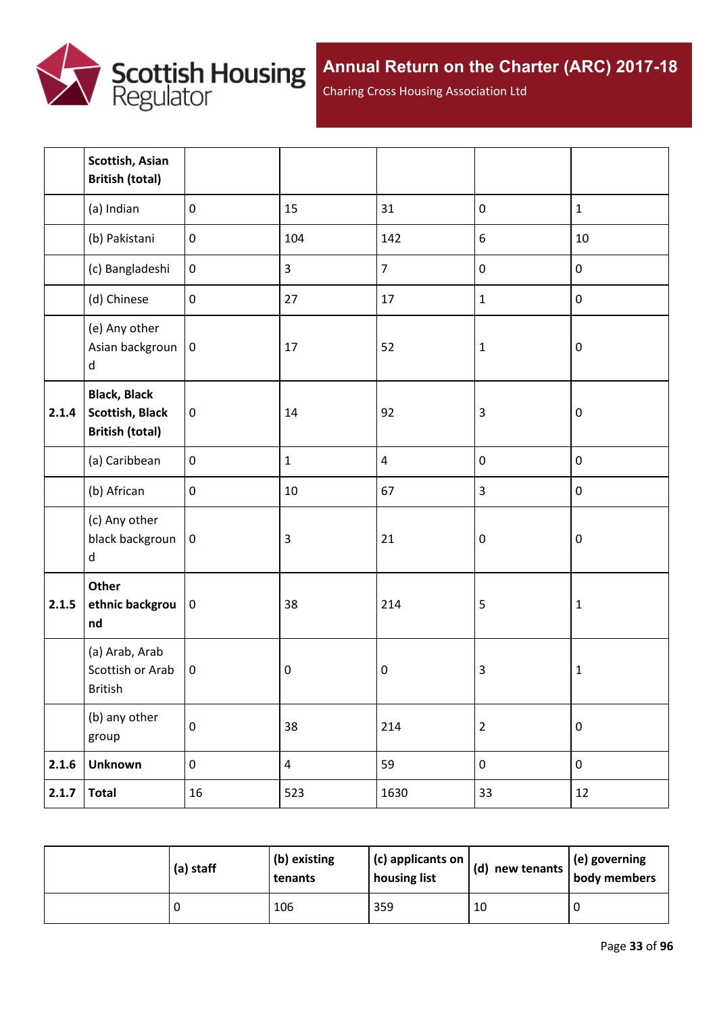

Charing Cross Housing Association Ltd

|       | Scottish, Asian<br><b>British (total)</b>                               |                  |                         |                |                  |              |
|-------|-------------------------------------------------------------------------|------------------|-------------------------|----------------|------------------|--------------|
|       | (a) Indian                                                              | $\mathbf 0$      | 15                      | 31             | $\pmb{0}$        | $\mathbf{1}$ |
|       | (b) Pakistani                                                           | $\mathbf 0$      | 104                     | 142            | 6                | 10           |
|       | (c) Bangladeshi                                                         | $\boldsymbol{0}$ | $\overline{3}$          | $\overline{7}$ | $\pmb{0}$        | $\pmb{0}$    |
|       | (d) Chinese                                                             | $\mathbf 0$      | 27                      | 17             | $\mathbf{1}$     | $\pmb{0}$    |
|       | (e) Any other<br>Asian backgroun<br>d                                   | $\pmb{0}$        | 17                      | 52             | $\mathbf 1$      | $\pmb{0}$    |
| 2.1.4 | <b>Black, Black</b><br><b>Scottish, Black</b><br><b>British (total)</b> | $\pmb{0}$        | 14                      | 92             | $\mathbf{3}$     | $\pmb{0}$    |
|       | (a) Caribbean                                                           | $\pmb{0}$        | $\mathbf{1}$            | $\pmb{4}$      | $\pmb{0}$        | $\pmb{0}$    |
|       | (b) African                                                             | $\mathbf 0$      | 10                      | 67             | 3                | $\pmb{0}$    |
|       | (c) Any other<br>black backgroun<br>d                                   | $\pmb{0}$        | $\overline{\mathbf{3}}$ | 21             | $\boldsymbol{0}$ | $\pmb{0}$    |
| 2.1.5 | Other<br>ethnic backgrou<br>nd                                          | $\bf{0}$         | 38                      | 214            | 5                | $\mathbf 1$  |
|       | (a) Arab, Arab<br>Scottish or Arab<br>British                           | $\pmb{0}$        | $\pmb{0}$               | $\pmb{0}$      | 3                | $\mathbf 1$  |
|       | (b) any other<br>group                                                  | $\pmb{0}$        | 38                      | 214            | $\mathbf 2$      | $\pmb{0}$    |
| 2.1.6 | <b>Unknown</b>                                                          | $\boldsymbol{0}$ | $\overline{4}$          | 59             | $\boldsymbol{0}$ | $\pmb{0}$    |
| 2.1.7 | <b>Total</b>                                                            | 16               | 523                     | 1630           | 33               | 12           |

| (a) staff | $ $ (b) existing<br>tenants | (c) applicants on<br>housing list | $(d)$ new tenants | $\vert$ (e) governing<br>body members |
|-----------|-----------------------------|-----------------------------------|-------------------|---------------------------------------|
|           | 106                         | 359                               | 10                |                                       |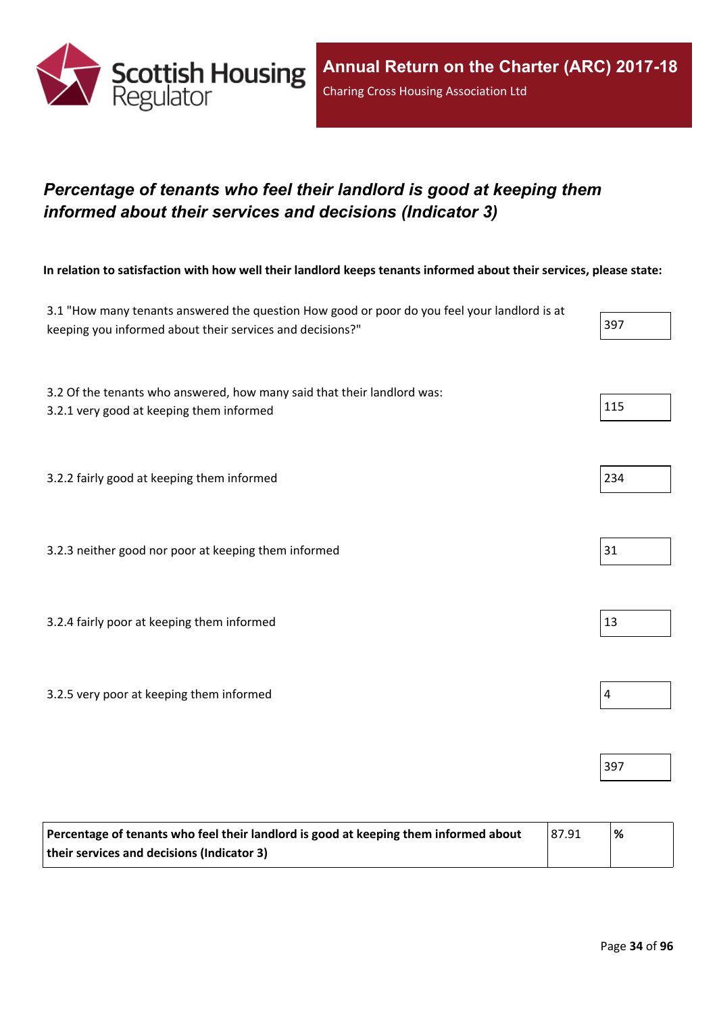

## <span id="page-33-0"></span>*Percentage of tenants who feel their landlord is good at keeping them informed about their services and decisions (Indicator 3)*

In relation to satisfaction with how well their landlord keeps tenants informed about their services, please state:

| 3.1 "How many tenants answered the question How good or poor do you feel your landlord is at<br>keeping you informed about their services and decisions?" | 397            |
|-----------------------------------------------------------------------------------------------------------------------------------------------------------|----------------|
| 3.2 Of the tenants who answered, how many said that their landlord was:<br>3.2.1 very good at keeping them informed                                       | 115            |
| 3.2.2 fairly good at keeping them informed                                                                                                                | 234            |
| 3.2.3 neither good nor poor at keeping them informed                                                                                                      | 31             |
| 3.2.4 fairly poor at keeping them informed                                                                                                                | 13             |
| 3.2.5 very poor at keeping them informed                                                                                                                  | $\overline{4}$ |
|                                                                                                                                                           | 397            |

| Percentage of tenants who feel their landlord is good at keeping them informed about | 87.91 | % |
|--------------------------------------------------------------------------------------|-------|---|
| their services and decisions (Indicator 3)                                           |       |   |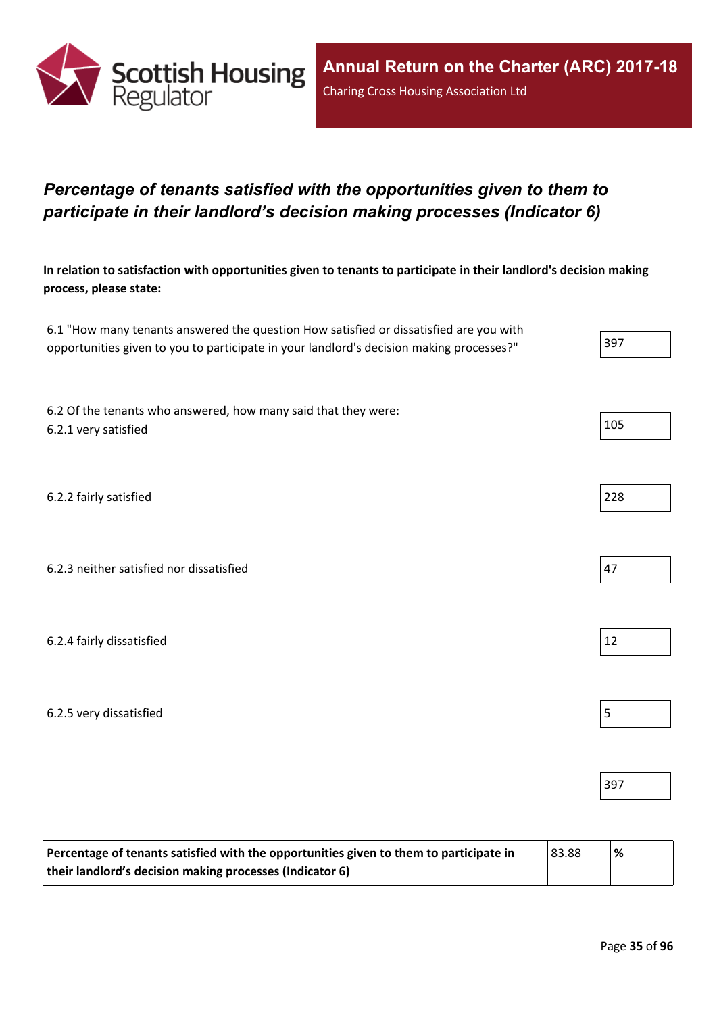

## <span id="page-34-0"></span>*Percentage of tenants satisfied with the opportunities given to them to participate in their landlord's decision making processes (Indicator 6)*

In relation to satisfaction with opportunities given to tenants to participate in their landlord's decision making **process, please state:**

| 6.1 "How many tenants answered the question How satisfied or dissatisfied are you with   |     |
|------------------------------------------------------------------------------------------|-----|
| opportunities given to you to participate in your landlord's decision making processes?" | 397 |

6.2 Of the tenants who answered, how many said that they were: 6.2.1 very satisfied 105

6.2.2 fairly satisfied 228

| 6.2.3 neither satisfied nor dissatisfied |
|------------------------------------------|
|------------------------------------------|

6.2.4 fairly dissatisfied  $\vert$  12

6.2.5 very dissatisfied 5

| Percentage of tenants satisfied with the opportunities given to them to participate in | 83.88 | '% |
|----------------------------------------------------------------------------------------|-------|----|
| their landlord's decision making processes (Indicator 6)                               |       |    |

397



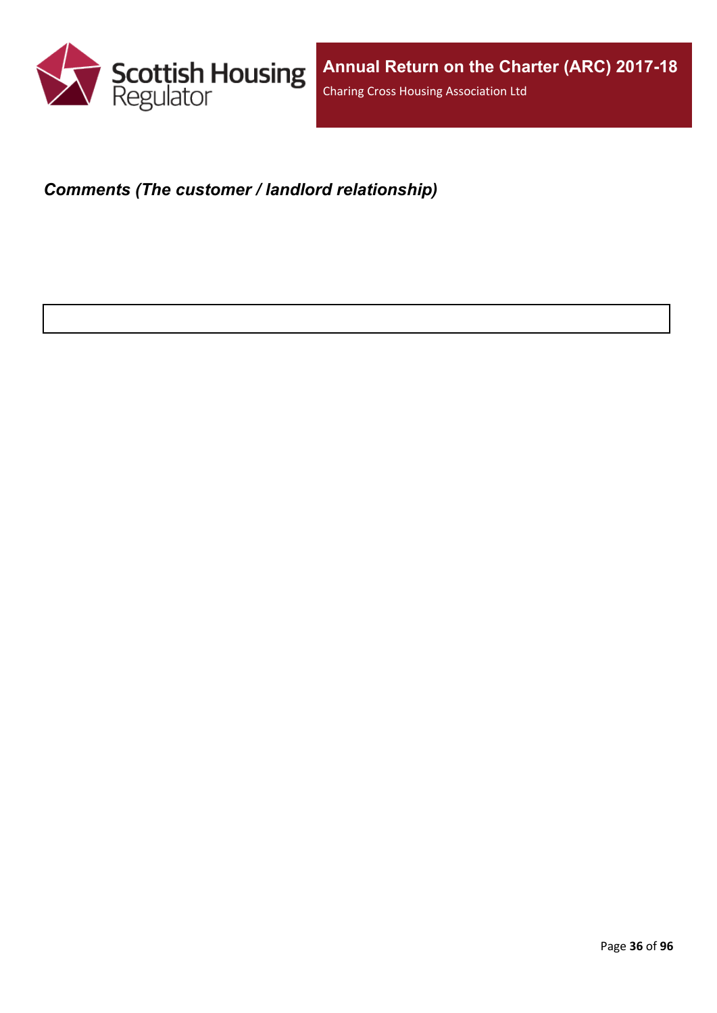

### <span id="page-35-0"></span>*Comments (The customer / landlord relationship)*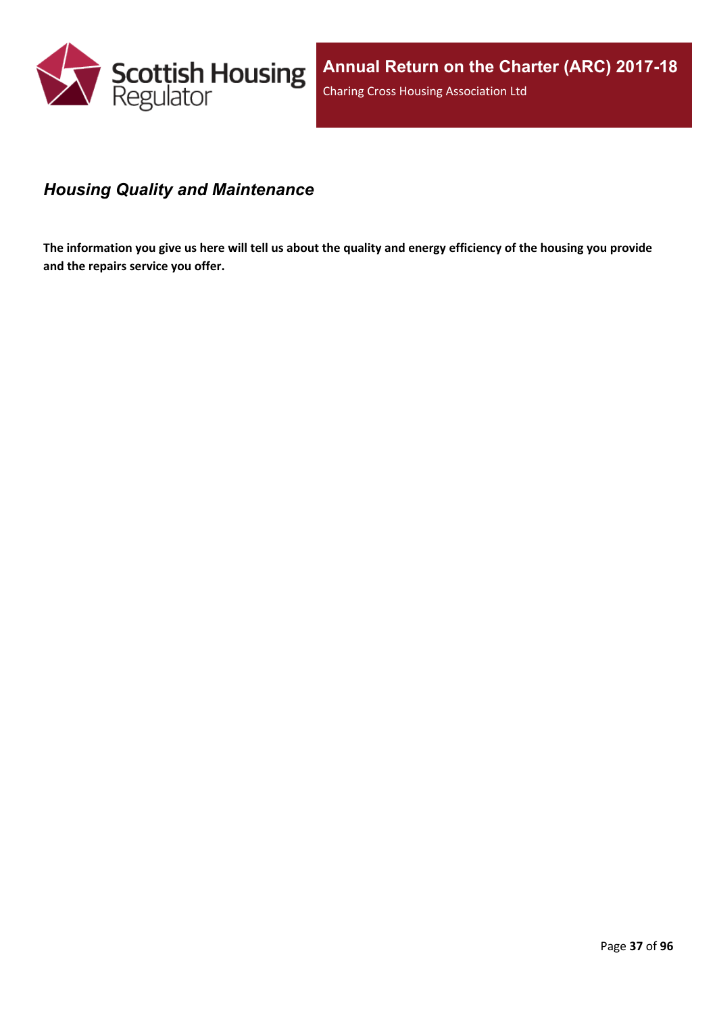

#### *Housing Quality and Maintenance*

The information you give us here will tell us about the quality and energy efficiency of the housing you provide **and the repairs service you offer.**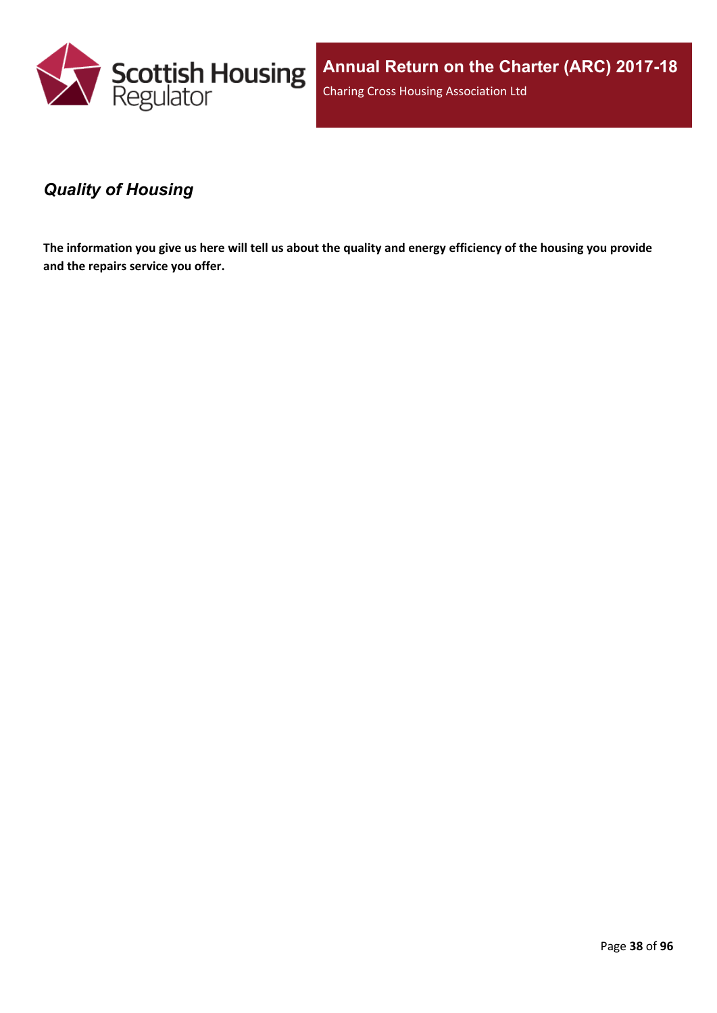

### *Quality of Housing*

The information you give us here will tell us about the quality and energy efficiency of the housing you provide **and the repairs service you offer.**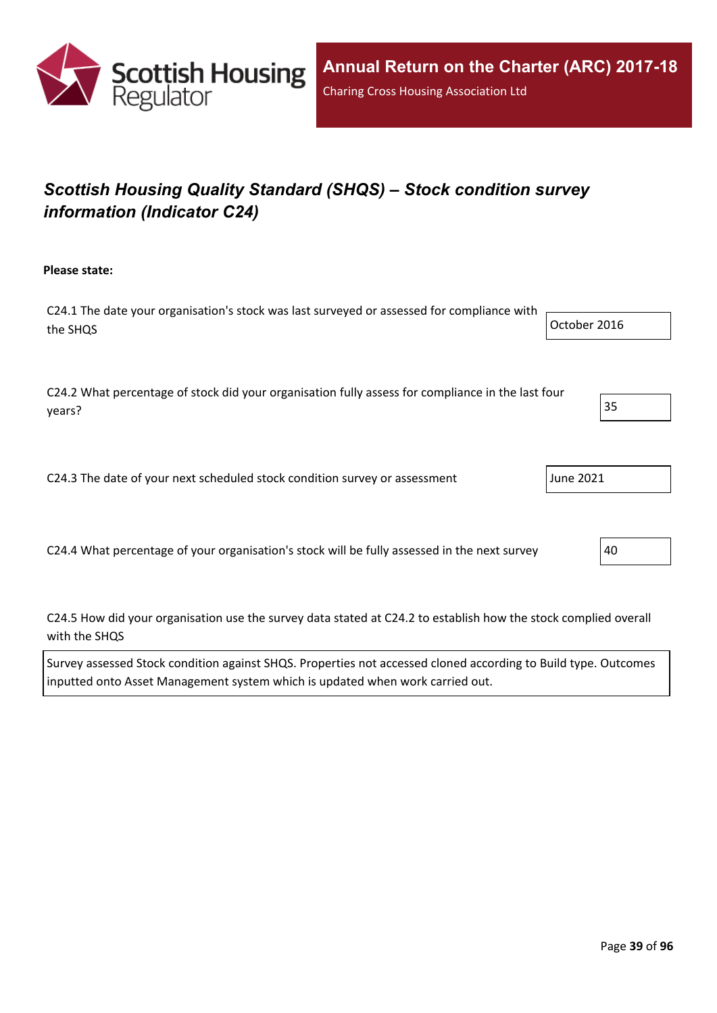

# *Scottish Housing Quality Standard (SHQS) – Stock condition survey information (Indicator C24)*

**Please state:**

| C24.1 The date your organisation's stock was last surveyed or assessed for compliance with |              |
|--------------------------------------------------------------------------------------------|--------------|
| the SHQS                                                                                   | October 2016 |
|                                                                                            |              |

C24.2 What percentage of stock did your organisation fully assess for compliance in the last four years? 35

C24.3 The date of your next scheduled stock condition survey or assessment June 2021

C24.4 What percentage of your organisation's stock will be fully assessed in the next survey  $\vert$ 40

C24.5 How did your organisation use the survey data stated at C24.2 to establish how the stock complied overall with the SHQS

Survey assessed Stock condition against SHQS. Properties not accessed cloned according to Build type. Outcomes inputted onto Asset Management system which is updated when work carried out.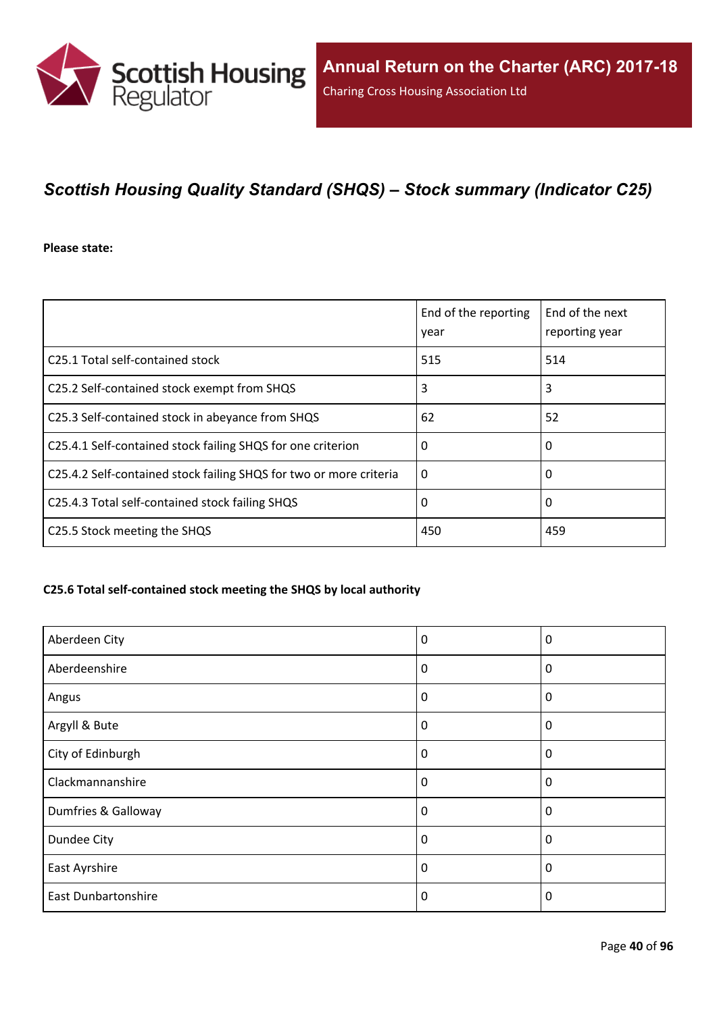

## *Scottish Housing Quality Standard (SHQS) – Stock summary (Indicator C25)*

**Please state:**

|                                                                    | End of the reporting<br>year | End of the next<br>reporting year |
|--------------------------------------------------------------------|------------------------------|-----------------------------------|
| C <sub>25.1</sub> Total self-contained stock                       | 515                          | 514                               |
| C25.2 Self-contained stock exempt from SHQS                        | 3                            | 3                                 |
| C25.3 Self-contained stock in abeyance from SHQS                   | 62                           | 52                                |
| C25.4.1 Self-contained stock failing SHQS for one criterion        | 0                            | 0                                 |
| C25.4.2 Self-contained stock failing SHQS for two or more criteria | $\Omega$                     | 0                                 |
| C25.4.3 Total self-contained stock failing SHQS                    | 0                            | 0                                 |
| C25.5 Stock meeting the SHQS                                       | 450                          | 459                               |

#### **C25.6 Total self-contained stock meeting the SHQS by local authority**

| Aberdeen City              | 0        | 0           |
|----------------------------|----------|-------------|
| Aberdeenshire              | 0        | 0           |
| Angus                      | 0        | 0           |
| Argyll & Bute              | 0        | 0           |
| City of Edinburgh          | 0        | 0           |
| Clackmannanshire           | $\Omega$ | $\mathbf 0$ |
| Dumfries & Galloway        | $\Omega$ | 0           |
| Dundee City                | 0        | $\mathbf 0$ |
| East Ayrshire              | 0        | 0           |
| <b>East Dunbartonshire</b> | 0        | $\Omega$    |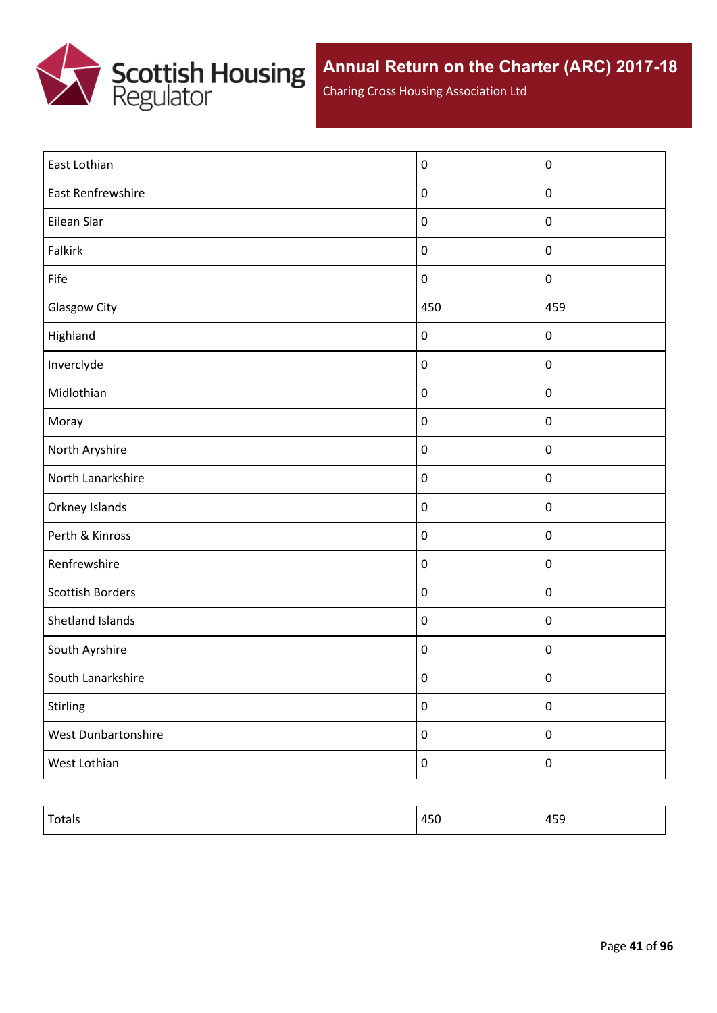

Charing Cross Housing Association Ltd

| East Lothian            | $\pmb{0}$        | $\pmb{0}$   |
|-------------------------|------------------|-------------|
| East Renfrewshire       | $\boldsymbol{0}$ | $\mathbf 0$ |
| Eilean Siar             | $\boldsymbol{0}$ | $\mathbf 0$ |
| <b>Falkirk</b>          | $\boldsymbol{0}$ | $\pmb{0}$   |
| Fife                    | $\boldsymbol{0}$ | $\pmb{0}$   |
| <b>Glasgow City</b>     | 450              | 459         |
| Highland                | $\boldsymbol{0}$ | $\pmb{0}$   |
| Inverclyde              | $\boldsymbol{0}$ | $\pmb{0}$   |
| Midlothian              | $\boldsymbol{0}$ | $\pmb{0}$   |
| Moray                   | $\boldsymbol{0}$ | $\pmb{0}$   |
| North Aryshire          | $\boldsymbol{0}$ | $\pmb{0}$   |
| North Lanarkshire       | $\boldsymbol{0}$ | $\pmb{0}$   |
| Orkney Islands          | $\boldsymbol{0}$ | $\pmb{0}$   |
| Perth & Kinross         | $\boldsymbol{0}$ | $\pmb{0}$   |
| Renfrewshire            | $\boldsymbol{0}$ | $\pmb{0}$   |
| <b>Scottish Borders</b> | $\boldsymbol{0}$ | $\pmb{0}$   |
| <b>Shetland Islands</b> | $\boldsymbol{0}$ | $\mathbf 0$ |
| South Ayrshire          | $\boldsymbol{0}$ | $\mathbf 0$ |
| South Lanarkshire       | $\pmb{0}$        | $\pmb{0}$   |
| Stirling                | $\pmb{0}$        | $\pmb{0}$   |
| West Dunbartonshire     | $\boldsymbol{0}$ | $\pmb{0}$   |
| West Lothian            | $\boldsymbol{0}$ | $\pmb{0}$   |

| $T = 1$<br>rotais | 450 | 100<br>455 |
|-------------------|-----|------------|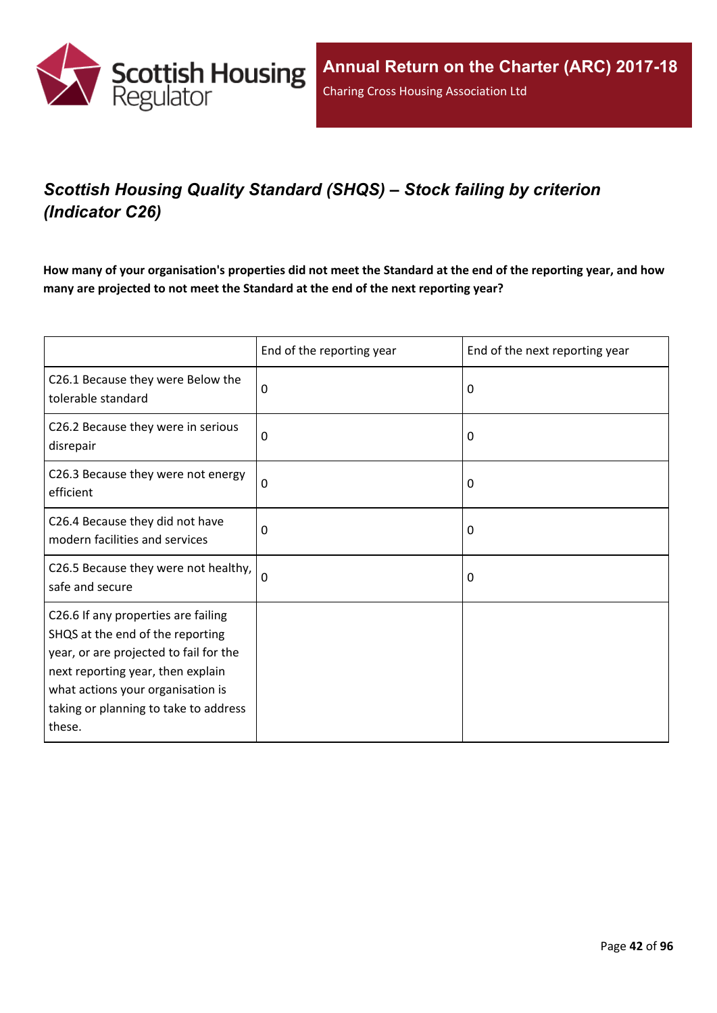

# *Scottish Housing Quality Standard (SHQS) – Stock failing by criterion (Indicator C26)*

How many of your organisation's properties did not meet the Standard at the end of the reporting year, and how **many are projected to not meet the Standard at the end of the next reporting year?**

|                                                                                                                                                                                                                                                | End of the reporting year | End of the next reporting year |
|------------------------------------------------------------------------------------------------------------------------------------------------------------------------------------------------------------------------------------------------|---------------------------|--------------------------------|
| C26.1 Because they were Below the<br>tolerable standard                                                                                                                                                                                        | 0                         | 0                              |
| C26.2 Because they were in serious<br>disrepair                                                                                                                                                                                                | 0                         | 0                              |
| C26.3 Because they were not energy<br>efficient                                                                                                                                                                                                | $\mathbf 0$               | 0                              |
| C26.4 Because they did not have<br>modern facilities and services                                                                                                                                                                              | $\mathbf 0$               | 0                              |
| C26.5 Because they were not healthy,<br>safe and secure                                                                                                                                                                                        | $\Omega$                  | 0                              |
| C26.6 If any properties are failing<br>SHQS at the end of the reporting<br>year, or are projected to fail for the<br>next reporting year, then explain<br>what actions your organisation is<br>taking or planning to take to address<br>these. |                           |                                |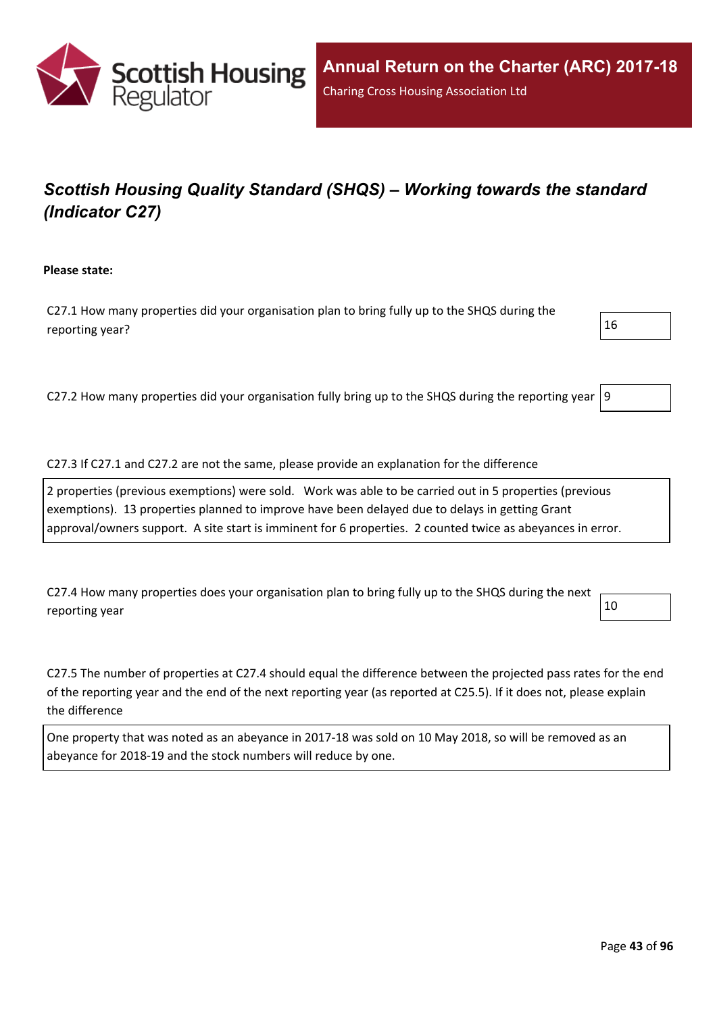

# *Scottish Housing Quality Standard (SHQS) – Working towards the standard (Indicator C27)*

**Please state:**

C27.1 How many properties did your organisation plan to bring fully up to the SHQS during the reporting year?  $16$ 

C27.2 How many properties did your organisation fully bring up to the SHQS during the reporting year  $|9$ 

C27.3 If C27.1 and C27.2 are not the same, please provide an explanation for the difference

2 properties (previous exemptions) were sold. Work was able to be carried out in 5 properties (previous exemptions). 13 properties planned to improve have been delayed due to delays in getting Grant approval/owners support. A site start is imminent for 6 properties. 2 counted twice as abeyances in error.

C27.4 How many properties does your organisation plan to bring fully up to the SHQS during the next reporting year  $\vert$  10

C27.5 The number of properties at C27.4 should equal the difference between the projected pass rates for the end of the reporting year and the end of the next reporting year (as reported at C25.5). If it does not, please explain the difference

One property that was noted as an abeyance in 2017-18 was sold on 10 May 2018, so will be removed as an abeyance for 2018-19 and the stock numbers will reduce by one.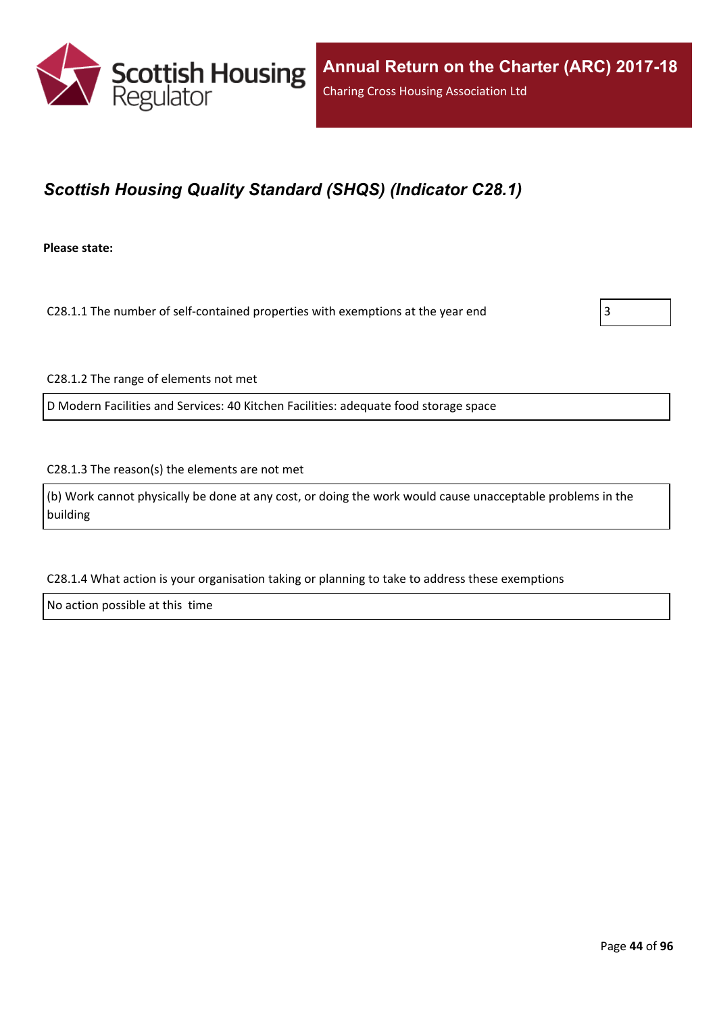

## *Scottish Housing Quality Standard (SHQS) (Indicator C28.1)*

**Please state:**

C28.1.1 The number of self-contained properties with exemptions at the year end  $\vert$ 3

C28.1.2 The range of elements not met

D Modern Facilities and Services: 40 Kitchen Facilities: adequate food storage space

C28.1.3 The reason(s) the elements are not met

(b) Work cannot physically be done at any cost, or doing the work would cause unacceptable problems in the building

C28.1.4 What action is your organisation taking or planning to take to address these exemptions

No action possible at this time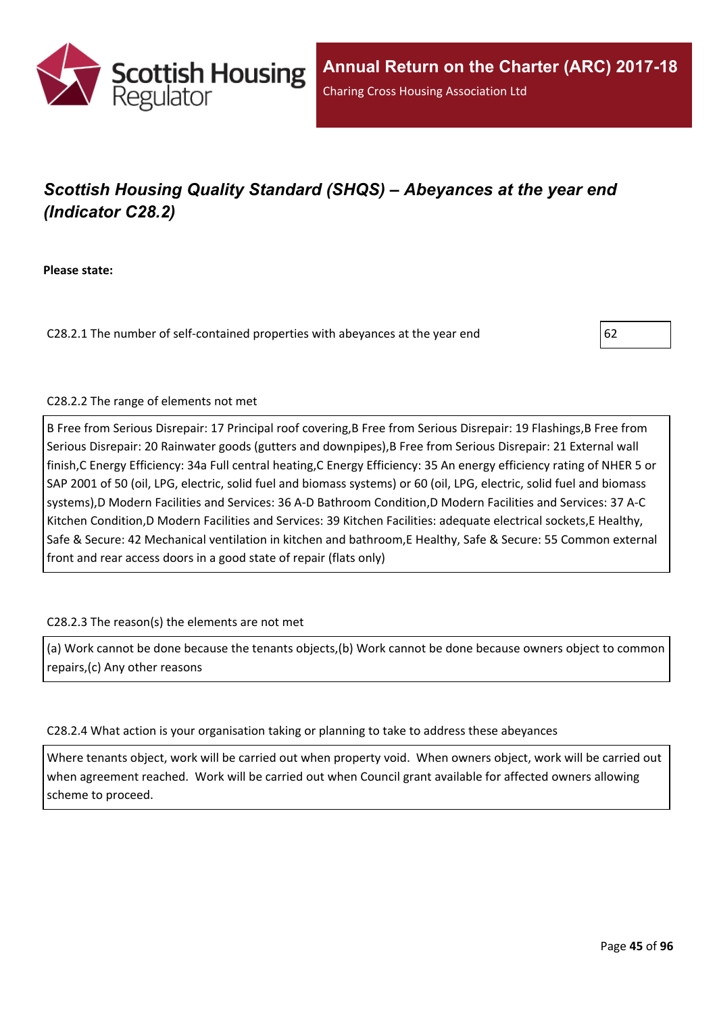

# *Scottish Housing Quality Standard (SHQS) – Abeyances at the year end (Indicator C28.2)*

**Please state:**

C28.2.1 The number of self-contained properties with abeyances at the year end  $\vert 62$ 



#### C28.2.2 The range of elements not met

B Free from Serious Disrepair: 17 Principal roof covering,B Free from Serious Disrepair: 19 Flashings,B Free from Serious Disrepair: 20 Rainwater goods (gutters and downpipes),B Free from Serious Disrepair: 21 External wall finish,C Energy Efficiency: 34a Full central heating,C Energy Efficiency: 35 An energy efficiency rating of NHER 5 or SAP 2001 of 50 (oil, LPG, electric, solid fuel and biomass systems) or 60 (oil, LPG, electric, solid fuel and biomass systems),D Modern Facilities and Services: 36 A-D Bathroom Condition,D Modern Facilities and Services: 37 A-C Kitchen Condition,D Modern Facilities and Services: 39 Kitchen Facilities: adequate electrical sockets,E Healthy, Safe & Secure: 42 Mechanical ventilation in kitchen and bathroom,E Healthy, Safe & Secure: 55 Common external front and rear access doors in a good state of repair (flats only)

#### C28.2.3 The reason(s) the elements are not met

(a) Work cannot be done because the tenants objects,(b) Work cannot be done because owners object to common repairs,(c) Any other reasons

#### C28.2.4 What action is your organisation taking or planning to take to address these abeyances

Where tenants object, work will be carried out when property void. When owners object, work will be carried out when agreement reached. Work will be carried out when Council grant available for affected owners allowing scheme to proceed.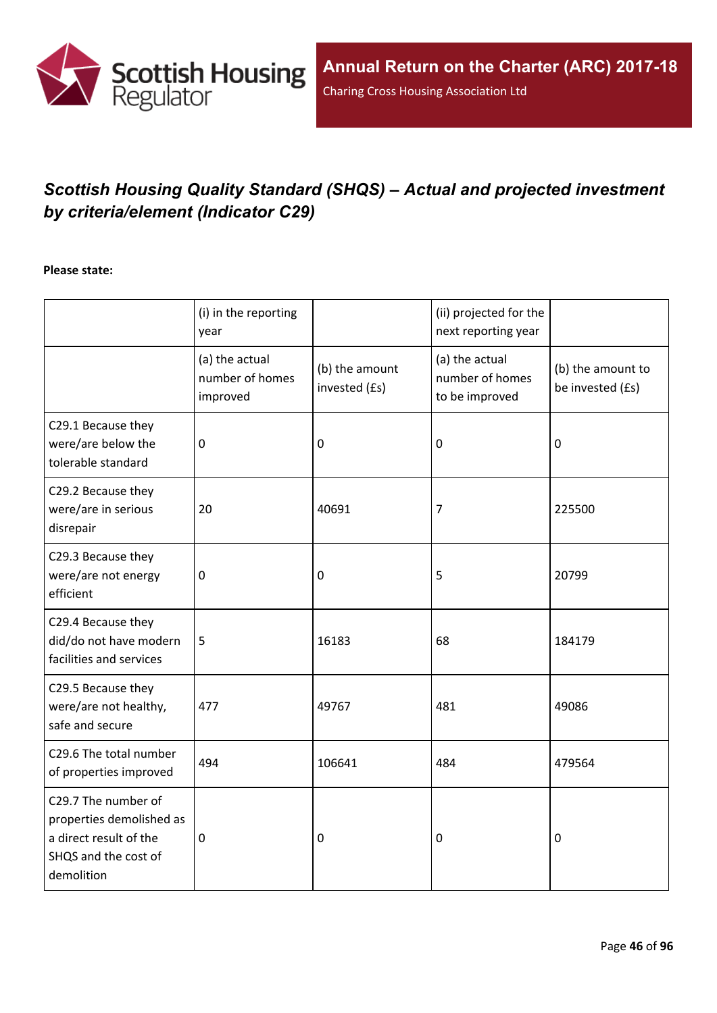

# *Scottish Housing Quality Standard (SHQS) – Actual and projected investment by criteria/element (Indicator C29)*

#### **Please state:**

|                                                                                                                 | (i) in the reporting<br>year                  |                                 | (ii) projected for the<br>next reporting year       |                                       |
|-----------------------------------------------------------------------------------------------------------------|-----------------------------------------------|---------------------------------|-----------------------------------------------------|---------------------------------------|
|                                                                                                                 | (a) the actual<br>number of homes<br>improved | (b) the amount<br>invested (£s) | (a) the actual<br>number of homes<br>to be improved | (b) the amount to<br>be invested (£s) |
| C29.1 Because they<br>were/are below the<br>tolerable standard                                                  | $\mathbf{0}$                                  | 0                               | $\mathbf 0$                                         | 0                                     |
| C29.2 Because they<br>were/are in serious<br>disrepair                                                          | 20                                            | 40691                           | 7                                                   | 225500                                |
| C29.3 Because they<br>were/are not energy<br>efficient                                                          | $\mathbf 0$                                   | 0                               | 5                                                   | 20799                                 |
| C29.4 Because they<br>did/do not have modern<br>facilities and services                                         | 5                                             | 16183                           | 68                                                  | 184179                                |
| C29.5 Because they<br>were/are not healthy,<br>safe and secure                                                  | 477                                           | 49767                           | 481                                                 | 49086                                 |
| C29.6 The total number<br>of properties improved                                                                | 494                                           | 106641                          | 484                                                 | 479564                                |
| C29.7 The number of<br>properties demolished as<br>a direct result of the<br>SHQS and the cost of<br>demolition | 0                                             | 0                               | 0                                                   | $\mathbf 0$                           |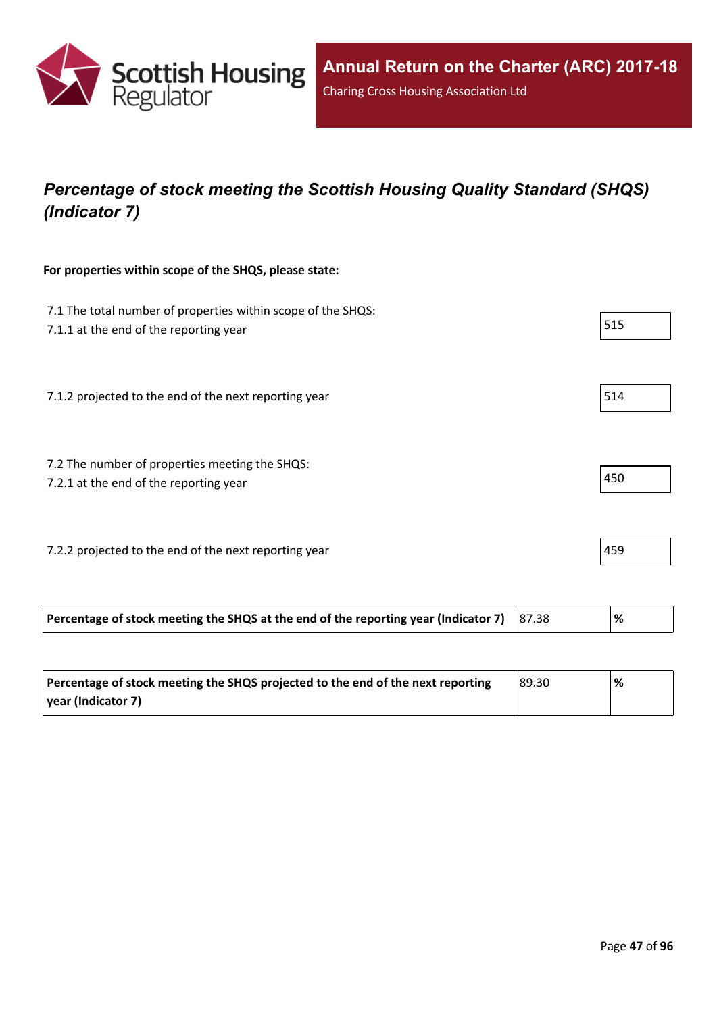

## *Percentage of stock meeting the Scottish Housing Quality Standard (SHQS) (Indicator 7)*

#### **For properties within scope of the SHQS, please state:**

| 7.1 The total number of properties within scope of the SHQS:<br>7.1.1 at the end of the reporting year | 515 |
|--------------------------------------------------------------------------------------------------------|-----|
| 7.1.2 projected to the end of the next reporting year                                                  | 514 |
| 7.2 The number of properties meeting the SHQS:<br>7.2.1 at the end of the reporting year               | 450 |
| 7.2.2 projected to the end of the next reporting year                                                  | 459 |

| Percentage of stock meeting the SHQS projected to the end of the next reporting | 89.30 | % |
|---------------------------------------------------------------------------------|-------|---|
| vear (Indicator 7)                                                              |       |   |

**Percentage of stock meeting the SHQS at the end of the reporting year (Indicator 7)** 87.38 **%**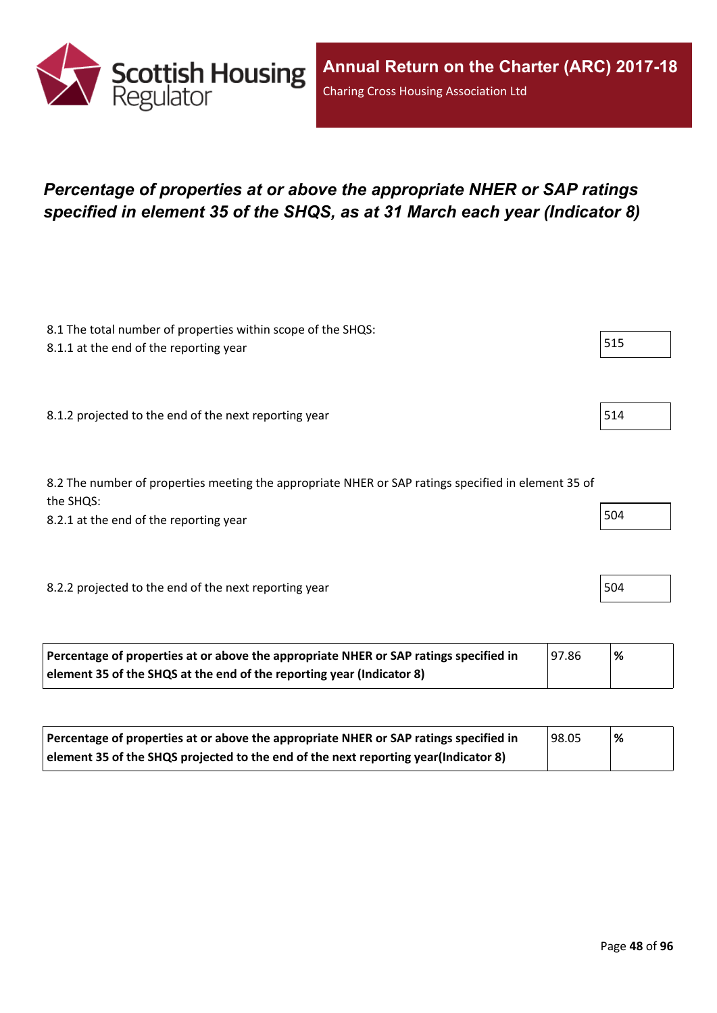

## *Percentage of properties at or above the appropriate NHER or SAP ratings specified in element 35 of the SHQS, as at 31 March each year (Indicator 8)*

| 8.1 The total number of properties within scope of the SHQS:<br>8.1.1 at the end of the reporting year                                                     | 515 |
|------------------------------------------------------------------------------------------------------------------------------------------------------------|-----|
| 8.1.2 projected to the end of the next reporting year                                                                                                      | 514 |
| 8.2 The number of properties meeting the appropriate NHER or SAP ratings specified in element 35 of<br>the SHQS:<br>8.2.1 at the end of the reporting year | 504 |
| 8.2.2 projected to the end of the next reporting year                                                                                                      | 504 |

| Percentage of properties at or above the appropriate NHER or SAP ratings specified in | 97.86 | % |
|---------------------------------------------------------------------------------------|-------|---|
| element 35 of the SHQS at the end of the reporting year (Indicator 8)                 |       |   |

| Percentage of properties at or above the appropriate NHER or SAP ratings specified in | 98.05 | % |
|---------------------------------------------------------------------------------------|-------|---|
| element 35 of the SHQS projected to the end of the next reporting year(Indicator 8)   |       |   |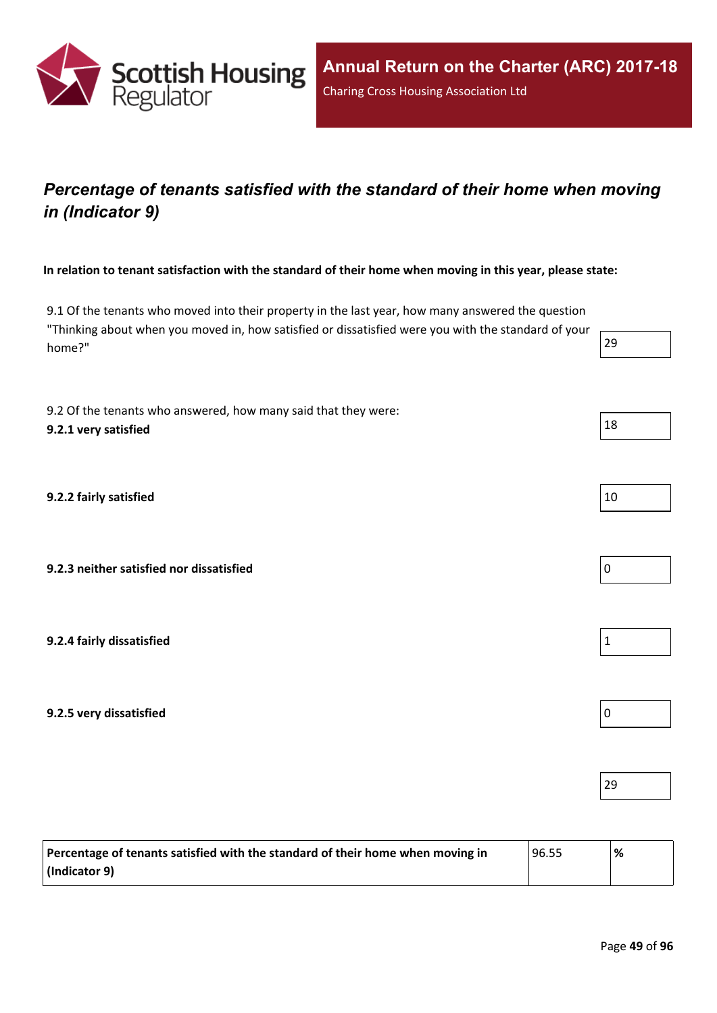

### *Percentage of tenants satisfied with the standard of their home when moving in (Indicator 9)*

In relation to tenant satisfaction with the standard of their home when moving in this year, please state:

9.1 Of the tenants who moved into their property in the last year, how many answered the question "Thinking about when you moved in, how satisfied or dissatisfied were you with the standard of your home?" 29

9.2 Of the tenants who answered, how many said that they were: **9.2.1 very** satisfied  $\left| \begin{array}{c} 18 \end{array} \right|$ 

**9.2.2 fairly satisfied** 10

**9.2.3 neither satisfied nor dissatisfied** 0

**9.2.4 fairly dissatisfied** 1

**9.2.5 very dissatisfied** 0

| Percentage of tenants satisfied with the standard of their home when moving in | 96.55 | % |
|--------------------------------------------------------------------------------|-------|---|
| $ $ (Indicator 9)                                                              |       |   |

29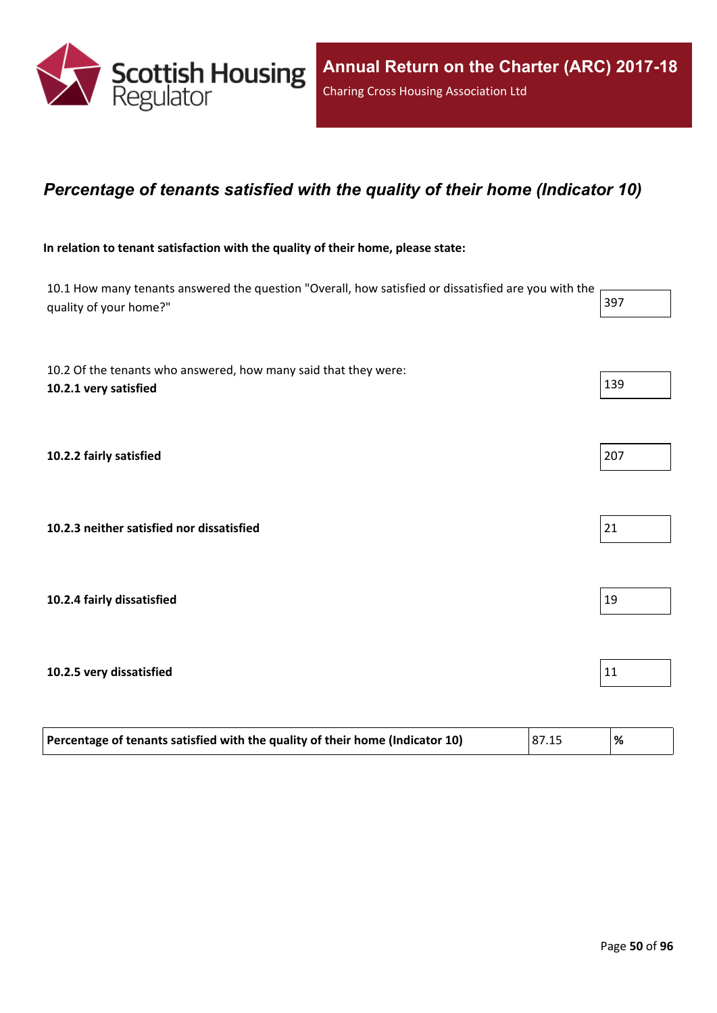

#### *Percentage of tenants satisfied with the quality of their home (Indicator 10)*

#### **In relation to tenant satisfaction with the quality of their home, please state:**

| 10.1 How many tenants answered the question "Overall, how satisfied or dissatisfied are you with the<br>quality of your home?" | 397 |
|--------------------------------------------------------------------------------------------------------------------------------|-----|
| 10.2 Of the tenants who answered, how many said that they were:<br>10.2.1 very satisfied                                       | 139 |
| 10.2.2 fairly satisfied                                                                                                        | 207 |
| 10.2.3 neither satisfied nor dissatisfied                                                                                      | 21  |
| 10.2.4 fairly dissatisfied                                                                                                     | 19  |
| 10.2.5 very dissatisfied                                                                                                       | 11  |
|                                                                                                                                |     |

| Percentage of tenants satisfied with the quality of their home (Indicator 10) | 87.15 | ' % |
|-------------------------------------------------------------------------------|-------|-----|
|                                                                               |       |     |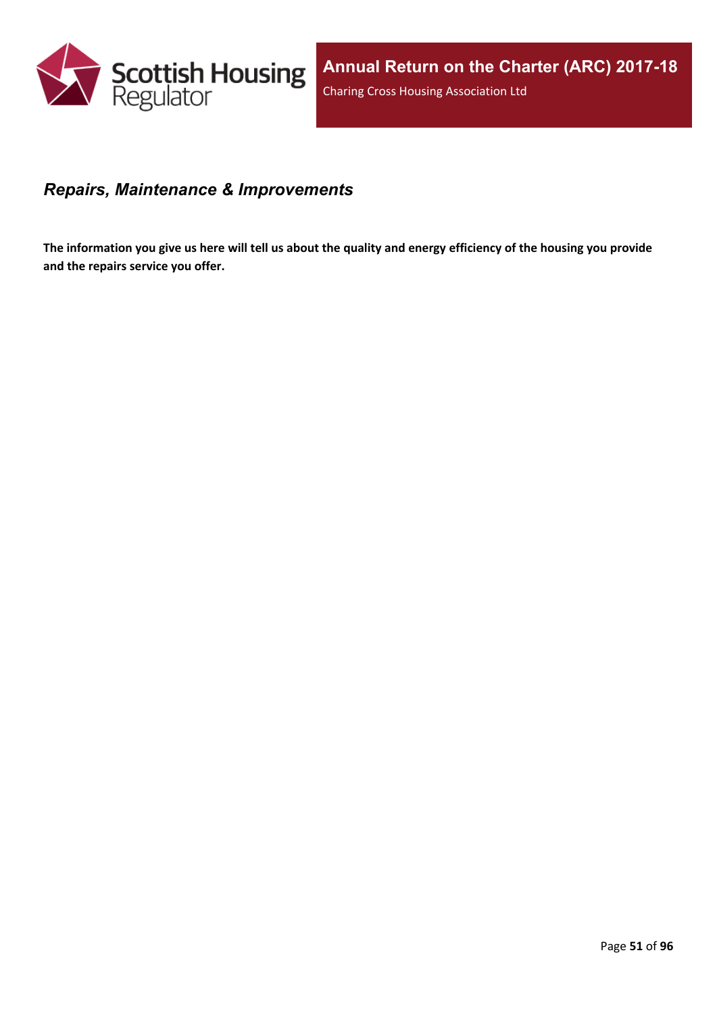

#### *Repairs, Maintenance & Improvements*

The information you give us here will tell us about the quality and energy efficiency of the housing you provide **and the repairs service you offer.**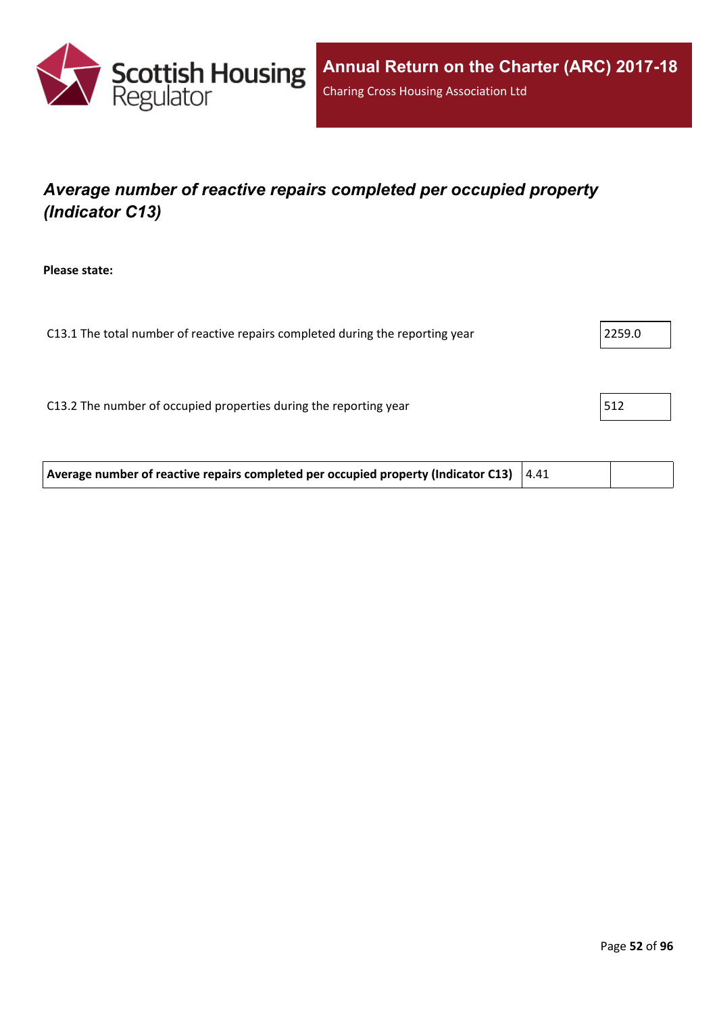

# *Average number of reactive repairs completed per occupied property (Indicator C13)*

**Please state:**

| 2259.0 |
|--------|
|        |
|        |
| 512    |
|        |
|        |

| Average number of reactive repairs completed per occupied property (Indicator C13) $ 4.41\rangle$ |  |  |  |
|---------------------------------------------------------------------------------------------------|--|--|--|
|---------------------------------------------------------------------------------------------------|--|--|--|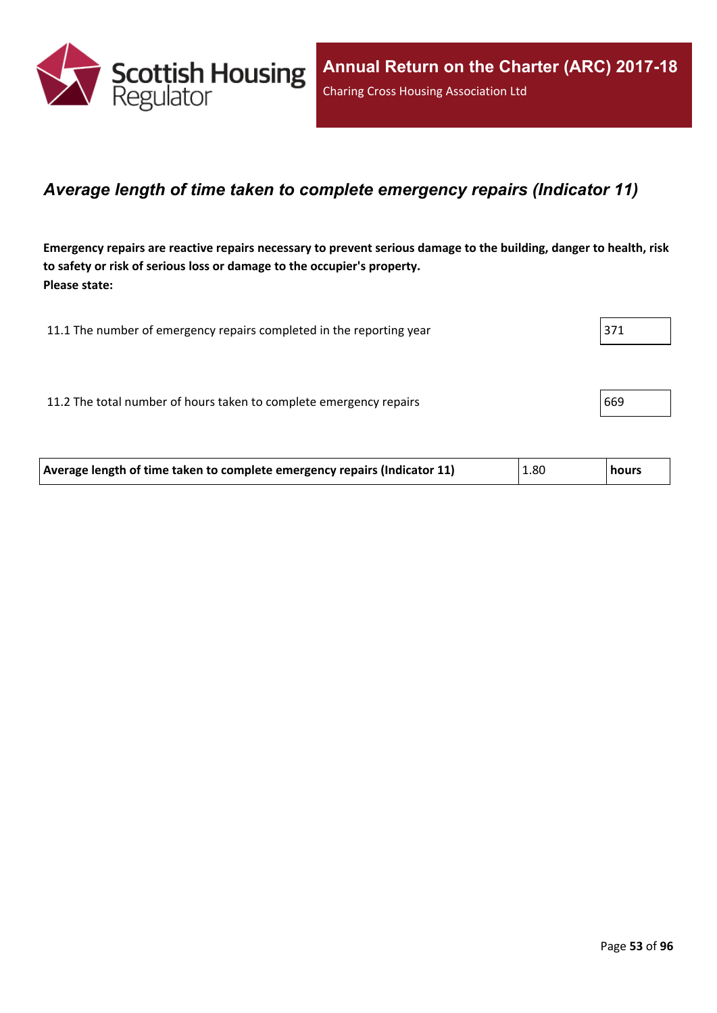

#### *Average length of time taken to complete emergency repairs (Indicator 11)*

Emergency repairs are reactive repairs necessary to prevent serious damage to the building, danger to health, risk **to safety or risk of serious loss or damage to the occupier's property. Please state:**

| 11.1 The number of emergency repairs completed in the reporting year | 371 |
|----------------------------------------------------------------------|-----|
|                                                                      |     |
| 11.2 The total number of hours taken to complete emergency repairs   | 669 |
|                                                                      |     |

| Average length of time taken to complete emergency repairs (Indicator 11)<br>1.80<br><b>hours</b> |
|---------------------------------------------------------------------------------------------------|
|---------------------------------------------------------------------------------------------------|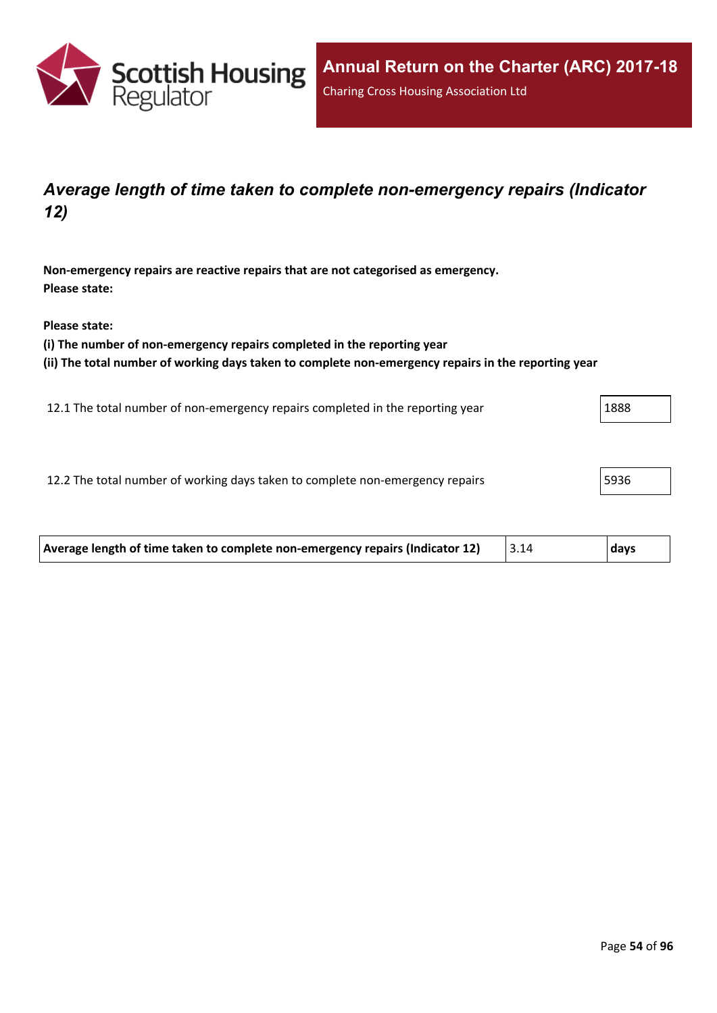

### *Average length of time taken to complete non-emergency repairs (Indicator 12)*

**Non-emergency repairs are reactive repairs that are not categorised as emergency. Please state:**

**Please state:**

**(i) The number of non-emergency repairs completed in the reporting year**

**(ii) The total number of working days taken to complete non-emergency repairs in the reporting year**

12.1 The total number of non-emergency repairs completed in the reporting year 1888

12.2 The total number of working days taken to complete non-emergency repairs **19936** 

| Average length of time taken to complete non-emergency repairs (Indicator 12) | days! |
|-------------------------------------------------------------------------------|-------|
|                                                                               |       |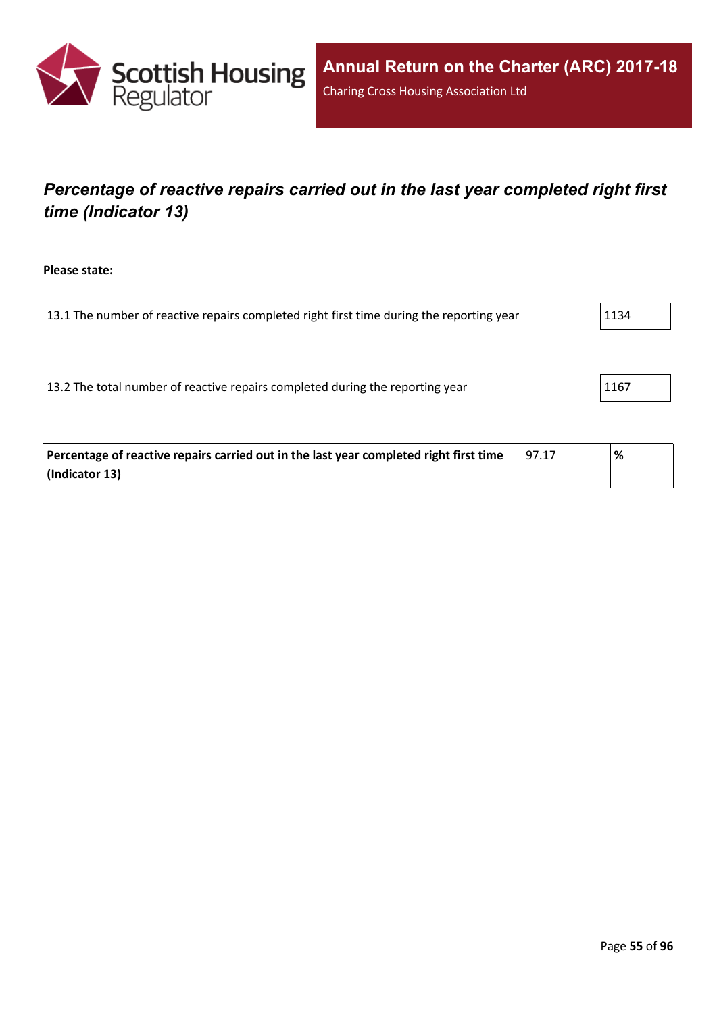

## *Percentage of reactive repairs carried out in the last year completed right first time (Indicator 13)*

**Please state:**

13.1 The number of reactive repairs completed right first time during the reporting year  $1134$ 

13.2 The total number of reactive repairs completed during the reporting year 1167

| Percentage of reactive repairs carried out in the last year completed right first time | 197.17 | % |
|----------------------------------------------------------------------------------------|--------|---|
| (Indicator 13)                                                                         |        |   |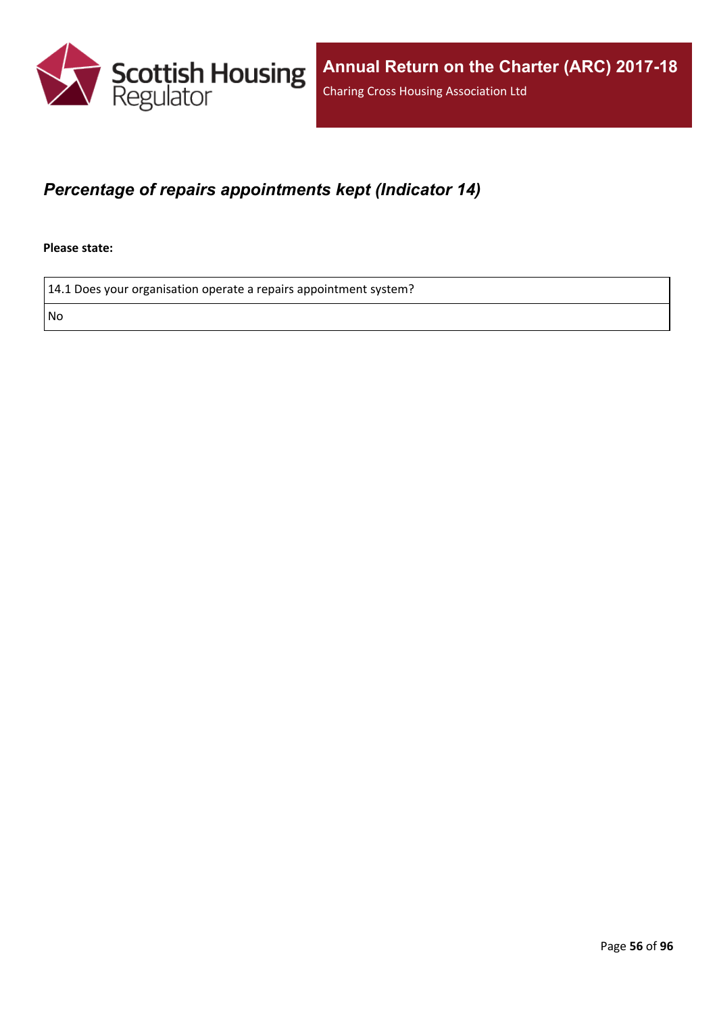

### *Percentage of repairs appointments kept (Indicator 14)*

**Please state:**

14.1 Does your organisation operate a repairs appointment system?

No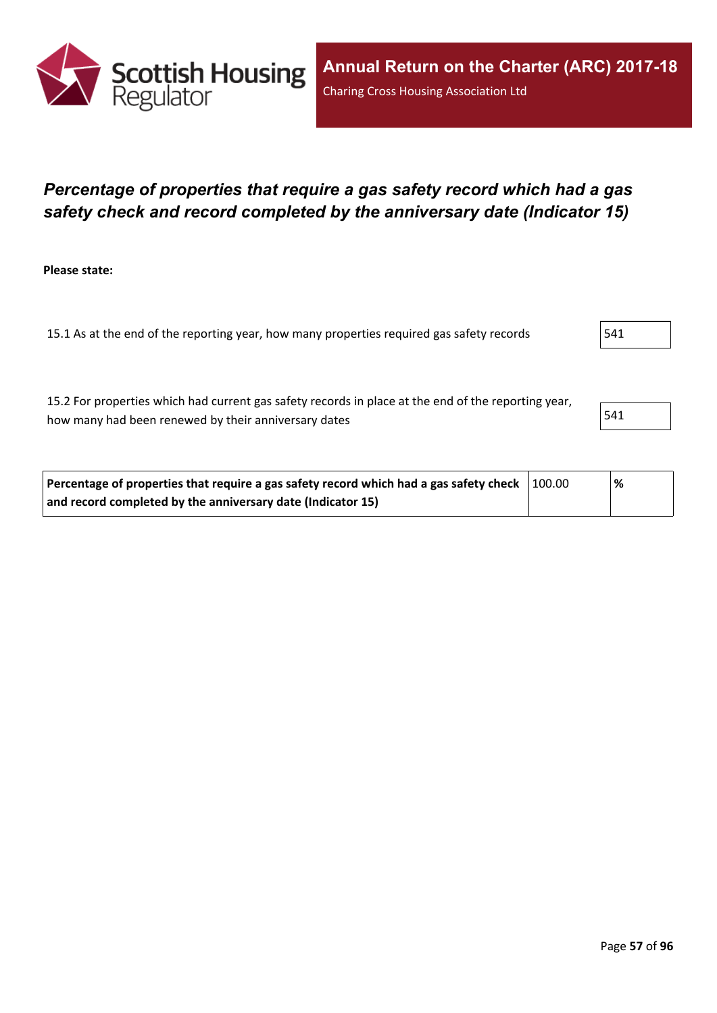

### *Percentage of properties that require a gas safety record which had a gas safety check and record completed by the anniversary date (Indicator 15)*

**Please state:**

15.1 As at the end of the reporting year, how many properties required gas safety records | 541

15.2 For properties which had current gas safety records in place at the end of the reporting year, how many had been renewed by their anniversary dates  $\vert$  541

| Percentage of properties that require a gas safety record which had a gas safety check $\vert$ 100.00 |  | % |  |
|-------------------------------------------------------------------------------------------------------|--|---|--|
| and record completed by the anniversary date (Indicator 15)                                           |  |   |  |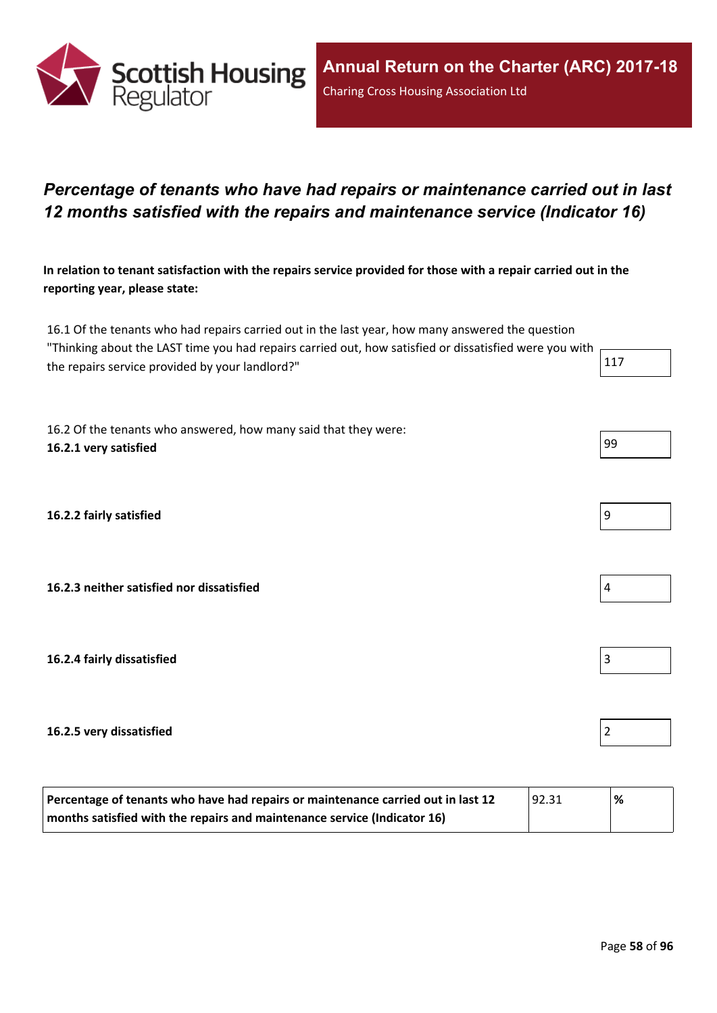

### *Percentage of tenants who have had repairs or maintenance carried out in last 12 months satisfied with the repairs and maintenance service (Indicator 16)*

In relation to tenant satisfaction with the repairs service provided for those with a repair carried out in the **reporting year, please state:**

16.1 Of the tenants who had repairs carried out in the last year, how many answered the question "Thinking about the LAST time you had repairs carried out, how satisfied or dissatisfied were you with the repairs service provided by your landlord?"  $117$ 

16.2 Of the tenants who answered, how many said that they were: **16.2.1 very satisfied** 99

**16.2.2 fairly satisfied** 9

**16.2.3 neither satisfied nor dissatisfied** 4

**16.2.4 fairly dissatisfied** 3

#### **16.2.5 very dissatisfied** 2

| Percentage of tenants who have had repairs or maintenance carried out in last 12<br> 92.31 |  | % |
|--------------------------------------------------------------------------------------------|--|---|
| months satisfied with the repairs and maintenance service (Indicator 16)                   |  |   |

| JJ |  |  |
|----|--|--|
|    |  |  |
|    |  |  |
|    |  |  |
|    |  |  |
|    |  |  |





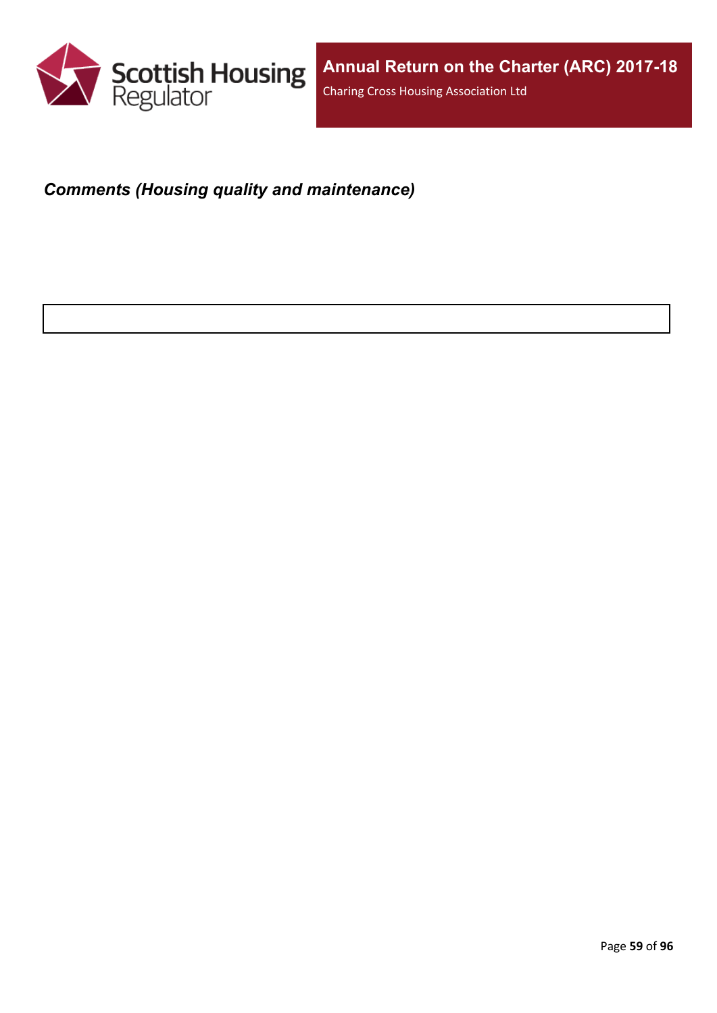

## *Comments (Housing quality and maintenance)*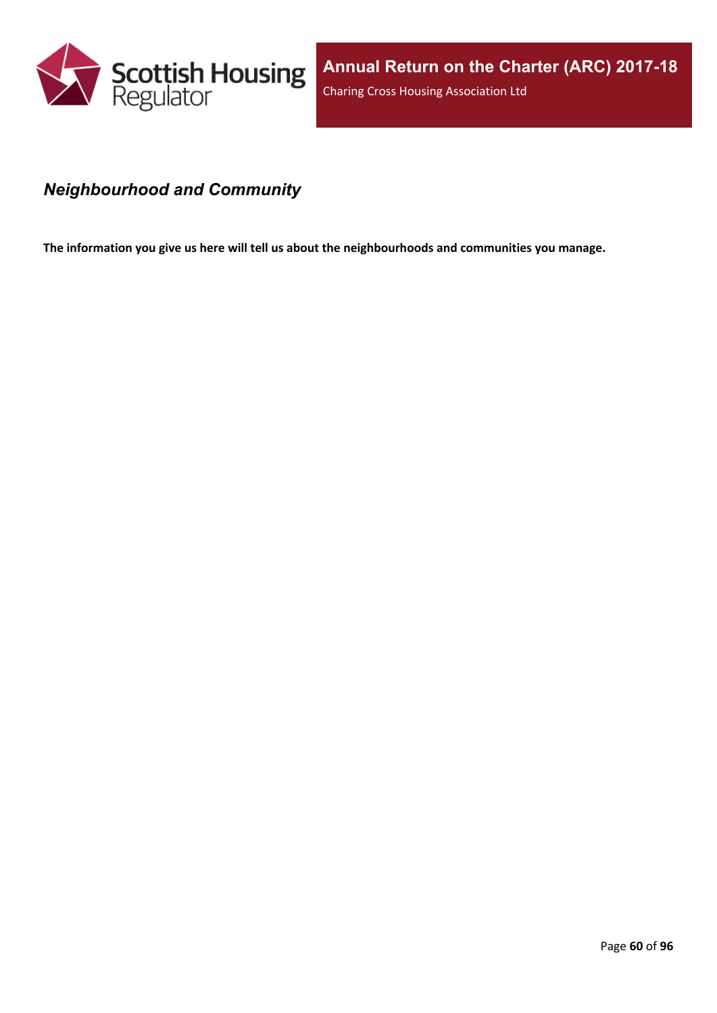

### *Neighbourhood and Community*

**The information you give us here will tell us about the neighbourhoods and communities you manage.**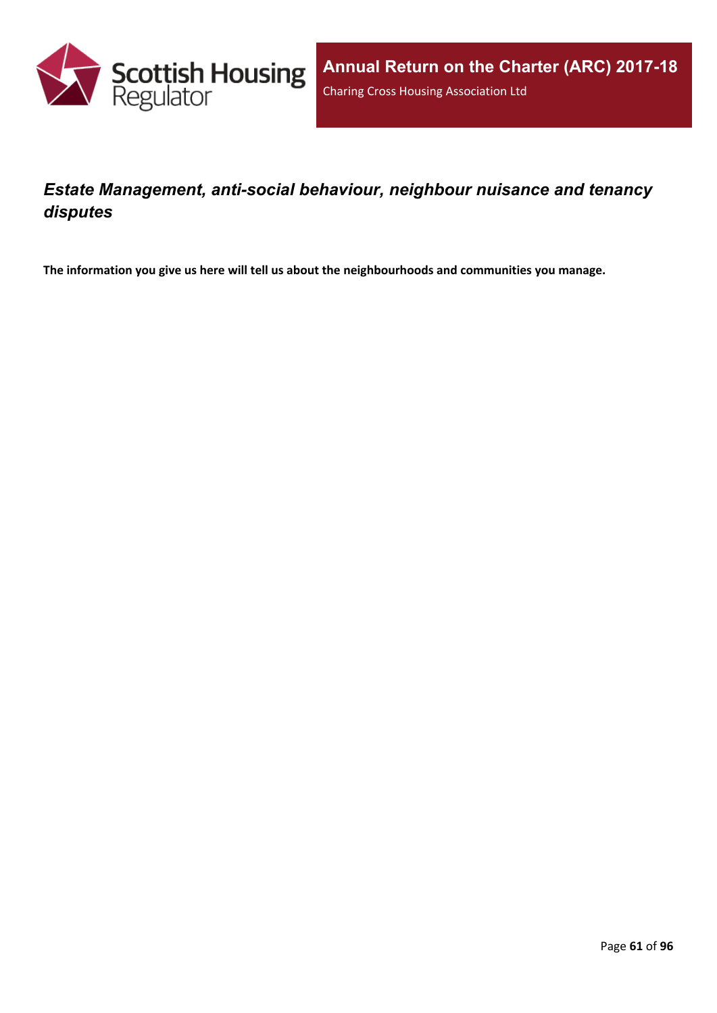

### *Estate Management, anti-social behaviour, neighbour nuisance and tenancy disputes*

**The information you give us here will tell us about the neighbourhoods and communities you manage.**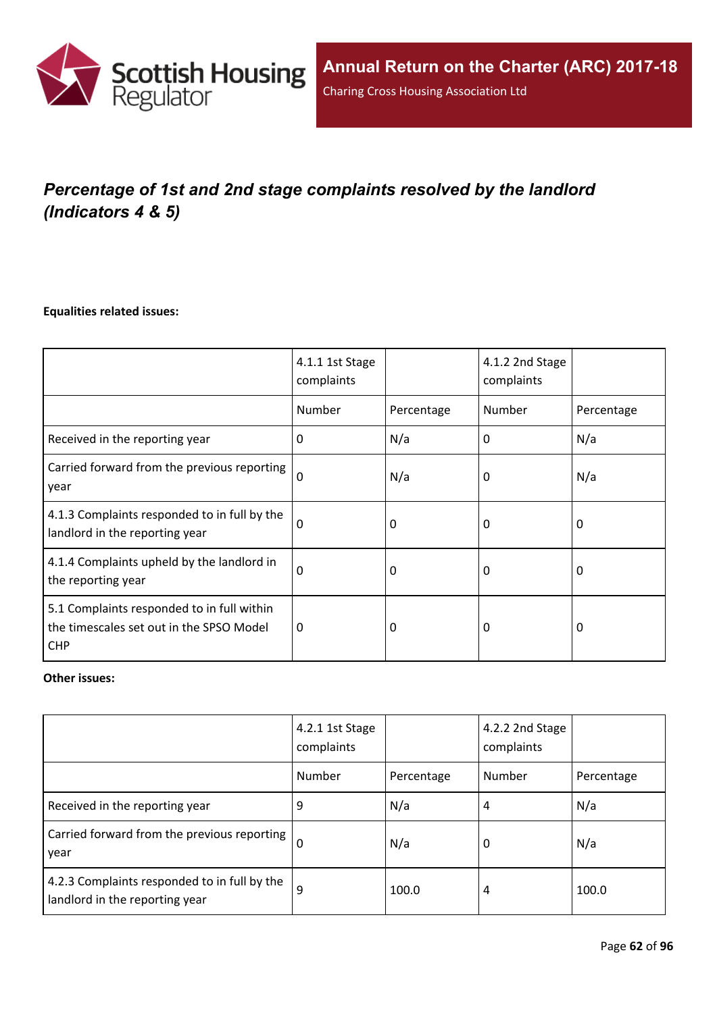

# *Percentage of 1st and 2nd stage complaints resolved by the landlord (Indicators 4 & 5)*

#### **Equalities related issues:**

|                                                                                                      | 4.1.1 1st Stage<br>complaints |            | 4.1.2 2nd Stage<br>complaints |            |
|------------------------------------------------------------------------------------------------------|-------------------------------|------------|-------------------------------|------------|
|                                                                                                      | Number                        | Percentage | Number                        | Percentage |
| Received in the reporting year                                                                       | $\Omega$                      | N/a        | 0                             | N/a        |
| Carried forward from the previous reporting<br>year                                                  | $\Omega$                      | N/a        | 0                             | N/a        |
| 4.1.3 Complaints responded to in full by the<br>landlord in the reporting year                       | $\Omega$                      | 0          | 0                             | 0          |
| 4.1.4 Complaints upheld by the landlord in<br>the reporting year                                     | 0                             | 0          | 0                             | 0          |
| 5.1 Complaints responded to in full within<br>the timescales set out in the SPSO Model<br><b>CHP</b> | 0                             | 0          | 0                             | $\Omega$   |

#### **Other issues:**

|                                                                                | 4.2.1 1st Stage<br>complaints |            | 4.2.2 2nd Stage<br>complaints |            |
|--------------------------------------------------------------------------------|-------------------------------|------------|-------------------------------|------------|
|                                                                                | Number                        | Percentage | Number                        | Percentage |
| Received in the reporting year                                                 | 9                             | N/a        | 4                             | N/a        |
| Carried forward from the previous reporting  <br>year                          | $\Omega$                      | N/a        | 0                             | N/a        |
| 4.2.3 Complaints responded to in full by the<br>landlord in the reporting year | 9                             | 100.0      | 4                             | 100.0      |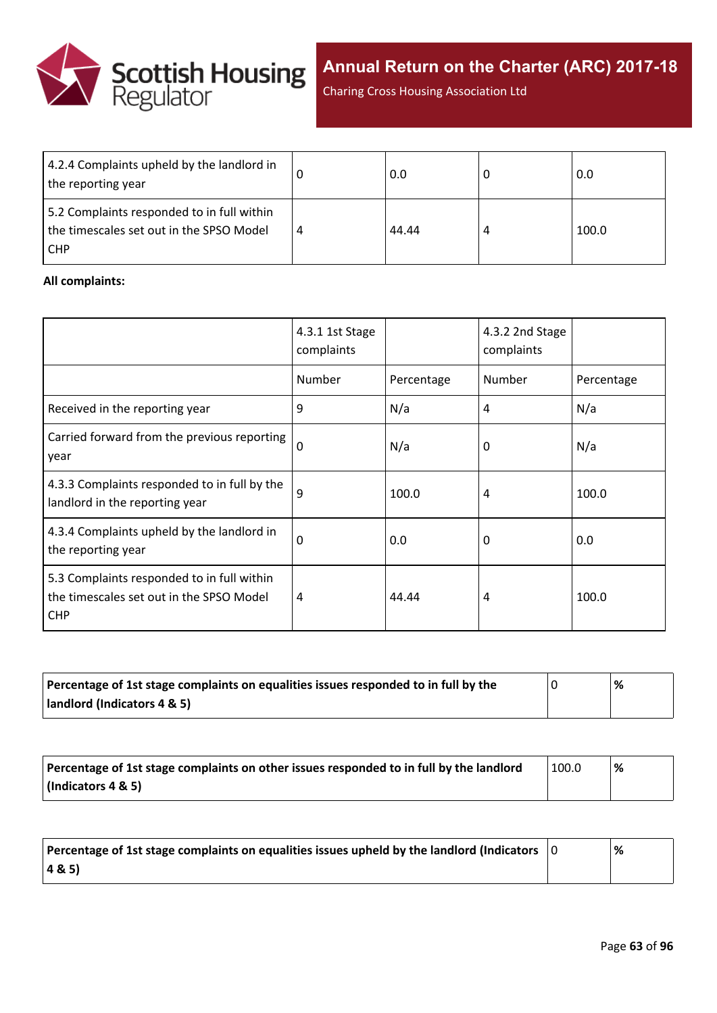

Charing Cross Housing Association Ltd

| 4.2.4 Complaints upheld by the landlord in<br>the reporting year                                     | 0.0   | 0.0   |
|------------------------------------------------------------------------------------------------------|-------|-------|
| 5.2 Complaints responded to in full within<br>the timescales set out in the SPSO Model<br><b>CHP</b> | 44.44 | 100.0 |

#### **All complaints:**

|                                                                                                      | 4.3.1 1st Stage<br>complaints |            | 4.3.2 2nd Stage<br>complaints |            |
|------------------------------------------------------------------------------------------------------|-------------------------------|------------|-------------------------------|------------|
|                                                                                                      | Number                        | Percentage | Number                        | Percentage |
| Received in the reporting year                                                                       | 9                             | N/a        | 4                             | N/a        |
| Carried forward from the previous reporting<br>year                                                  | $\mathbf 0$                   | N/a        | 0                             | N/a        |
| 4.3.3 Complaints responded to in full by the<br>landlord in the reporting year                       | 9                             | 100.0      | 4                             | 100.0      |
| 4.3.4 Complaints upheld by the landlord in<br>the reporting year                                     | 0                             | 0.0        | 0                             | 0.0        |
| 5.3 Complaints responded to in full within<br>the timescales set out in the SPSO Model<br><b>CHP</b> | 4                             | 44.44      | 4                             | 100.0      |

| Percentage of 1st stage complaints on equalities issues responded to in full by the | % |
|-------------------------------------------------------------------------------------|---|
| landlord (Indicators 4 & 5)                                                         |   |

| Percentage of 1st stage complaints on other issues responded to in full by the landlord | 100.0 | % |
|-----------------------------------------------------------------------------------------|-------|---|
| (Indicators 4 & 5)                                                                      |       |   |

| Percentage of 1st stage complaints on equalities issues upheld by the landlord (Indicators $\vert$ 0 | % |
|------------------------------------------------------------------------------------------------------|---|
| (48.5)                                                                                               |   |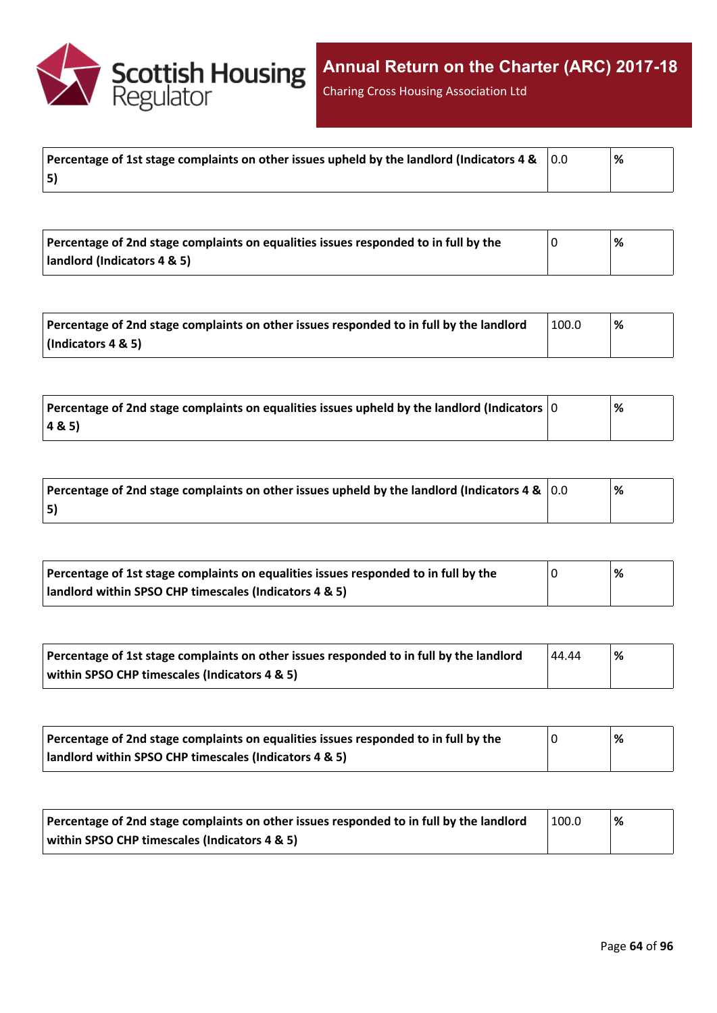

Charing Cross Housing Association Ltd

|    | % |
|----|---|
| 5) |   |

| Percentage of 2nd stage complaints on equalities issues responded to in full by the | % |
|-------------------------------------------------------------------------------------|---|
| landlord (Indicators 4 & 5)                                                         |   |

| Percentage of 2nd stage complaints on other issues responded to in full by the landlord | 100.0 | % |
|-----------------------------------------------------------------------------------------|-------|---|
| (Indicators 4 & 5)                                                                      |       |   |

| $\mid$ Percentage of 2nd stage complaints on equalities issues upheld by the landlord (Indicators $\mid$ 0 | % |
|------------------------------------------------------------------------------------------------------------|---|
| 4&5)                                                                                                       |   |

| Percentage of 2nd stage complaints on other issues upheld by the landlord (Indicators 4 & $\vert$ 0.0 | % |
|-------------------------------------------------------------------------------------------------------|---|
| 5)                                                                                                    |   |

| Percentage of 1st stage complaints on equalities issues responded to in full by the | % |
|-------------------------------------------------------------------------------------|---|
| landlord within SPSO CHP timescales (Indicators 4 & 5)                              |   |

| Percentage of 1st stage complaints on other issues responded to in full by the landlord | 44.44 | '% |
|-----------------------------------------------------------------------------------------|-------|----|
| within SPSO CHP timescales (Indicators 4 & 5)                                           |       |    |

| Percentage of 2nd stage complaints on equalities issues responded to in full by the | '% |
|-------------------------------------------------------------------------------------|----|
| landlord within SPSO CHP timescales (Indicators 4 & 5)                              |    |

| Percentage of 2nd stage complaints on other issues responded to in full by the landlord | 100.0 | '% |
|-----------------------------------------------------------------------------------------|-------|----|
| within SPSO CHP timescales (Indicators 4 & 5)                                           |       |    |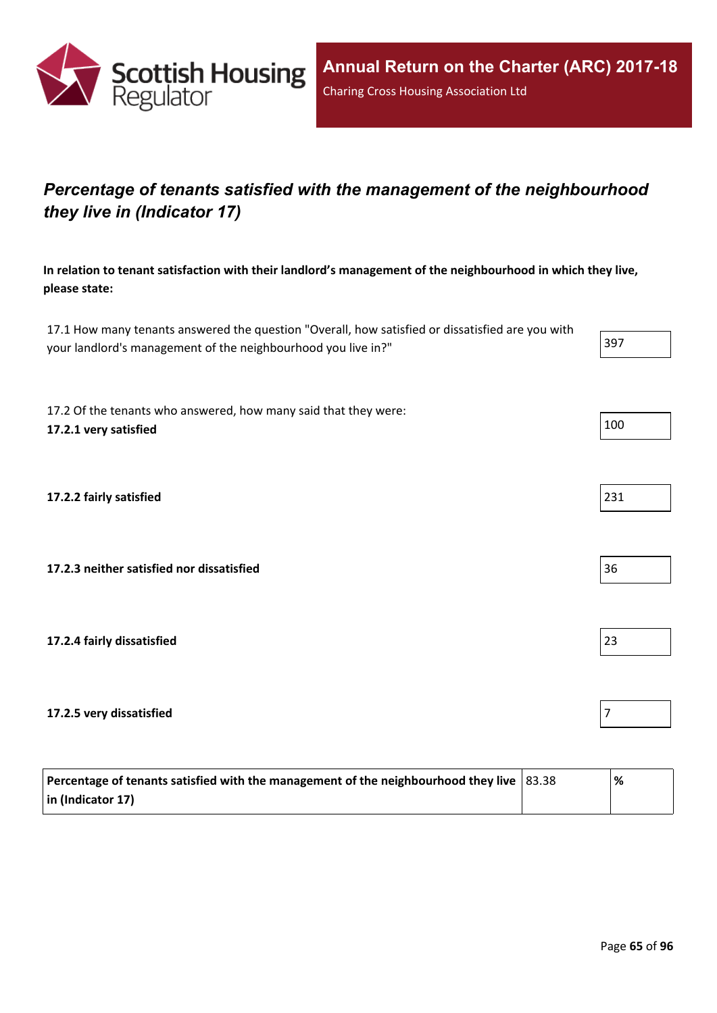

## *Percentage of tenants satisfied with the management of the neighbourhood they live in (Indicator 17)*

**In relation to tenant satisfaction with their landlord's management of the neighbourhood in which they live, please state:**

17.1 How many tenants answered the question "Overall, how satisfied or dissatisfied are you with your landlord's management of the neighbourhood you live in?"

17.2 Of the tenants who answered, how many said that they were: **17.2.1 very satisfied** 100

**17.2.2 fairly satisfied** 231

**17.2.3 neither satisfied nor dissatisfied** 36

**17.2.4 fairly dissatisfied** 23

**17.2.5 very dissatisfied** 

| Percentage of tenants satisfied with the management of the neighbourhood they live $ 83.38 $ | '% |
|----------------------------------------------------------------------------------------------|----|
| $\vert$ in (Indicator 17)                                                                    |    |

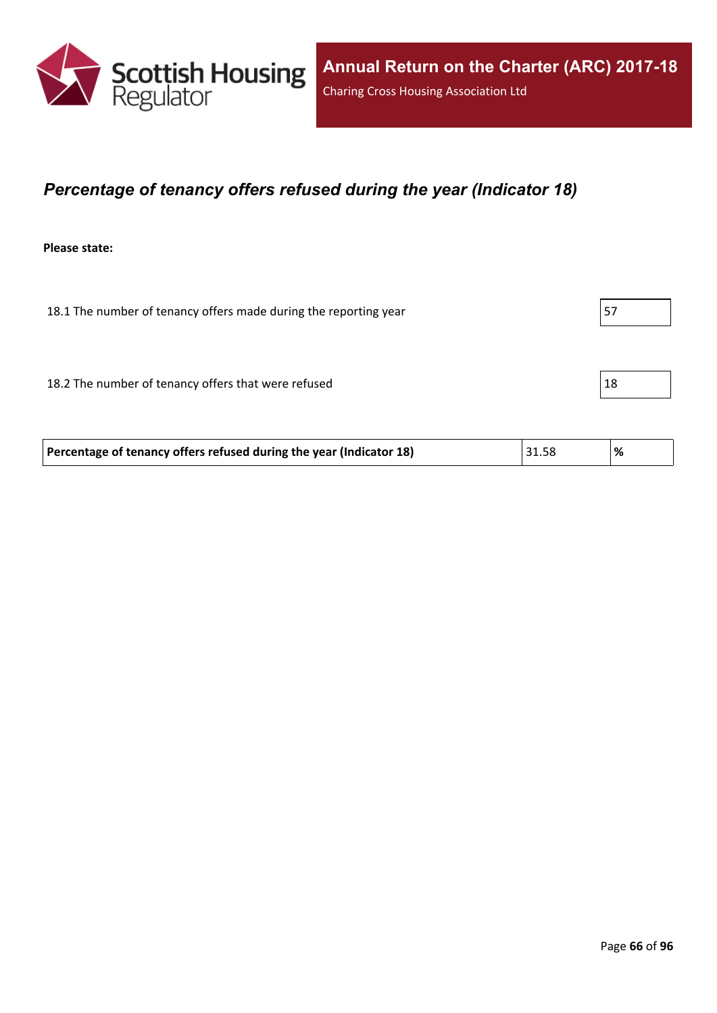

### *Percentage of tenancy offers refused during the year (Indicator 18)*

**Please state:**

18.1 The number of tenancy offers made during the reporting year  $\vert$  57 18.2 The number of tenancy offers that were refused 18.2 The number of tenancy offers that were refused

| Percentage of tenancy offers refused during the year (Indicator 18) | 31.58 | $\%$ |
|---------------------------------------------------------------------|-------|------|
|                                                                     |       |      |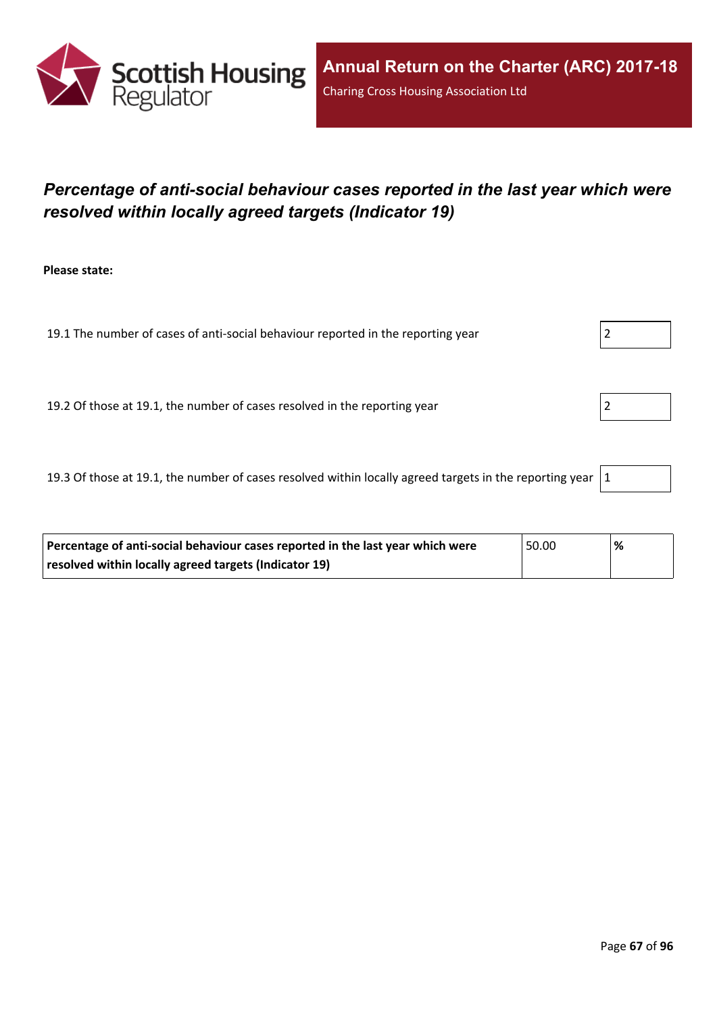

## *Percentage of anti-social behaviour cases reported in the last year which were resolved within locally agreed targets (Indicator 19)*

**Please state:**

19.1 The number of cases of anti-social behaviour reported in the reporting year  $\vert$  2

19.2 Of those at 19.1, the number of cases resolved in the reporting year 2

19.3 Of those at 19.1, the number of cases resolved within locally agreed targets in the reporting year  $|1|$ 

| Percentage of anti-social behaviour cases reported in the last year which were | 50.00 | '% |
|--------------------------------------------------------------------------------|-------|----|
| resolved within locally agreed targets (Indicator 19)                          |       |    |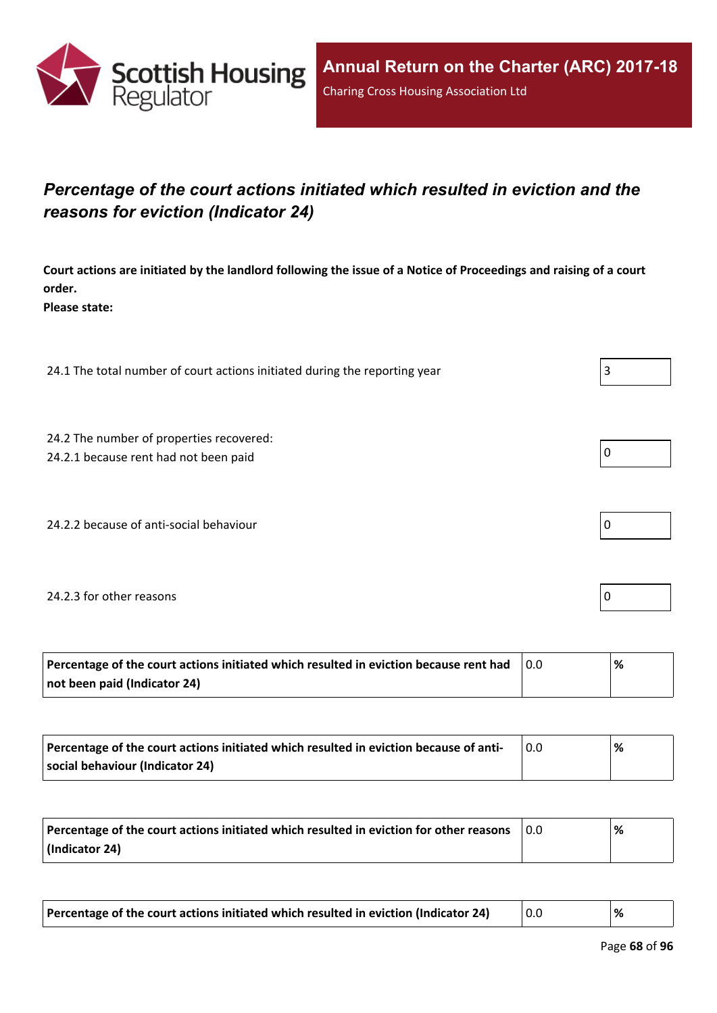

## *Percentage of the court actions initiated which resulted in eviction and the reasons for eviction (Indicator 24)*

Court actions are initiated by the landlord following the issue of a Notice of Proceedings and raising of a court **order.**

**Please state:**

24.1 The total number of court actions initiated during the reporting year  $\vert$  3

24.2 The number of properties recovered:

24.2.1 because rent had not been paid  $\vert 0 \vert$ 

24.2.2 because of anti-social behaviour  $\vert 0 \rangle$ 

#### 24.2.3 for other reasons  $\vert$  0

| Percentage of the court actions initiated which resulted in eviction because rent had | ℅ |
|---------------------------------------------------------------------------------------|---|
| not been paid (Indicator 24)                                                          |   |

| Percentage of the court actions initiated which resulted in eviction because of anti- | % |
|---------------------------------------------------------------------------------------|---|
| social behaviour (Indicator 24)                                                       |   |

| Percentage of the court actions initiated which resulted in eviction for other reasons | 0.0 | % |
|----------------------------------------------------------------------------------------|-----|---|
| (Indicator 24)                                                                         |     |   |

| Percentage of the court actions initiated which resulted in eviction (Indicator 24) |  |  |
|-------------------------------------------------------------------------------------|--|--|
|-------------------------------------------------------------------------------------|--|--|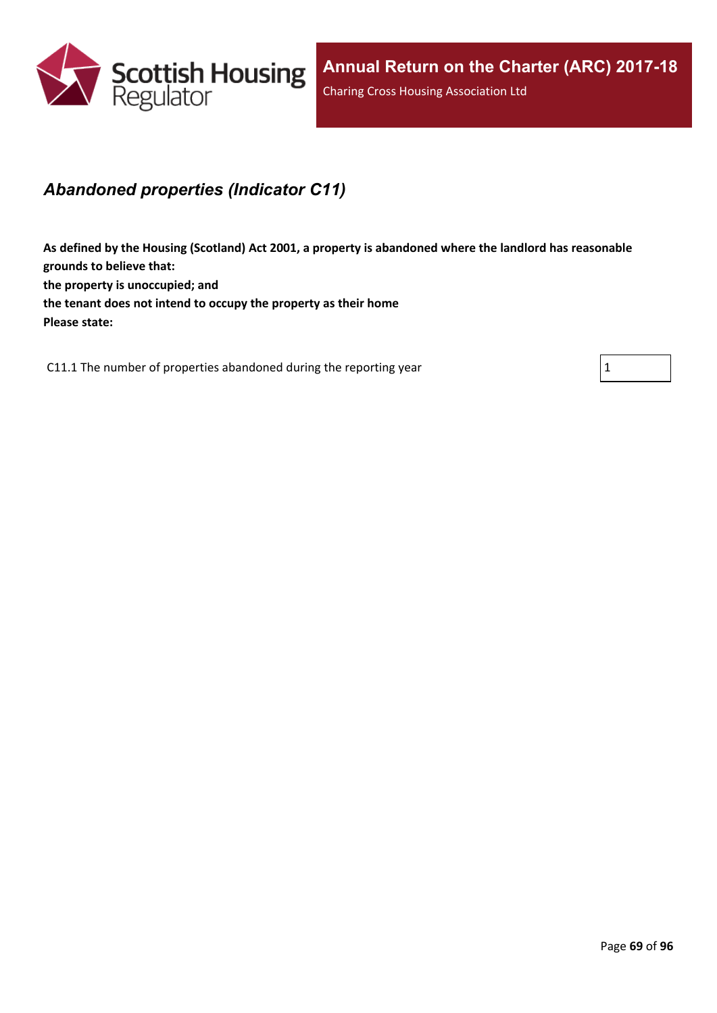

### *Abandoned properties (Indicator C11)*

**As defined by the Housing (Scotland) Act 2001, a property is abandoned where the landlord has reasonable grounds to believe that: the property is unoccupied; and the tenant does not intend to occupy the property as their home Please state:**

C11.1 The number of properties abandoned during the reporting year  $1 \tbinom{1}{1}$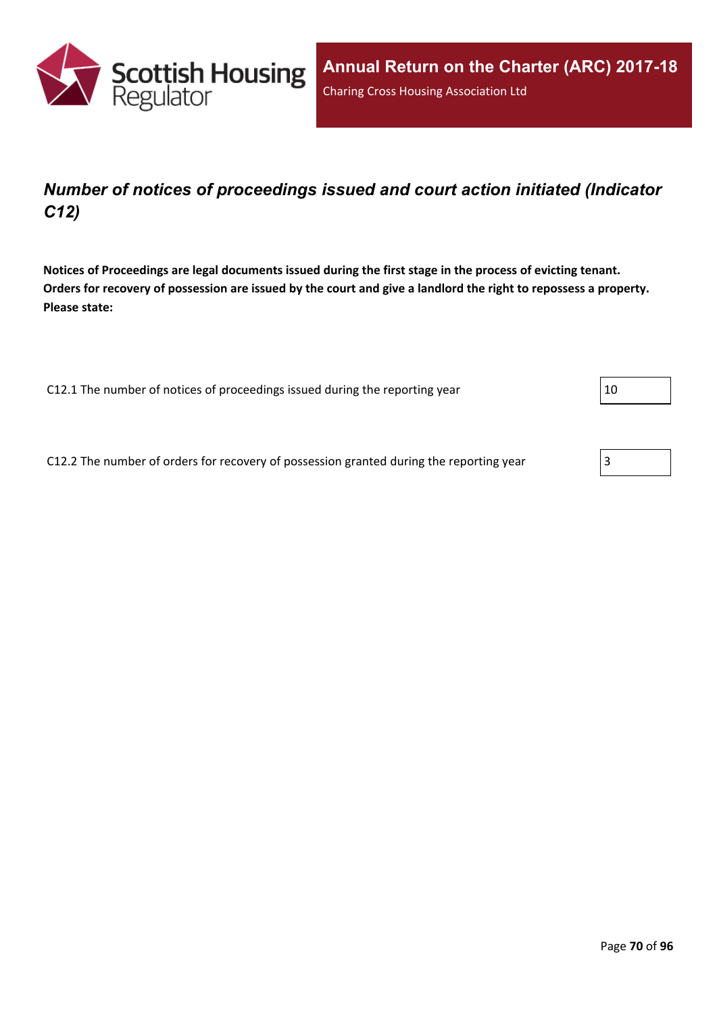

## *Number of notices of proceedings issued and court action initiated (Indicator C12)*

Notices of Proceedings are legal documents issued during the first stage in the process of evicting tenant. Orders for recovery of possession are issued by the court and give a landlord the right to repossess a property. **Please state:**

C12.1 The number of notices of proceedings issued during the reporting year  $|10 \rangle$ 

C12.2 The number of orders for recovery of possession granted during the reporting year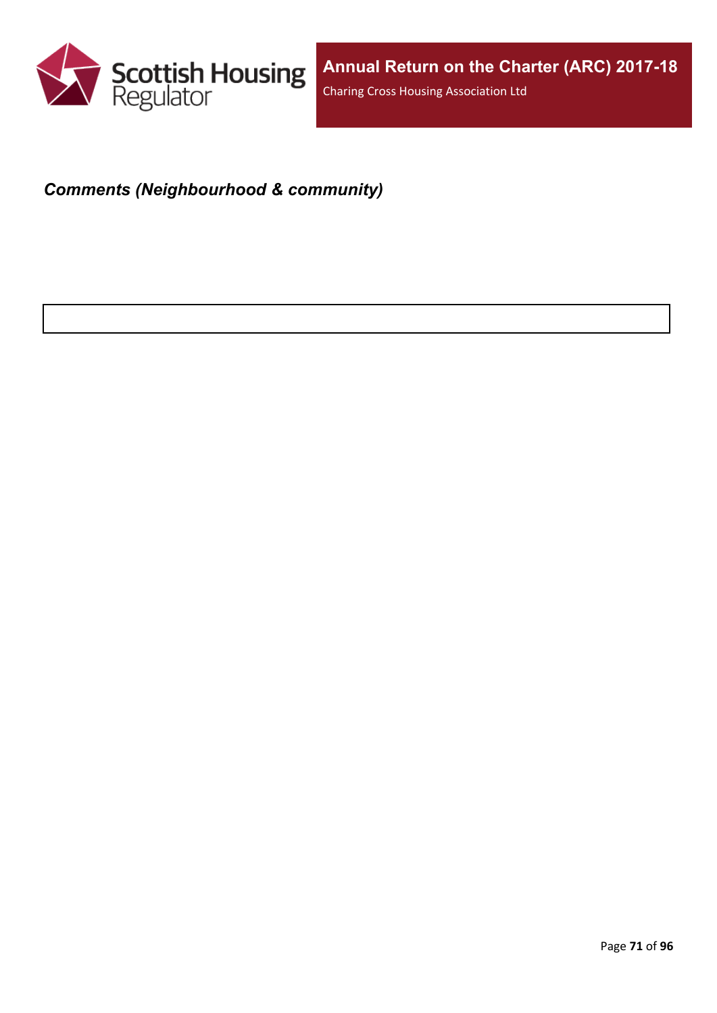

## *Comments (Neighbourhood & community)*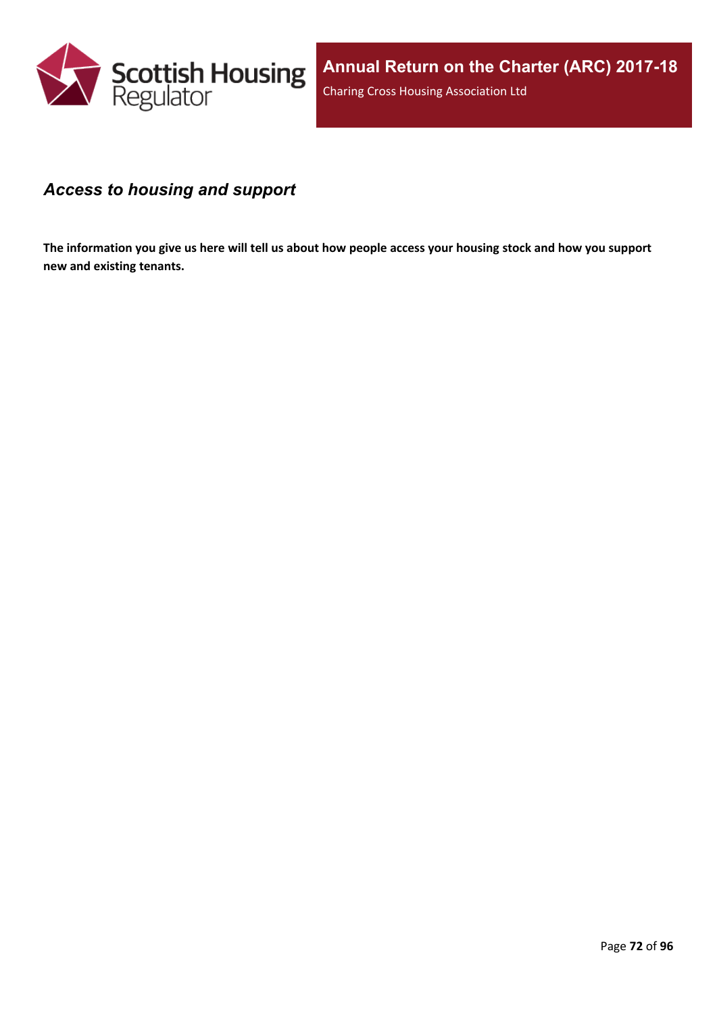

#### *Access to housing and support*

The information you give us here will tell us about how people access your housing stock and how you support **new and existing tenants.**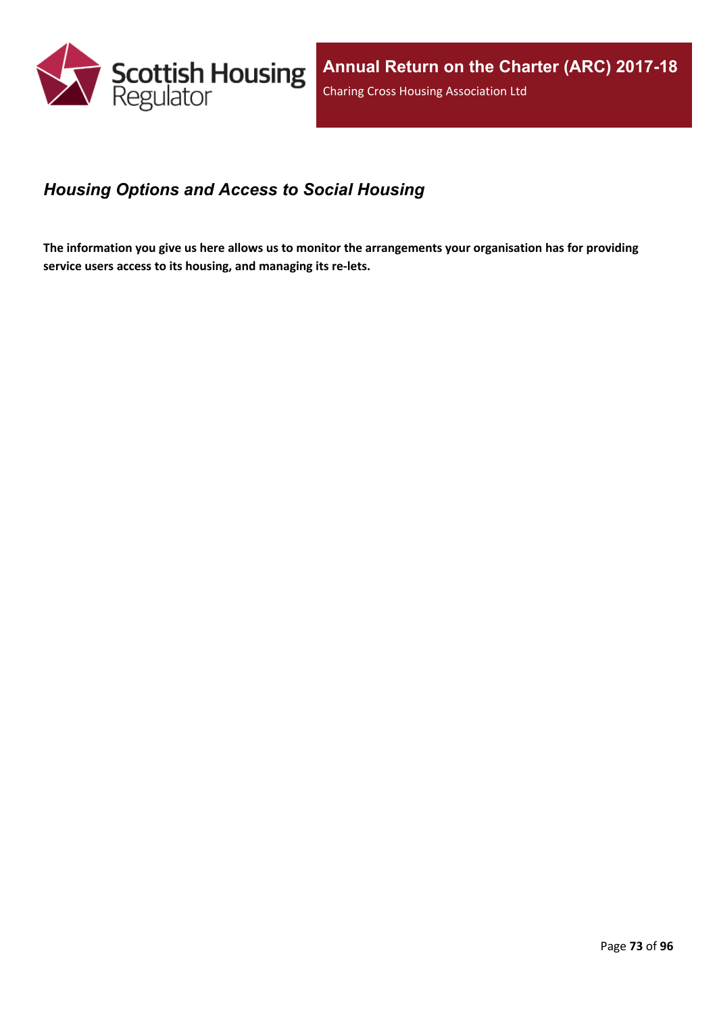

## *Housing Options and Access to Social Housing*

The information you give us here allows us to monitor the arrangements your organisation has for providing **service users access to its housing, and managing its re-lets.**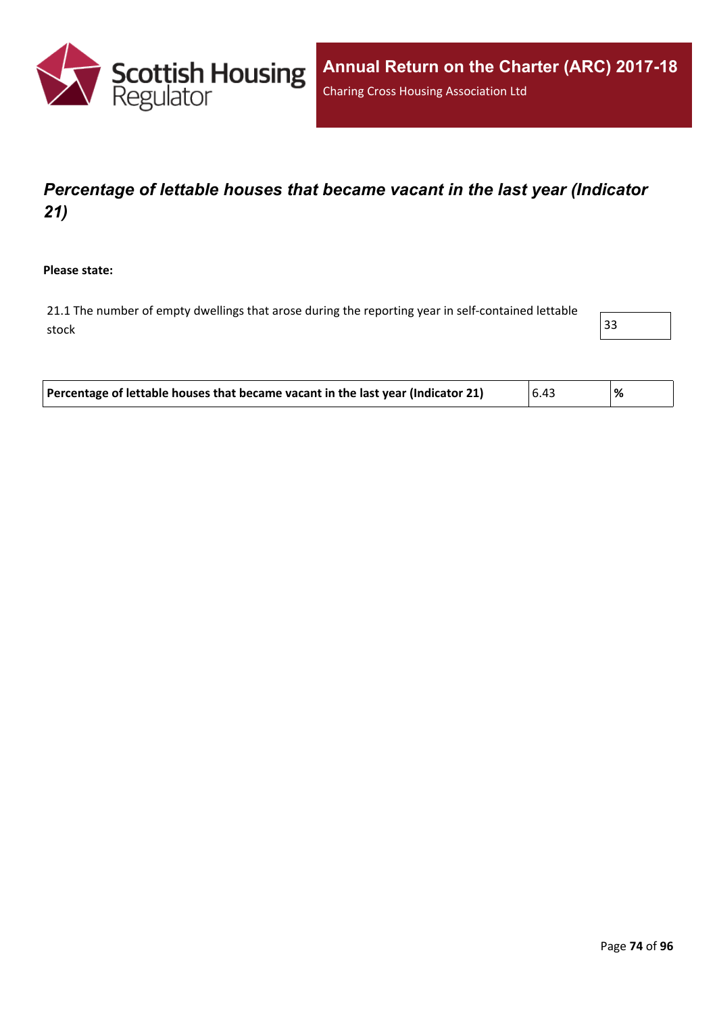

# *Percentage of lettable houses that became vacant in the last year (Indicator 21)*

**Please state:**

21.1 The number of empty dwellings that arose during the reporting year in self-contained lettable stock and the stock of  $\vert$  33  $\vert$ 

| Percentage of lettable houses that became vacant in the last year (Indicator 21) | 6.43 | % |
|----------------------------------------------------------------------------------|------|---|
|----------------------------------------------------------------------------------|------|---|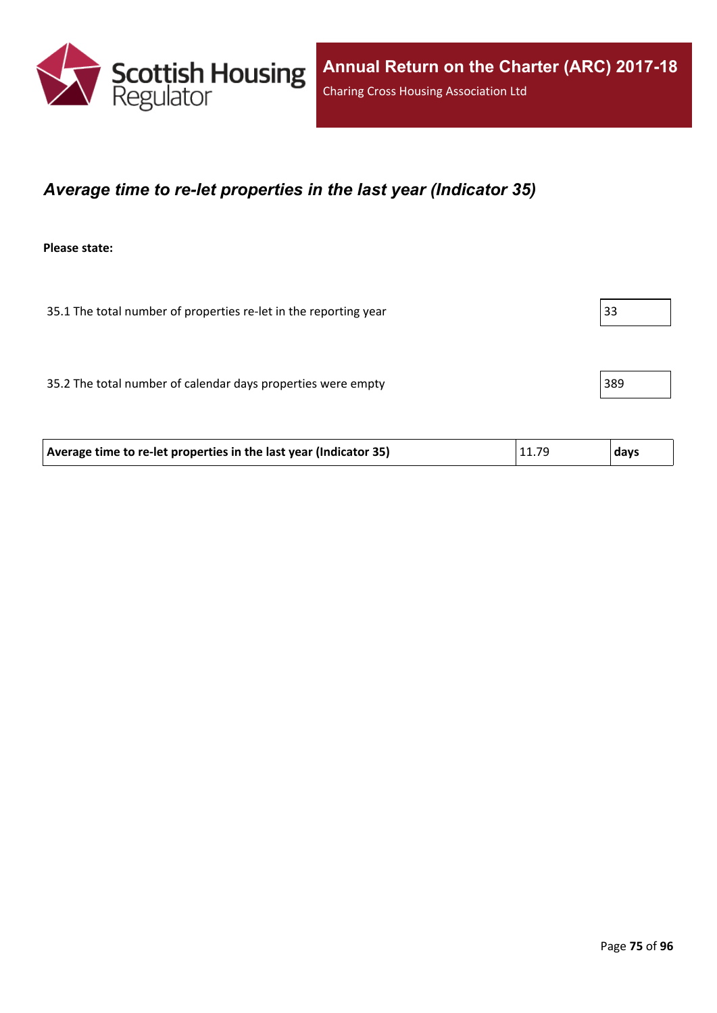

#### *Average time to re-let properties in the last year (Indicator 35)*

**Please state:**

35.1 The total number of properties re-let in the reporting year 35.1 The total number of properties re-let in the reporting year

35.2 The total number of calendar days properties were empty 389

| Average time to re-let properties in the last year (Indicator 35) | 11.79 | days |
|-------------------------------------------------------------------|-------|------|
|                                                                   |       |      |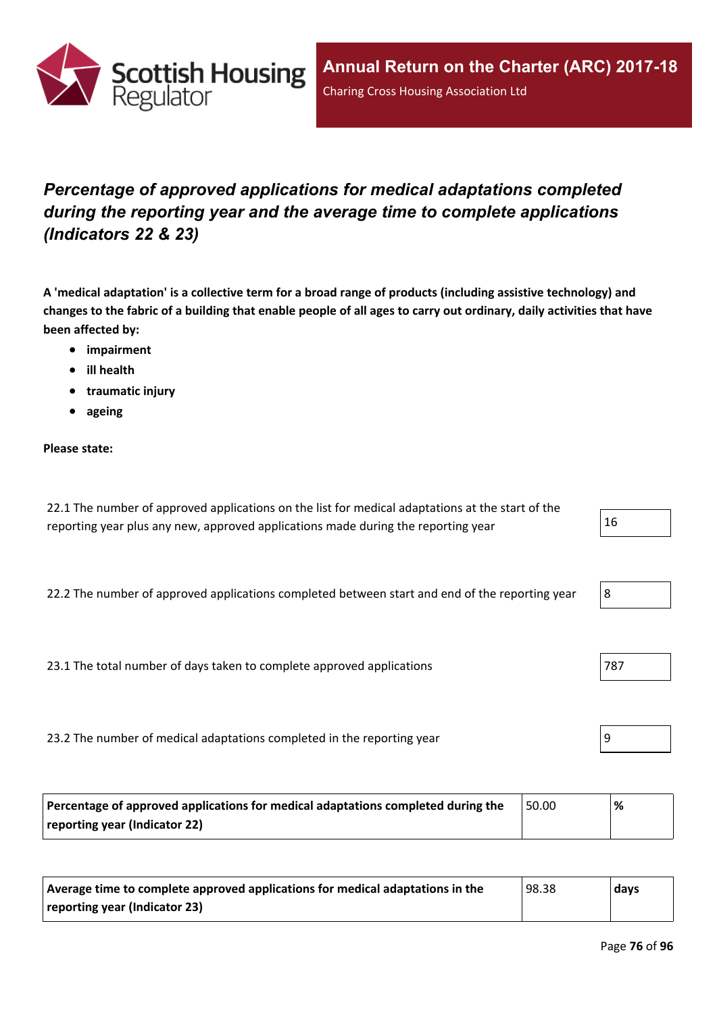

# *Percentage of approved applications for medical adaptations completed during the reporting year and the average time to complete applications (Indicators 22 & 23)*

A 'medical adaptation' is a collective term for a broad range of products (including assistive technology) and changes to the fabric of a building that enable people of all ages to carry out ordinary, daily activities that have **been affected by:**

- **impairment**
- **ill health**
- **traumatic injury**
- **ageing**

#### **Please state:**

| 22.1 The number of approved applications on the list for medical adaptations at the start of the |    |
|--------------------------------------------------------------------------------------------------|----|
| reporting year plus any new, approved applications made during the reporting year                | 16 |

22.2 The number of approved applications completed between start and end of the reporting year

23.1 The total number of days taken to complete approved applications

23.2 The number of medical adaptations completed in the reporting year

| Percentage of approved applications for medical adaptations completed during the | ! 50.00 | % |
|----------------------------------------------------------------------------------|---------|---|
| reporting year (Indicator 22)                                                    |         |   |

| Average time to complete approved applications for medical adaptations in the | 98.38 | days |
|-------------------------------------------------------------------------------|-------|------|
| reporting year (Indicator 23)                                                 |       |      |

|  | I<br>-92 |  |  |  |  |  |
|--|----------|--|--|--|--|--|
|--|----------|--|--|--|--|--|

| 78 |  |  |
|----|--|--|
|    |  |  |

|--|--|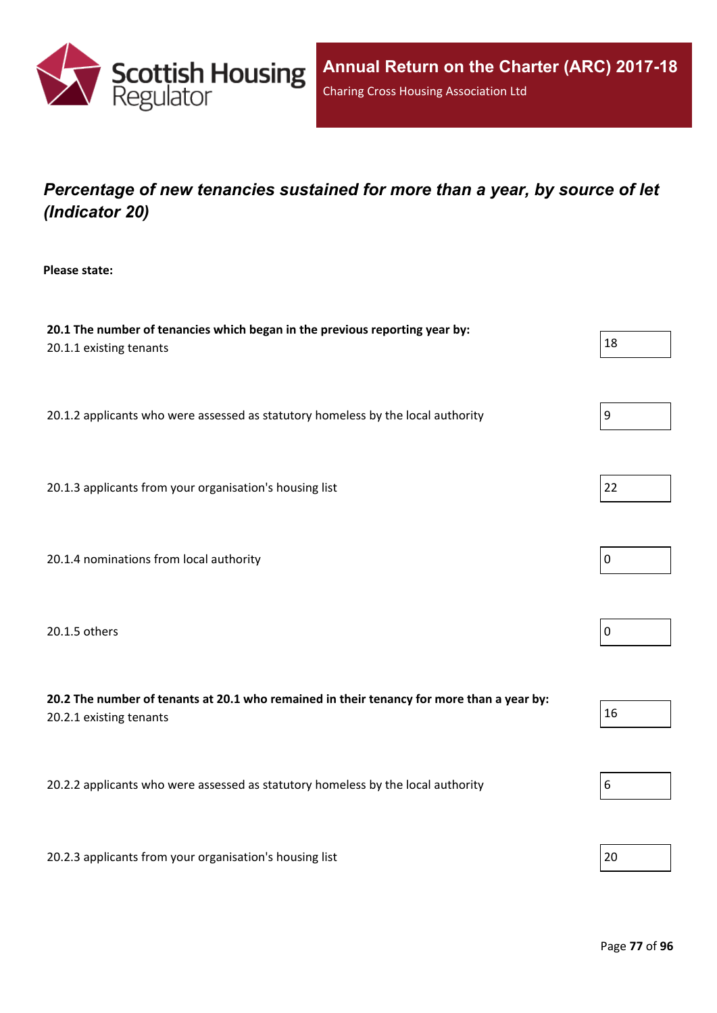

# *Percentage of new tenancies sustained for more than a year, by source of let (Indicator 20)*

**Please state:**

| 20.1 The number of tenancies which began in the previous reporting year by:<br>20.1.1 existing tenants               | 18               |
|----------------------------------------------------------------------------------------------------------------------|------------------|
| 20.1.2 applicants who were assessed as statutory homeless by the local authority                                     | 9                |
| 20.1.3 applicants from your organisation's housing list                                                              | 22               |
| 20.1.4 nominations from local authority                                                                              | 0                |
| 20.1.5 others                                                                                                        | $\boldsymbol{0}$ |
| 20.2 The number of tenants at 20.1 who remained in their tenancy for more than a year by:<br>20.2.1 existing tenants | 16               |
| 20.2.2 applicants who were assessed as statutory homeless by the local authority                                     | 6                |
| 20.2.3 applicants from your organisation's housing list                                                              | 20               |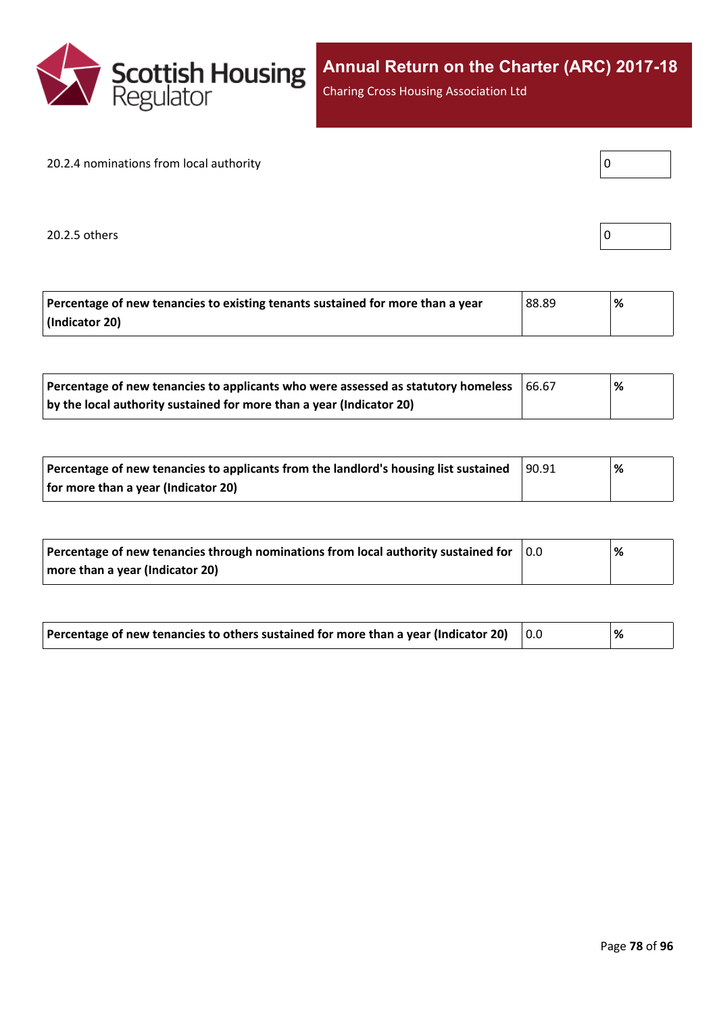

Charing Cross Housing Association Ltd

#### 20.2.4 nominations from local authority

 $20.2.5$  others  $\begin{bmatrix} \end{bmatrix}$ 

| Percentage of new tenancies to existing tenants sustained for more than a year | 88.89 | ℅ |
|--------------------------------------------------------------------------------|-------|---|
| (Indicator 20)                                                                 |       |   |

| Percentage of new tenancies to applicants who were assessed as statutory homeless | 166.67 | '% |
|-----------------------------------------------------------------------------------|--------|----|
| by the local authority sustained for more than a year (Indicator 20)              |        |    |

| Percentage of new tenancies to applicants from the landlord's housing list sustained | 90.91 | % |  |
|--------------------------------------------------------------------------------------|-------|---|--|
| for more than a year (Indicator 20)                                                  |       |   |  |

| Percentage of new tenancies through nominations from local authority sustained for | 10.O | % |
|------------------------------------------------------------------------------------|------|---|
| more than a year (Indicator 20)                                                    |      |   |

| Percentage of new tenancies to others sustained for more than a year (Indicator 20) |  | ℅ |
|-------------------------------------------------------------------------------------|--|---|
|-------------------------------------------------------------------------------------|--|---|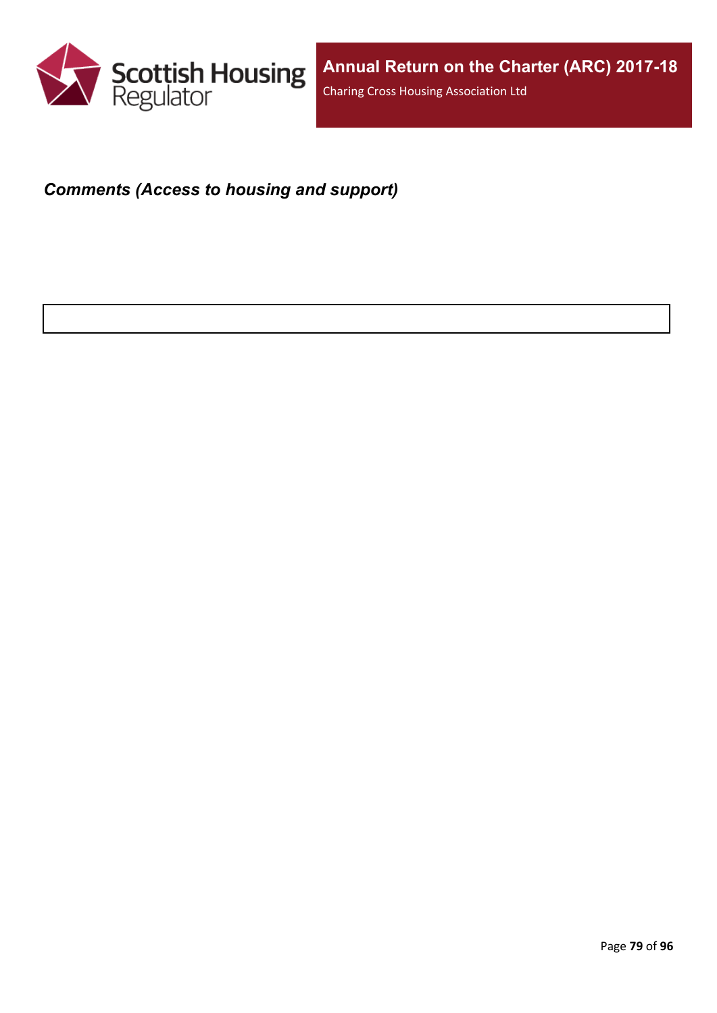

#### *Comments (Access to housing and support)*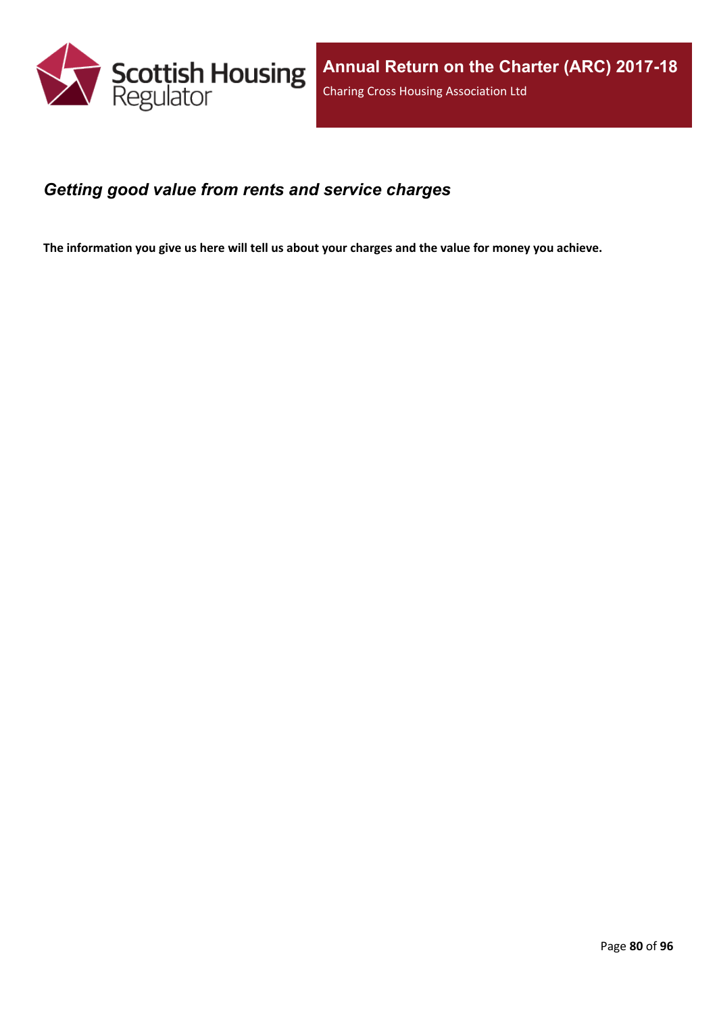

#### *Getting good value from rents and service charges*

The information you give us here will tell us about your charges and the value for money you achieve.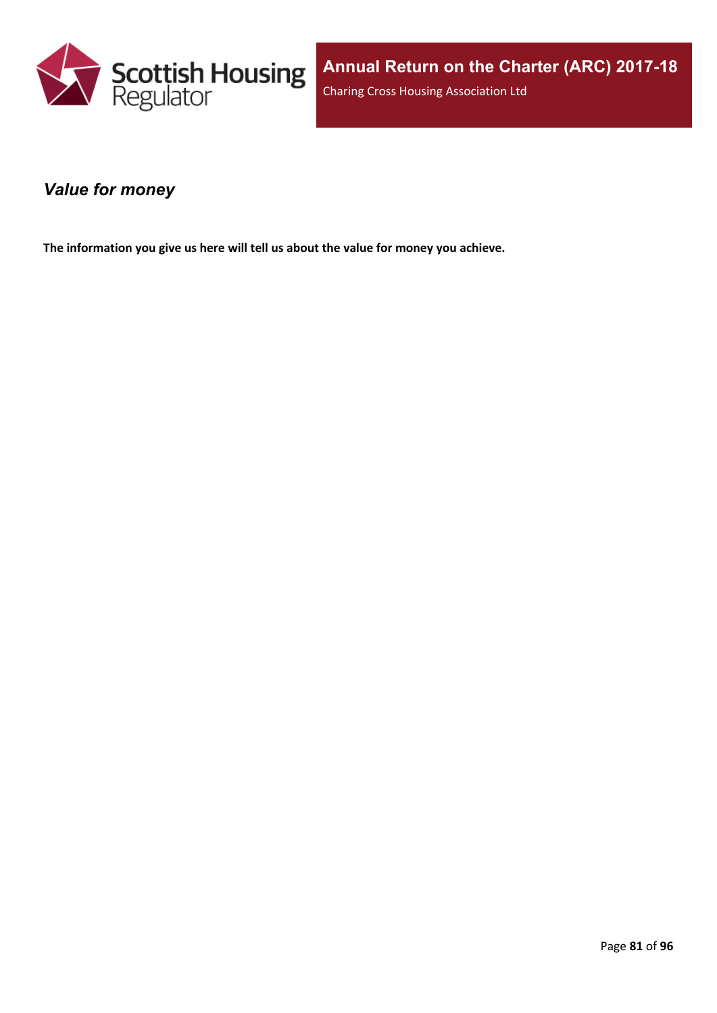

#### *Value for money*

**The information you give us here will tell us about the value for money you achieve.**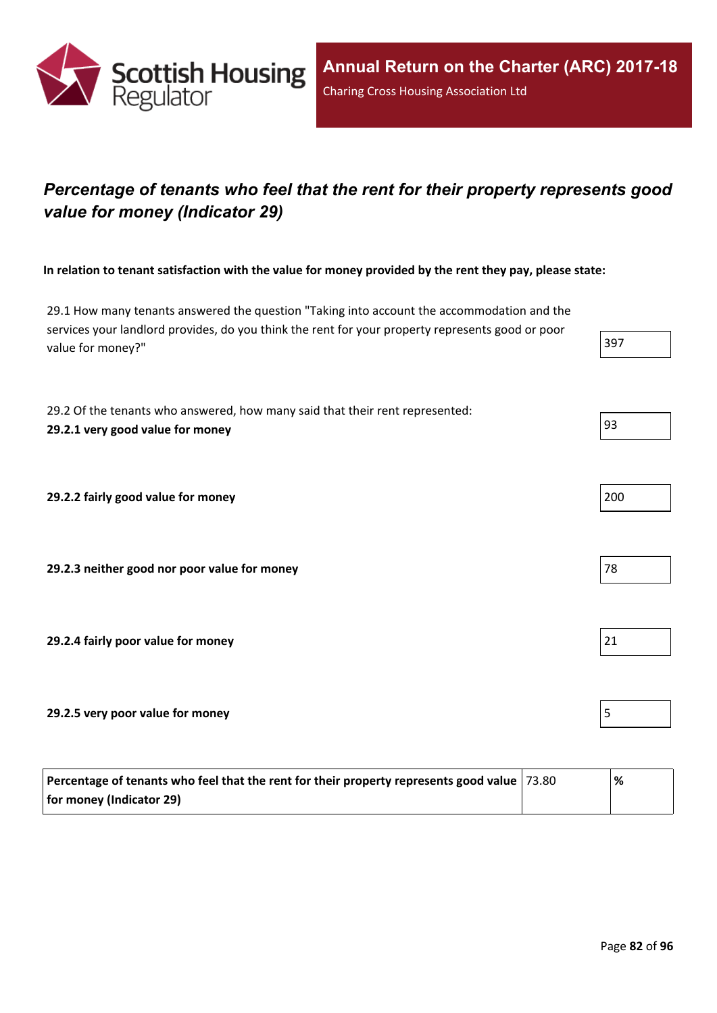

# *Percentage of tenants who feel that the rent for their property represents good value for money (Indicator 29)*

In relation to tenant satisfaction with the value for money provided by the rent they pay, please state:

29.1 How many tenants answered the question "Taking into account the accommodation and the services your landlord provides, do you think the rent for your property represents good or poor value for money?" 397

29.2 Of the tenants who answered, how many said that their rent represented: **29.2.1 very good value for money** 93

**29.2.2 fairly good value for money** 200

**29.2.3 neither good nor poor value for money** 78

**29.2.4 fairly poor value for money** 21

**29.2.5 very poor value for money** 5

| Percentage of tenants who feel that the rent for their property represents good value   73.80 | '% |
|-----------------------------------------------------------------------------------------------|----|
| for money (Indicator 29)                                                                      |    |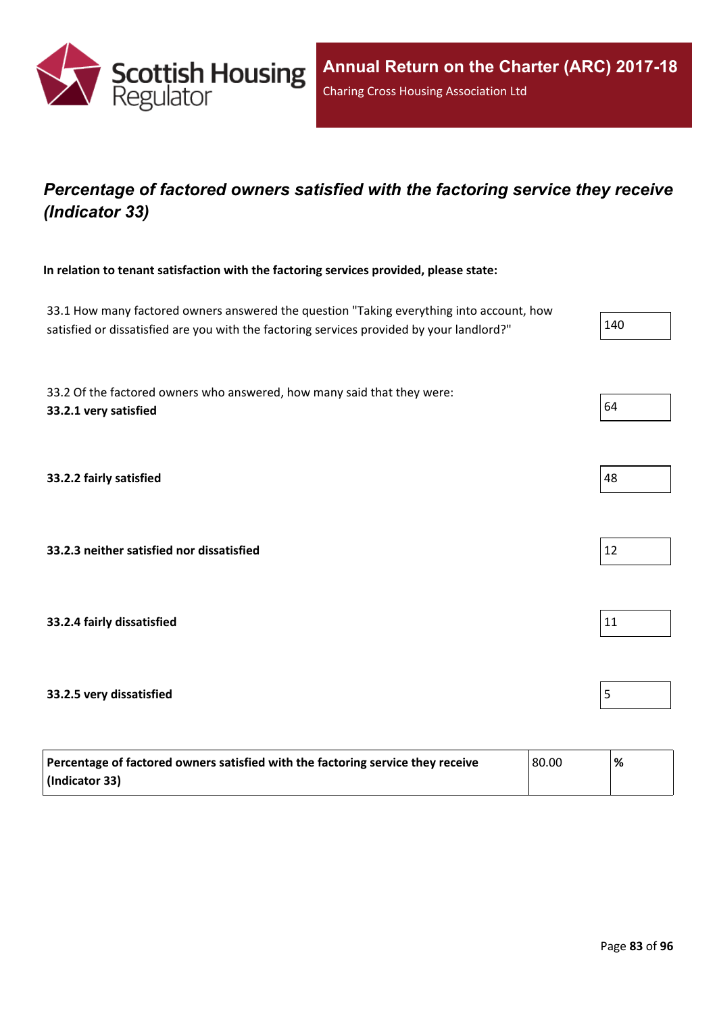

# *Percentage of factored owners satisfied with the factoring service they receive (Indicator 33)*

**In relation to tenant satisfaction with the factoring services provided, please state:**

33.1 How many factored owners answered the question "Taking everything into account, how satisfied or dissatisfied are you with the factoring services provided by your landlord?" 33.2 Of the factored owners who answered, how many said that they were: **33.2.1 very satisfied** 64 **33.2.2 fairly satisfied** 48 **33.2.3 neither satisfied nor dissatisfied** 12 **33.2.4 fairly dissatisfied** 11 **33.2.5 very dissatisfied** 5

| Percentage of factored owners satisfied with the factoring service they receive | 80.00 | % |
|---------------------------------------------------------------------------------|-------|---|
| (Indicator 33)                                                                  |       |   |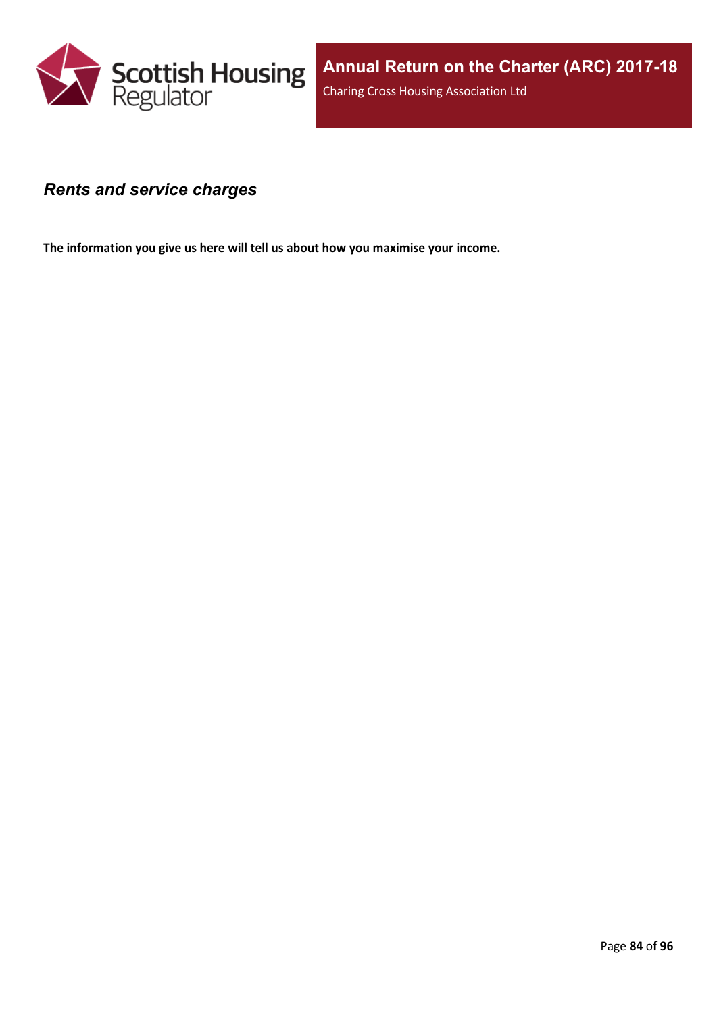

#### *Rents and service charges*

**The information you give us here will tell us about how you maximise your income.**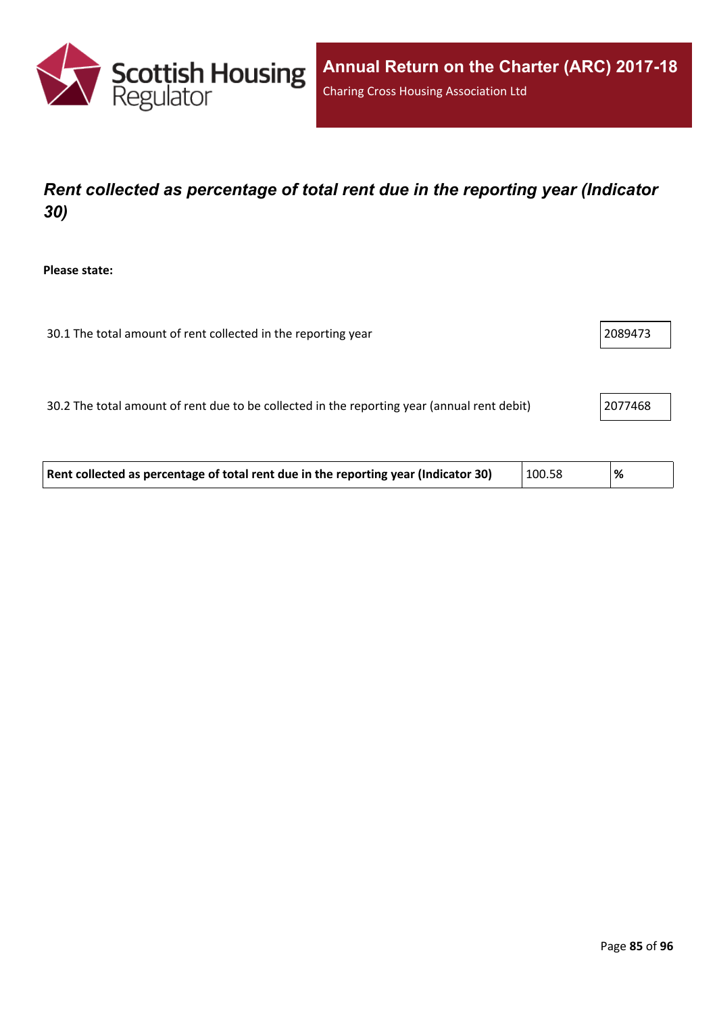

# *Rent collected as percentage of total rent due in the reporting year (Indicator 30)*

**Please state:**

| 2089473<br>30.1 The total amount of rent collected in the reporting year |  |
|--------------------------------------------------------------------------|--|
|--------------------------------------------------------------------------|--|

30.2 The total amount of rent due to be collected in the reporting year (annual rent debit) 2077468

| Rent collected as percentage of total rent due in the reporting year (Indicator 30) | 100.58 | % |
|-------------------------------------------------------------------------------------|--------|---|
|-------------------------------------------------------------------------------------|--------|---|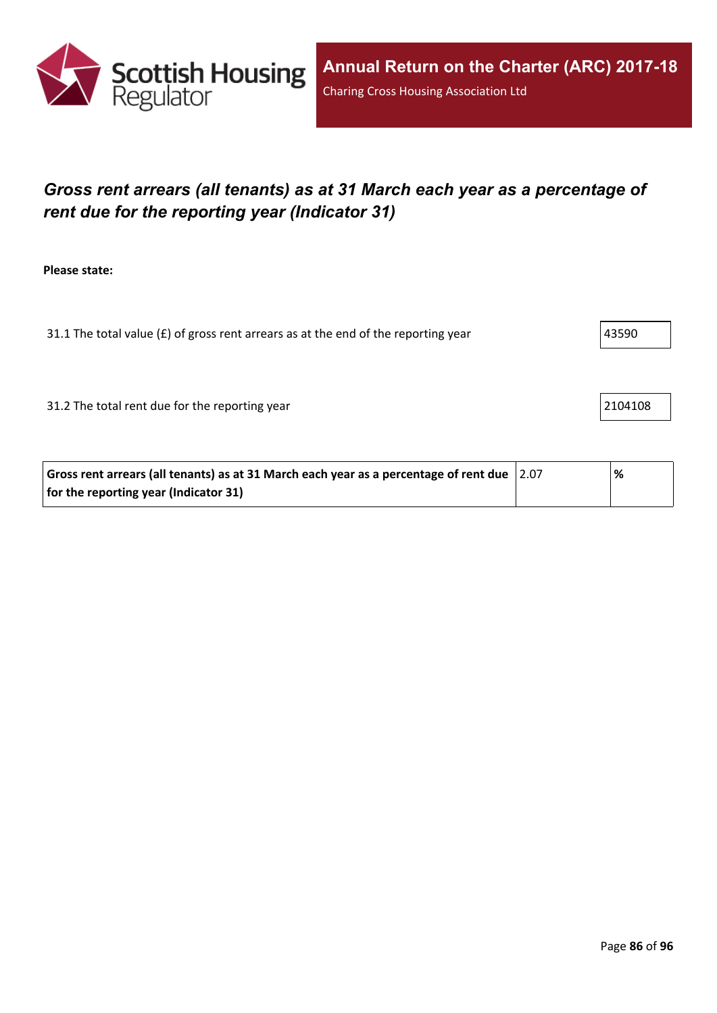

# *Gross rent arrears (all tenants) as at 31 March each year as a percentage of rent due for the reporting year (Indicator 31)*

**Please state:**

31.1 The total value ( $f$ ) of gross rent arrears as at the end of the reporting year  $43590$ 

31.2 The total rent due for the reporting year 21.2 The total rent due for the reporting year

| Gross rent arrears (all tenants) as at 31 March each year as a percentage of rent due $\vert$ 2.07 | % |
|----------------------------------------------------------------------------------------------------|---|
| for the reporting year (Indicator 31)                                                              |   |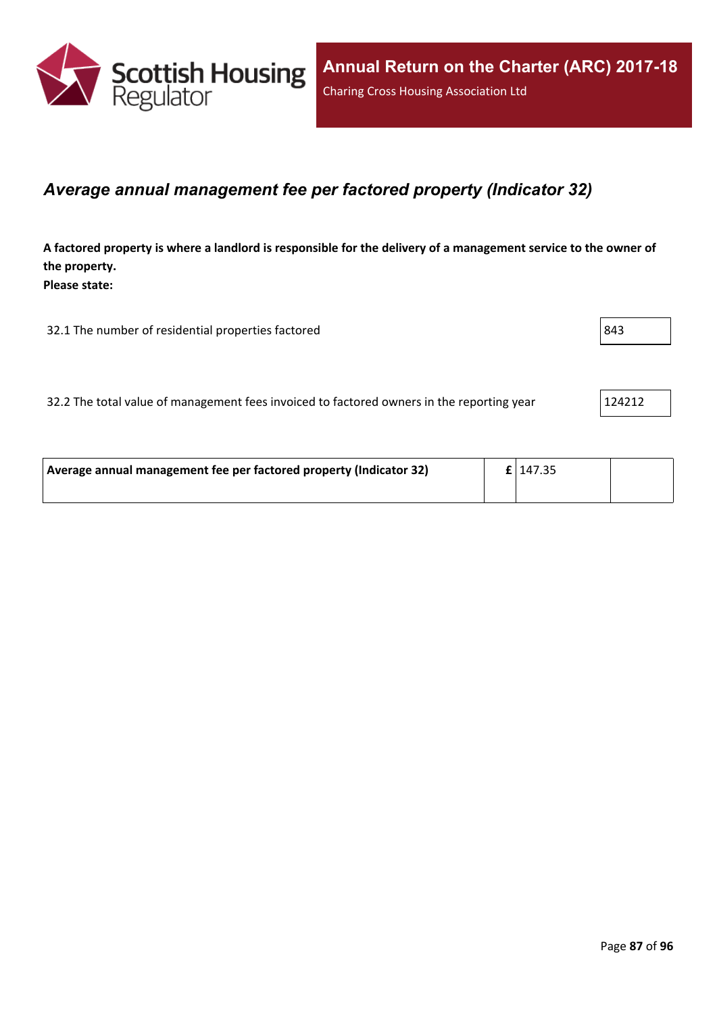

#### *Average annual management fee per factored property (Indicator 32)*

A factored property is where a landlord is responsible for the delivery of a management service to the owner of **the property. Please state:**

32.1 The number of residential properties factored 843

32.2 The total value of management fees invoiced to factored owners in the reporting year 124212

| Average annual management fee per factored property (Indicator 32) | $E$   147.35 |  |
|--------------------------------------------------------------------|--------------|--|
|                                                                    |              |  |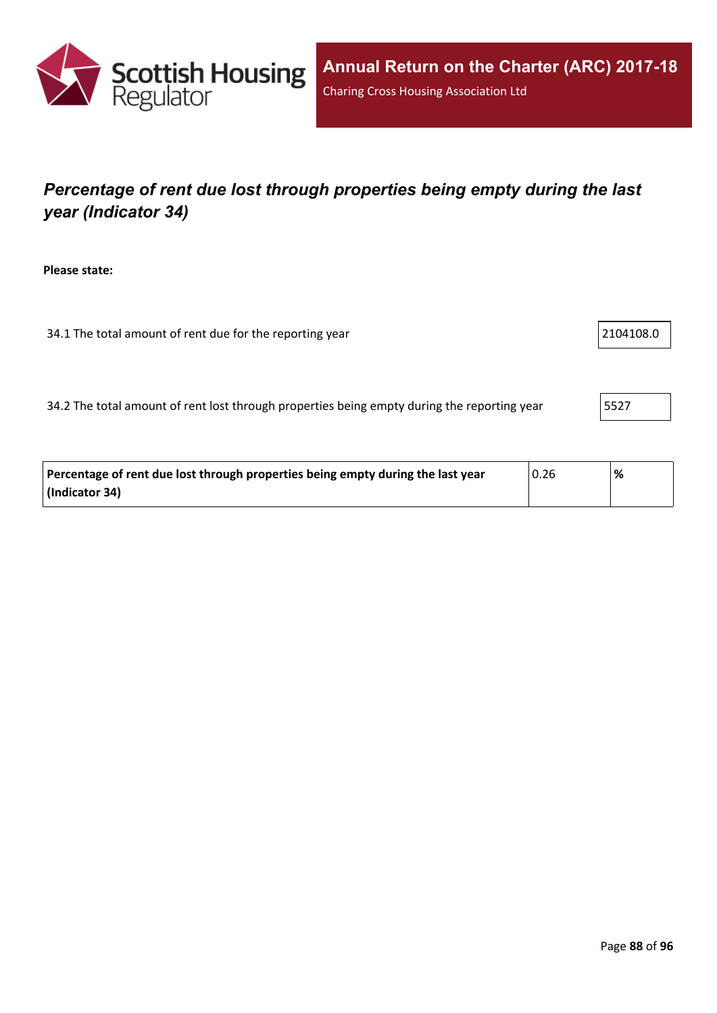

# *Percentage of rent due lost through properties being empty during the last year (Indicator 34)*

**Please state:**

34.1 The total amount of rent due for the reporting year 21.1 and 21.1 2104108.0

34.2 The total amount of rent lost through properties being empty during the reporting year 5527

| Percentage of rent due lost through properties being empty during the last year | 0.26 | % |
|---------------------------------------------------------------------------------|------|---|
| (Indicator 34)                                                                  |      |   |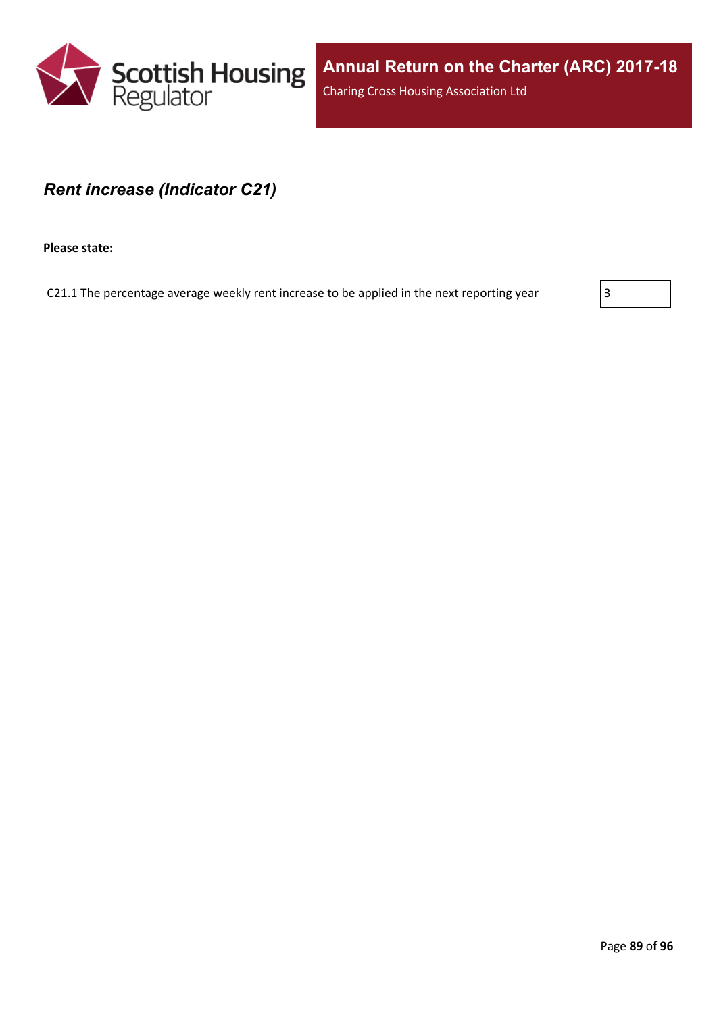

#### *Rent increase (Indicator C21)*

**Please state:**

C21.1 The percentage average weekly rent increase to be applied in the next reporting year  $\vert$  3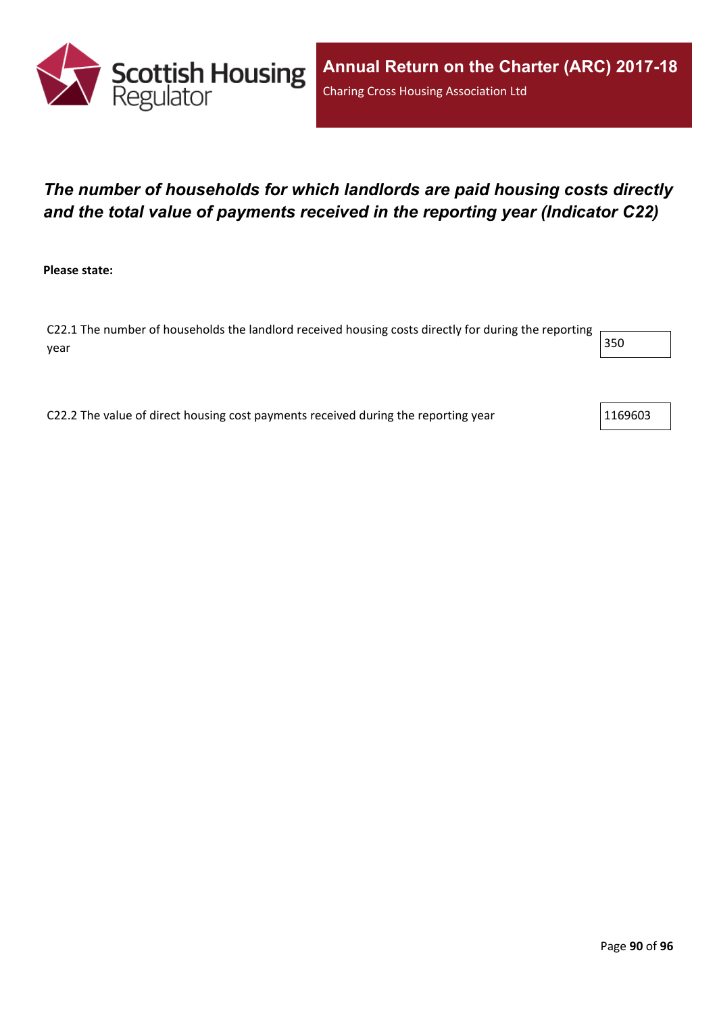

# *The number of households for which landlords are paid housing costs directly and the total value of payments received in the reporting year (Indicator C22)*

**Please state:**

C22.1 The number of households the landlord received housing costs directly for during the reporting year  $\vert$  350  $\vert$ 

C22.2 The value of direct housing cost payments received during the reporting year  $1169603$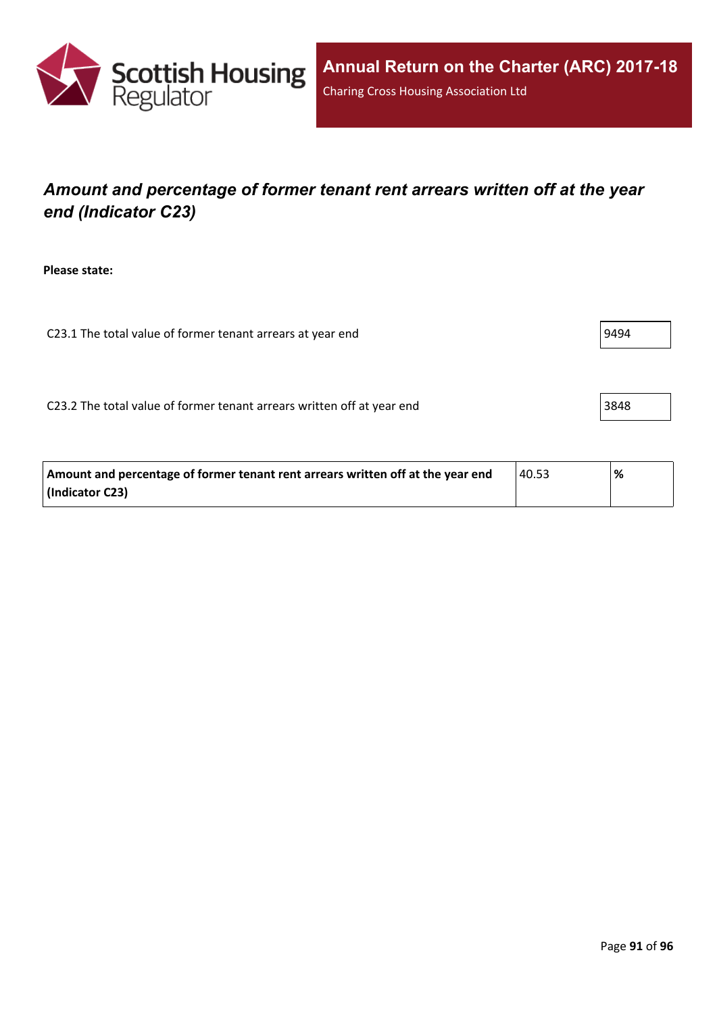

# *Amount and percentage of former tenant rent arrears written off at the year end (Indicator C23)*

**Please state:**

C23.1 The total value of former tenant arrears at year end  $\vert$ 9494

C23.2 The total value of former tenant arrears written off at year end 3848

| Amount and percentage of former tenant rent arrears written off at the year end | 40.53 | % |
|---------------------------------------------------------------------------------|-------|---|
| (Indicator C23)                                                                 |       |   |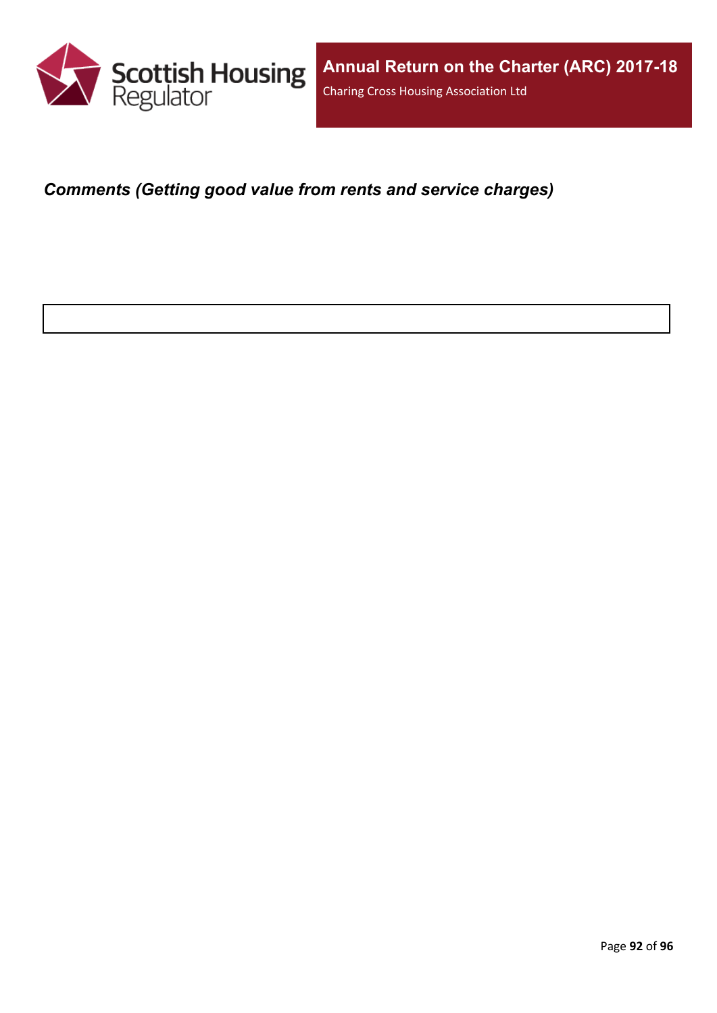

*Comments (Getting good value from rents and service charges)*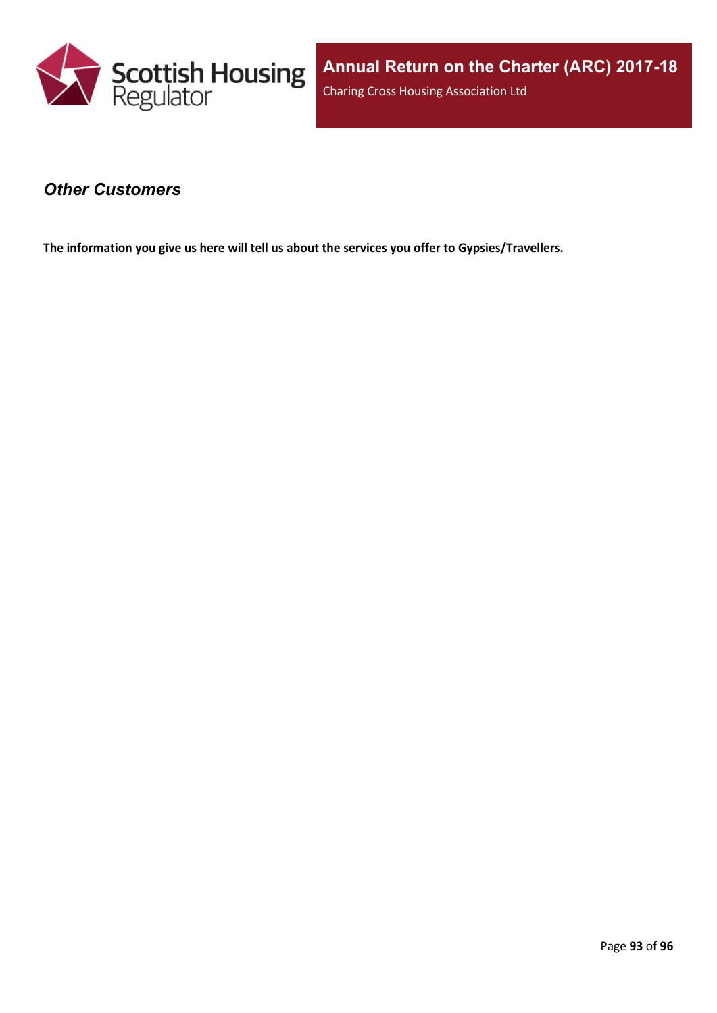

#### *Other Customers*

**The information you give us here will tell us about the services you offer to Gypsies/Travellers.**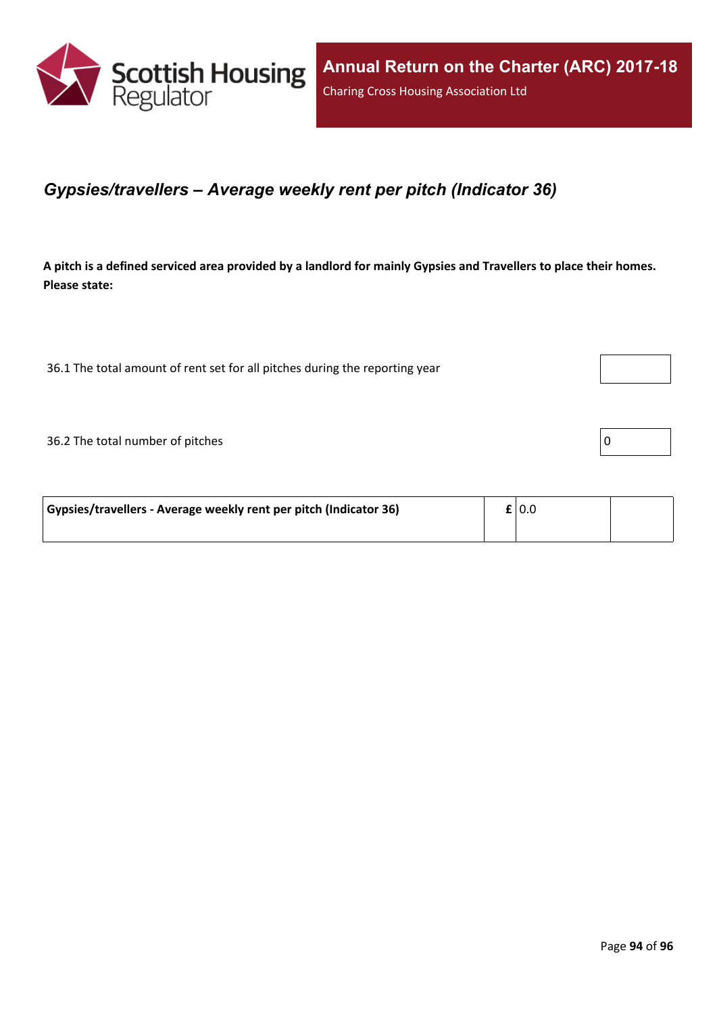

#### *Gypsies/travellers – Average weekly rent per pitch (Indicator 36)*

A pitch is a defined serviced area provided by a landlord for mainly Gypsies and Travellers to place their homes. **Please state:**

36.1 The total amount of rent set for all pitches during the reporting year

 $36.2$  The total number of pitches  $\boxed{0}$ 

| Gypsies/travellers - Average weekly rent per pitch (Indicator 36) |  | $\mathbf{f}$   0.0 |  |
|-------------------------------------------------------------------|--|--------------------|--|
|                                                                   |  |                    |  |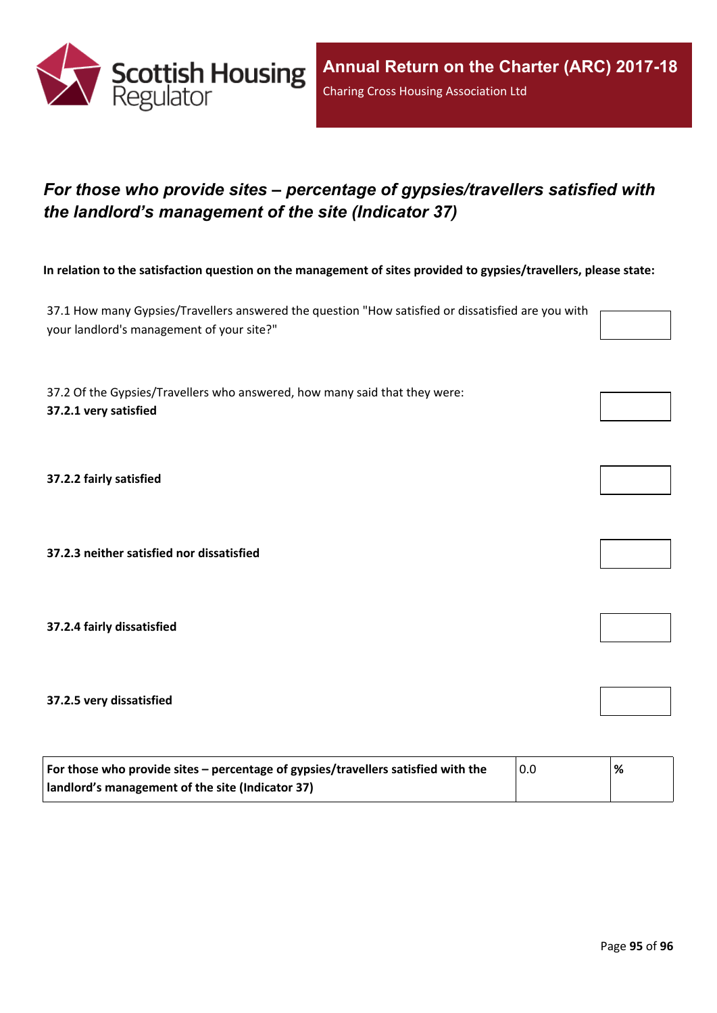

# *For those who provide sites – percentage of gypsies/travellers satisfied with the landlord's management of the site (Indicator 37)*

In relation to the satisfaction question on the management of sites provided to gypsies/travellers, please state:

37.1 How many Gypsies/Travellers answered the question "How satisfied or dissatisfied are you with your landlord's management of your site?"

37.2 Of the Gypsies/Travellers who answered, how many said that they were: **37.2.1 very satisfied**

**37.2.2 fairly satisfied**

**37.2.3 neither satisfied nor dissatisfied**

**37.2.4 fairly dissatisfied**

**37.2.5 very dissatisfied**

| For those who provide sites – percentage of gypsies/travellers satisfied with the | 0.0 | % |
|-----------------------------------------------------------------------------------|-----|---|
| I landlord's management of the site (Indicator 37)                                |     |   |